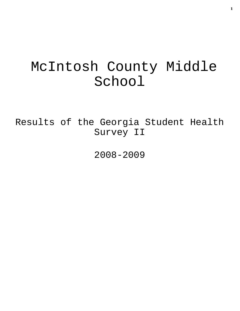# McIntosh County Middle School

Results of the Georgia Student Health Survey II

2008-2009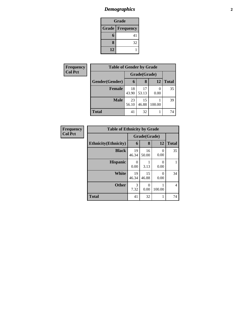## *Demographics* **2**

| Grade |                        |  |  |  |
|-------|------------------------|--|--|--|
|       | <b>Grade Frequency</b> |  |  |  |
| 6     | 41                     |  |  |  |
| 8     | 32                     |  |  |  |
| 12    |                        |  |  |  |

| Frequency      | <b>Table of Gender by Grade</b> |              |             |        |              |
|----------------|---------------------------------|--------------|-------------|--------|--------------|
| <b>Col Pct</b> |                                 | Grade(Grade) |             |        |              |
|                | Gender(Gender)                  | 6            | 8           | 12     | <b>Total</b> |
|                | <b>Female</b>                   | 18<br>43.90  | 17<br>53.13 | 0.00   | 35           |
|                | <b>Male</b>                     | 23<br>56.10  | 15<br>46.88 | 100.00 | 39           |
|                | <b>Total</b>                    | 41           | 32          |        | 74           |

| Frequency      | <b>Table of Ethnicity by Grade</b> |              |             |                  |              |
|----------------|------------------------------------|--------------|-------------|------------------|--------------|
| <b>Col Pct</b> |                                    | Grade(Grade) |             |                  |              |
|                | <b>Ethnicity</b> (Ethnicity)       | 6            | 8           | 12               | <b>Total</b> |
|                | <b>Black</b>                       | 19<br>46.34  | 16<br>50.00 | 0<br>0.00        | 35           |
|                | <b>Hispanic</b>                    | 0<br>0.00    | 3.13        | $\Omega$<br>0.00 |              |
|                | White                              | 19<br>46.34  | 15<br>46.88 | $\theta$<br>0.00 | 34           |
|                | <b>Other</b>                       | 3<br>7.32    | 0<br>0.00   | 100.00           | 4            |
|                | <b>Total</b>                       | 41           | 32          |                  | 74           |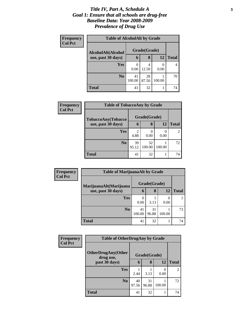#### *Title IV, Part A, Schedule A* **3** *Goal 1: Ensure that all schools are drug-free Baseline Data: Year 2008-2009 Prevalence of Drug Use*

| <b>Frequency</b> | <b>Table of AlcoholAlt by Grade</b> |              |             |                  |              |  |
|------------------|-------------------------------------|--------------|-------------|------------------|--------------|--|
| <b>Col Pct</b>   | AlcoholAlt(Alcohol                  | Grade(Grade) |             |                  |              |  |
|                  | use, past 30 days)                  | 6            | 8           | 12               | <b>Total</b> |  |
|                  | <b>Yes</b>                          | 0<br>0.00    | 4<br>12.50  | $\Omega$<br>0.00 | 4            |  |
|                  | N <sub>0</sub>                      | 41<br>100.00 | 28<br>87.50 | 100.00           | 70           |  |
|                  | <b>Total</b>                        | 41           | 32          |                  | 74           |  |

| Frequency<br><b>Col Pct</b> | <b>Table of TobaccoAny by Grade</b> |                        |              |        |                |
|-----------------------------|-------------------------------------|------------------------|--------------|--------|----------------|
|                             | TobaccoAny(Tobacco                  |                        | Grade(Grade) |        |                |
|                             | use, past 30 days)                  | 6                      | 8            | 12     | <b>Total</b>   |
|                             | Yes                                 | $\overline{2}$<br>4.88 | 0.00         | 0.00   | $\overline{2}$ |
|                             | N <sub>o</sub>                      | 39<br>95.12            | 32<br>100.00 | 100.00 | 72             |
|                             | <b>Total</b>                        | 41                     | 32           |        | 74             |

| Frequency      | <b>Table of MarijuanaAlt by Grade</b> |              |             |        |              |  |
|----------------|---------------------------------------|--------------|-------------|--------|--------------|--|
| <b>Col Pct</b> | MarijuanaAlt(Marijuana                | Grade(Grade) |             |        |              |  |
|                | use, past 30 days)                    | 6            | 8           | 12     | <b>Total</b> |  |
|                | Yes                                   | 0.00         | 3.13        | 0.00   |              |  |
|                | N <sub>o</sub>                        | 41<br>100.00 | 31<br>96.88 | 100.00 | 73           |  |
|                | <b>Total</b>                          | 41           | 32          |        | 74           |  |

| Frequency      | <b>Table of OtherDrugAny by Grade</b>  |             |              |        |                |
|----------------|----------------------------------------|-------------|--------------|--------|----------------|
| <b>Col Pct</b> | <b>OtherDrugAny(Other</b><br>drug use, |             | Grade(Grade) |        |                |
|                | past 30 days)                          | 6           | 8            | 12     | <b>Total</b>   |
|                | Yes                                    | 2.44        | 3.13         | 0.00   | $\overline{2}$ |
|                | N <sub>0</sub>                         | 40<br>97.56 | 31<br>96.88  | 100.00 | 72             |
|                | <b>Total</b>                           | 41          | 32           |        | 74             |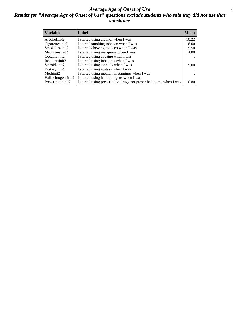#### *Average Age of Onset of Use* **4** *Results for "Average Age of Onset of Use" questions exclude students who said they did not use that substance*

| <b>Variable</b>    | Label                                                              | <b>Mean</b> |
|--------------------|--------------------------------------------------------------------|-------------|
| Alcoholinit2       | I started using alcohol when I was                                 | 10.22       |
| Cigarettesinit2    | I started smoking tobacco when I was                               | 8.00        |
| Smokelessinit2     | I started chewing tobacco when I was                               | 9.50        |
| Marijuanainit2     | I started using marijuana when I was                               | 14.00       |
| Cocaineinit2       | I started using cocaine when I was                                 |             |
| Inhalantsinit2     | I started using inhalants when I was                               |             |
| Steroidsinit2      | I started using steroids when I was                                | 9.00        |
| Ecstasyinit2       | I started using ecstasy when I was                                 |             |
| Methinit2          | I started using methamphetamines when I was                        |             |
| Hallucinogensinit2 | I started using hallucinogens when I was                           |             |
| Prescriptioninit2  | I started using prescription drugs not prescribed to me when I was | 10.80       |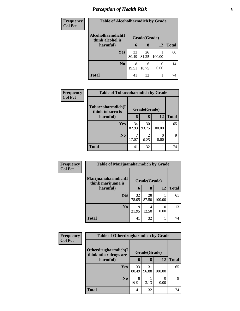# *Perception of Health Risk* **5**

| <b>Frequency</b> | <b>Table of Alcoholharmdich by Grade</b> |              |             |                           |              |
|------------------|------------------------------------------|--------------|-------------|---------------------------|--------------|
| <b>Col Pct</b>   | Alcoholharmdich(I<br>think alcohol is    | Grade(Grade) |             |                           |              |
|                  | harmful)                                 | 6            | 8           | 12                        | <b>Total</b> |
|                  | Yes                                      | 33<br>80.49  | 26<br>81.25 | 100.00                    | 60           |
|                  | N <sub>0</sub>                           | 8<br>19.51   | 6<br>18.75  | $\mathbf{\Omega}$<br>0.00 | 14           |
|                  | <b>Total</b>                             | 41           | 32          |                           | 74           |

| Frequency      | <b>Table of Tobaccoharmdich by Grade</b> |              |             |                  |              |
|----------------|------------------------------------------|--------------|-------------|------------------|--------------|
| <b>Col Pct</b> | Tobaccoharmdich(I<br>think tobacco is    | Grade(Grade) |             |                  |              |
|                | harmful)                                 | 6            | 8           | <b>12</b>        | <b>Total</b> |
|                | <b>Yes</b>                               | 34<br>82.93  | 30<br>93.75 | 100.00           | 65           |
|                | N <sub>0</sub>                           | 17.07        | 6.25        | $\theta$<br>0.00 | q            |
|                | <b>Total</b>                             | 41           | 32          |                  | 74           |

| Frequency      | <b>Table of Marijuanaharmdich by Grade</b> |             |              |                           |              |
|----------------|--------------------------------------------|-------------|--------------|---------------------------|--------------|
| <b>Col Pct</b> | Marijuanaharmdich(I<br>think marijuana is  |             | Grade(Grade) |                           |              |
|                | harmful)                                   | 6           | 8            | 12                        | <b>Total</b> |
|                | <b>Yes</b>                                 | 32<br>78.05 | 28<br>87.50  | 100.00                    | 61           |
|                | N <sub>0</sub>                             | 9<br>21.95  | 4<br>12.50   | $\mathbf{\Omega}$<br>0.00 | 13           |
|                | <b>Total</b>                               | 41          | 32           |                           | 74           |

| Frequency      | <b>Table of Otherdrugharmdich by Grade</b>   |             |              |        |              |
|----------------|----------------------------------------------|-------------|--------------|--------|--------------|
| <b>Col Pct</b> | Otherdrugharmdich(I<br>think other drugs are |             | Grade(Grade) |        |              |
|                | harmful)                                     | 6           | 8            | 12     | <b>Total</b> |
|                | Yes                                          | 33<br>80.49 | 31<br>96.88  | 100.00 | 65           |
|                | N <sub>0</sub>                               | 8<br>19.51  | 3.13         | 0.00   | 9            |
|                | <b>Total</b>                                 | 41          | 32           |        | 74           |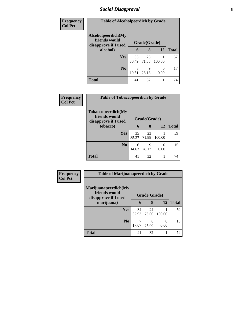### *Social Disapproval* **6**

| <b>Frequency</b> |                                                             | <b>Table of Alcoholpeerdich by Grade</b> |             |           |              |  |  |
|------------------|-------------------------------------------------------------|------------------------------------------|-------------|-----------|--------------|--|--|
| <b>Col Pct</b>   | Alcoholpeerdich(My<br>friends would<br>disapprove if I used | Grade(Grade)                             |             |           |              |  |  |
|                  | alcohol)                                                    | 6                                        | 8           | 12        | <b>Total</b> |  |  |
|                  | Yes                                                         | 33<br>80.49                              | 23<br>71.88 | 100.00    | 57           |  |  |
|                  | N <sub>0</sub>                                              | 8<br>19.51                               | Q<br>28.13  | 0<br>0.00 | 17           |  |  |
|                  | <b>Total</b>                                                | 41                                       | 32          |           | 74           |  |  |

| <b>Frequency</b> | <b>Table of Tobaccopeerdich by Grade</b>                    |              |             |        |              |
|------------------|-------------------------------------------------------------|--------------|-------------|--------|--------------|
| <b>Col Pct</b>   | Tobaccopeerdich(My<br>friends would<br>disapprove if I used | Grade(Grade) |             |        |              |
|                  | tobacco)                                                    | 6            | 8           | 12     | <b>Total</b> |
|                  | <b>Yes</b>                                                  | 35<br>85.37  | 23<br>71.88 | 100.00 | 59           |
|                  | N <sub>o</sub>                                              | 6<br>14.63   | 9<br>28.13  | 0.00   | 15           |
|                  | <b>Total</b>                                                | 41           | 32          |        | 74           |

| Frequency      | <b>Table of Marijuanapeerdich by Grade</b>                    |              |             |        |              |
|----------------|---------------------------------------------------------------|--------------|-------------|--------|--------------|
| <b>Col Pct</b> | Marijuanapeerdich(My<br>friends would<br>disapprove if I used | Grade(Grade) |             |        |              |
|                | marijuana)                                                    | 6            | 8           | 12     | <b>Total</b> |
|                | <b>Yes</b>                                                    | 34<br>82.93  | 24<br>75.00 | 100.00 | 59           |
|                | N <sub>0</sub>                                                | 17.07        | 8<br>25.00  | 0.00   | 15           |
|                | <b>Total</b>                                                  | 41           | 32          |        | 74           |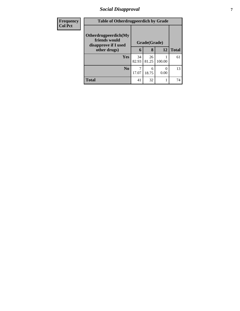### *Social Disapproval* **7**

| <b>Frequency</b> | <b>Table of Otherdrugpeerdich by Grade</b>                    |              |             |           |              |
|------------------|---------------------------------------------------------------|--------------|-------------|-----------|--------------|
| <b>Col Pct</b>   | Otherdrugpeerdich(My<br>friends would<br>disapprove if I used | Grade(Grade) |             |           |              |
|                  | other drugs)                                                  | 6            | 8           | 12        | <b>Total</b> |
|                  | <b>Yes</b>                                                    | 34<br>82.93  | 26<br>81.25 | 100.00    | 61           |
|                  | N <sub>o</sub>                                                | 17.07        | 6<br>18.75  | ∩<br>0.00 | 13           |
|                  | <b>Total</b>                                                  | 41           | 32          |           | 74           |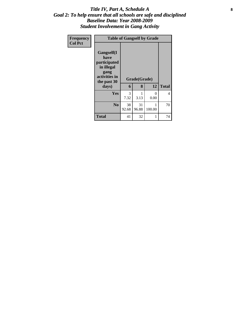#### Title IV, Part A, Schedule A **8** *Goal 2: To help ensure that all schools are safe and disciplined Baseline Data: Year 2008-2009 Student Involvement in Gang Activity*

| Frequency<br><b>Col Pct</b> |                                                                                                   | <b>Table of Gangself by Grade</b> |                   |           |              |  |  |  |
|-----------------------------|---------------------------------------------------------------------------------------------------|-----------------------------------|-------------------|-----------|--------------|--|--|--|
|                             | Gangself(I<br>have<br>participated<br>in illegal<br>gang<br>activities in<br>the past 30<br>days) | 6                                 | Grade(Grade)<br>8 | 12        | <b>Total</b> |  |  |  |
|                             | Yes                                                                                               | 3<br>7.32                         | 1<br>3.13         | 0<br>0.00 | 4            |  |  |  |
|                             | N <sub>0</sub>                                                                                    | 38<br>92.68                       | 31<br>96.88       | 100.00    | 70           |  |  |  |
|                             | <b>Total</b>                                                                                      | 41                                | 32                | 1         | 74           |  |  |  |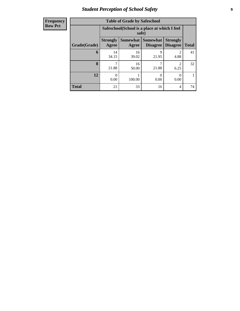### *Student Perception of School Safety* **9**

| Frequency      |
|----------------|
|                |
| <b>Row Pct</b> |
|                |

| <b>Table of Grade by Safeschool</b> |                          |                                                        |                                    |                                    |              |  |  |  |
|-------------------------------------|--------------------------|--------------------------------------------------------|------------------------------------|------------------------------------|--------------|--|--|--|
|                                     |                          | Safeschool (School is a place at which I feel<br>safe) |                                    |                                    |              |  |  |  |
| Grade(Grade)                        | <b>Strongly</b><br>Agree | <b>Somewhat</b><br>Agree                               | <b>Somewhat</b><br><b>Disagree</b> | <b>Strongly</b><br><b>Disagree</b> | <b>Total</b> |  |  |  |
| 6                                   | 14<br>34.15              | 16<br>39.02                                            | 9<br>21.95                         | $\mathfrak{D}$<br>4.88             | 41           |  |  |  |
| 8                                   | 21.88                    | 16<br>50.00                                            | 7<br>21.88                         | 6.25                               | 32           |  |  |  |
| 12                                  | 0<br>0.00                | 100.00                                                 | 0.00                               | 0<br>0.00                          |              |  |  |  |
| <b>Total</b>                        | 21                       | 33                                                     | 16                                 | 4                                  | 74           |  |  |  |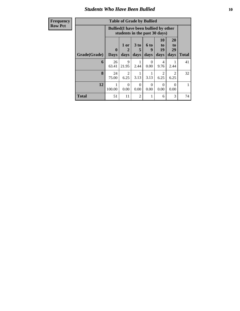#### *Students Who Have Been Bullied* **10**

| <b>Frequency</b> | <b>Table of Grade by Bullied</b> |                                                                               |                        |                  |                  |                        |                        |              |  |
|------------------|----------------------------------|-------------------------------------------------------------------------------|------------------------|------------------|------------------|------------------------|------------------------|--------------|--|
| <b>Row Pct</b>   |                                  | <b>Bullied</b> (I have been bullied by other<br>students in the past 30 days) |                        |                  |                  |                        |                        |              |  |
|                  |                                  | $\mathbf{0}$                                                                  | 1 or<br>2              | 3 <sub>to</sub>  | 6 to<br>9        | <b>10</b><br>to<br>19  | 20<br>to<br>29         |              |  |
|                  | Grade(Grade)                     | <b>Days</b>                                                                   | days                   | days             | days             | days                   | days                   | <b>Total</b> |  |
|                  | 6                                | 26<br>63.41                                                                   | 9<br>21.95             | 2.44             | 0<br>0.00        | 4<br>9.76              | 2.44                   | 41           |  |
|                  | 8                                | 24<br>75.00                                                                   | $\mathfrak{D}$<br>6.25 | 3.13             | 3.13             | $\overline{2}$<br>6.25 | $\overline{2}$<br>6.25 | 32           |  |
|                  | 12                               | 100.00                                                                        | $\Omega$<br>0.00       | $\Omega$<br>0.00 | $\Omega$<br>0.00 | $\Omega$<br>0.00       | 0<br>0.00              |              |  |
|                  | <b>Total</b>                     | 51                                                                            | 11                     | 2                | 1                | 6                      | 3                      | 74           |  |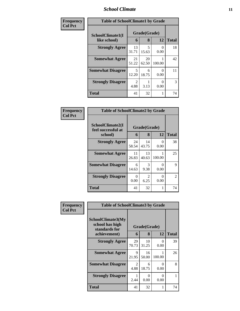#### *School Climate* **11**

| <b>Frequency</b> | <b>Table of SchoolClimate1 by Grade</b> |                        |                 |                 |    |  |  |
|------------------|-----------------------------------------|------------------------|-----------------|-----------------|----|--|--|
| <b>Col Pct</b>   | SchoolClimate1(I<br>like school)        | Grade(Grade)<br>6      | <b>Total</b>    |                 |    |  |  |
|                  | <b>Strongly Agree</b>                   | 13<br>31.71            | 8<br>5<br>15.63 | 12<br>0<br>0.00 | 18 |  |  |
|                  | <b>Somewhat Agree</b>                   | 21<br>51.22            | 20<br>62.50     | 100.00          | 42 |  |  |
|                  | <b>Somewhat Disagree</b>                | 5<br>12.20             | 6<br>18.75      | 0<br>0.00       | 11 |  |  |
|                  | <b>Strongly Disagree</b>                | $\mathfrak{D}$<br>4.88 | 3.13            | 0<br>0.00       | 3  |  |  |
|                  | <b>Total</b>                            | 41                     | 32              |                 | 74 |  |  |

| Frequency      | <b>Table of SchoolClimate2 by Grade</b>           |             |                                     |                  |                |
|----------------|---------------------------------------------------|-------------|-------------------------------------|------------------|----------------|
| <b>Col Pct</b> | SchoolClimate2(I<br>feel successful at<br>school) | 6           | Grade(Grade)<br>8                   | 12               | <b>Total</b>   |
|                | <b>Strongly Agree</b>                             | 24<br>58.54 | 14<br>43.75                         | 0<br>0.00        | 38             |
|                | <b>Somewhat Agree</b>                             | 11<br>26.83 | 13<br>40.63                         | 100.00           | 25             |
|                | <b>Somewhat Disagree</b>                          | 6<br>14.63  | 3<br>9.38                           | $\Omega$<br>0.00 | 9              |
|                | <b>Strongly Disagree</b>                          | 0<br>0.00   | $\mathcal{D}_{\mathcal{L}}$<br>6.25 | 0<br>0.00        | $\mathfrak{D}$ |
|                | <b>Total</b>                                      | 41          | 32                                  | 1                | 74             |

| Frequency |                                                                       | <b>Table of SchoolClimate3 by Grade</b> |                   |                  |              |  |  |
|-----------|-----------------------------------------------------------------------|-----------------------------------------|-------------------|------------------|--------------|--|--|
| Col Pct   | SchoolClimate3(My<br>school has high<br>standards for<br>achievement) | 6                                       | Grade(Grade)<br>8 | 12               | <b>Total</b> |  |  |
|           | <b>Strongly Agree</b>                                                 | 29<br>70.73                             | 10<br>31.25       | 0<br>0.00        | 39           |  |  |
|           | <b>Somewhat Agree</b>                                                 | 9<br>21.95                              | 16<br>50.00       | 100.00           | 26           |  |  |
|           | <b>Somewhat Disagree</b>                                              | 2<br>4.88                               | 6<br>18.75        | 0<br>0.00        | 8            |  |  |
|           | <b>Strongly Disagree</b>                                              | 2.44                                    | 0<br>0.00         | $\Omega$<br>0.00 |              |  |  |
|           | Total                                                                 | 41                                      | 32                | 1                | 74           |  |  |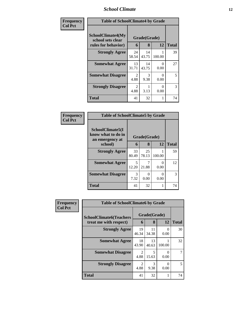# *School Climate* **12**

| Frequency      | <b>Table of SchoolClimate4 by Grade</b>                              |                        |                   |           |              |
|----------------|----------------------------------------------------------------------|------------------------|-------------------|-----------|--------------|
| <b>Col Pct</b> | <b>SchoolClimate4(My</b><br>school sets clear<br>rules for behavior) | 6                      | Grade(Grade)<br>8 | 12        | <b>Total</b> |
|                | <b>Strongly Agree</b>                                                | 24<br>58.54            | 14<br>43.75       | 100.00    | 39           |
|                | <b>Somewhat Agree</b>                                                | 13<br>31.71            | 14<br>43.75       | 0<br>0.00 | 27           |
|                | <b>Somewhat Disagree</b>                                             | $\mathcal{D}$<br>4.88  | 3<br>9.38         | 0<br>0.00 | 5            |
|                | <b>Strongly Disagree</b>                                             | $\mathfrak{D}$<br>4.88 | 3.13              | 0<br>0.00 | 3            |
|                | <b>Total</b>                                                         | 41                     | 32                |           | 74           |

| <b>Frequency</b><br>Col Pct |
|-----------------------------|

| <b>Table of SchoolClimate5 by Grade</b>                   |              |             |           |              |  |  |
|-----------------------------------------------------------|--------------|-------------|-----------|--------------|--|--|
| SchoolClimate5(I<br>know what to do in<br>an emergency at | Grade(Grade) |             |           |              |  |  |
| school)                                                   | 6            | 8           | 12        | <b>Total</b> |  |  |
| <b>Strongly Agree</b>                                     | 33<br>80.49  | 25<br>78.13 | 100.00    | 59           |  |  |
| <b>Somewhat Agree</b>                                     | 5<br>12.20   | 21.88       | 0<br>0.00 | 12           |  |  |
| <b>Somewhat Disagree</b>                                  | 3<br>7.32    | 0<br>0.00   | 0<br>0.00 | 3            |  |  |
| Total                                                     | 41           | 32          | 1         | 74           |  |  |

| <b>Frequency</b> | <b>Table of SchoolClimate6 by Grade</b>                  |                        |                                     |           |                    |  |
|------------------|----------------------------------------------------------|------------------------|-------------------------------------|-----------|--------------------|--|
| <b>Col Pct</b>   | <b>SchoolClimate6(Teachers</b><br>treat me with respect) |                        | Grade(Grade)<br>8<br><b>12</b><br>6 |           |                    |  |
|                  | <b>Strongly Agree</b>                                    | 19                     | 11                                  | $\Omega$  | <b>Total</b><br>30 |  |
|                  |                                                          | 46.34                  | 34.38                               | 0.00      |                    |  |
|                  | <b>Somewhat Agree</b>                                    | 18<br>43.90            | 13<br>40.63                         | 100.00    | 32                 |  |
|                  | <b>Somewhat Disagree</b>                                 | 2<br>4.88              | 5<br>15.63                          | 0<br>0.00 | 7                  |  |
|                  | <b>Strongly Disagree</b>                                 | $\overline{2}$<br>4.88 | 3<br>9.38                           | 0<br>0.00 | $\overline{5}$     |  |
|                  | <b>Total</b>                                             | 41                     | 32                                  |           | 74                 |  |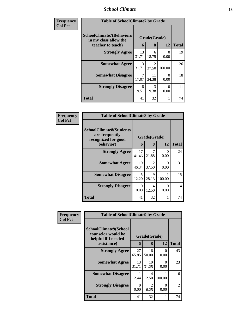#### *School Climate* **13**

| Frequency      | <b>Table of SchoolClimate7 by Grade</b>                                       |             |                   |           |              |
|----------------|-------------------------------------------------------------------------------|-------------|-------------------|-----------|--------------|
| <b>Col Pct</b> | <b>SchoolClimate7(Behaviors</b><br>in my class allow the<br>teacher to teach) | 6           | Grade(Grade)<br>8 | 12        | <b>Total</b> |
|                | <b>Strongly Agree</b>                                                         | 13<br>31.71 | 6<br>18.75        | 0<br>0.00 | 19           |
|                | <b>Somewhat Agree</b>                                                         | 13<br>31.71 | 12<br>37.50       | 100.00    | 26           |
|                | <b>Somewhat Disagree</b>                                                      | 7<br>17.07  | 11<br>34.38       | 0<br>0.00 | 18           |
|                | <b>Strongly Disagree</b>                                                      | 8<br>19.51  | 3<br>9.38         | 0<br>0.00 | 11           |
|                | <b>Total</b>                                                                  | 41          | 32                |           | 74           |

| Frequency      | <b>Table of SchoolClimate8 by Grade</b>                                 |             |              |                      |                |
|----------------|-------------------------------------------------------------------------|-------------|--------------|----------------------|----------------|
| <b>Col Pct</b> | <b>SchoolClimate8(Students</b><br>are frequently<br>recognized for good |             | Grade(Grade) |                      |                |
|                | behavior)                                                               | 6           | 8            | 12                   | <b>Total</b>   |
|                | <b>Strongly Agree</b>                                                   | 17<br>41.46 | 7<br>21.88   | $\mathbf{0}$<br>0.00 | 24             |
|                | <b>Somewhat Agree</b>                                                   | 19<br>46.34 | 12<br>37.50  | 0<br>0.00            | 31             |
|                | <b>Somewhat Disagree</b>                                                | 5<br>12.20  | 9<br>28.13   | 100.00               | 15             |
|                | <b>Strongly Disagree</b>                                                | 0<br>0.00   | 4<br>12.50   | $\Omega$<br>0.00     | $\overline{4}$ |
|                | Total                                                                   | 41          | 32           |                      | 74             |

| Frequency      | <b>Table of SchoolClimate9 by Grade</b>                                           |                  |                         |                  |                |
|----------------|-----------------------------------------------------------------------------------|------------------|-------------------------|------------------|----------------|
| <b>Col Pct</b> | SchoolClimate9(School<br>counselor would be<br>helpful if I needed<br>assistance) | 6                | Grade(Grade)<br>8       | 12               | <b>Total</b>   |
|                | <b>Strongly Agree</b>                                                             | 27<br>65.85      | 16<br>50.00             | $\Omega$<br>0.00 | 43             |
|                | <b>Somewhat Agree</b>                                                             | 13<br>31.71      | 10<br>31.25             | $\Omega$<br>0.00 | 23             |
|                | <b>Somewhat Disagree</b>                                                          | 2.44             | $\overline{4}$<br>12.50 | 100.00           | 6              |
|                | <b>Strongly Disagree</b>                                                          | $\Omega$<br>0.00 | 2<br>6.25               | $\Omega$<br>0.00 | $\overline{2}$ |
|                | Total                                                                             | 41               | 32                      |                  | 74             |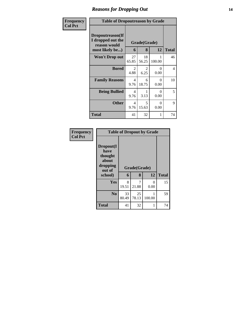### *Reasons for Dropping Out* **14**

| Frequency      | <b>Table of Dropoutreason by Grade</b>                                   |             |                   |                  |              |
|----------------|--------------------------------------------------------------------------|-------------|-------------------|------------------|--------------|
| <b>Col Pct</b> | Dropoutreason(If<br>I dropped out the<br>reason would<br>most likely be) | 6           | Grade(Grade)<br>8 | 12               | <b>Total</b> |
|                | <b>Won't Drop out</b>                                                    | 27<br>65.85 | 18<br>56.25       | 100.00           | 46           |
|                | <b>Bored</b>                                                             | 2<br>4.88   | 2<br>6.25         | 0<br>0.00        | 4            |
|                | <b>Family Reasons</b>                                                    | 4<br>9.76   | 6<br>18.75        | $\Omega$<br>0.00 | 10           |
|                | <b>Being Bullied</b>                                                     | 4<br>9.76   | 3.13              | $\Omega$<br>0.00 | 5            |
|                | <b>Other</b>                                                             | 4<br>9.76   | 5<br>15.63        | 0<br>0.00        | 9            |
|                | <b>Total</b>                                                             | 41          | 32                | 1                | 74           |

| Frequency<br><b>Col Pct</b> | <b>Table of Dropout by Grade</b>                            |              |             |           |              |  |  |
|-----------------------------|-------------------------------------------------------------|--------------|-------------|-----------|--------------|--|--|
|                             | Dropout(I<br>have<br>thought<br>about<br>dropping<br>out of | Grade(Grade) |             |           |              |  |  |
|                             | school)                                                     | 6            | 8           | 12        | <b>Total</b> |  |  |
|                             | Yes                                                         | 8<br>19.51   | 7<br>21.88  | 0<br>0.00 | 15           |  |  |
|                             | N <sub>0</sub>                                              | 33<br>80.49  | 25<br>78.13 | 100.00    | 59           |  |  |
|                             | <b>Total</b>                                                | 41           | 32          | 1         | 74           |  |  |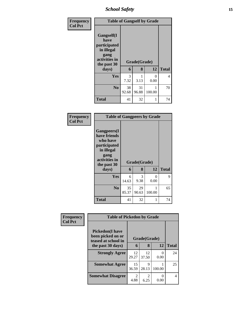*School Safety* **15**

| <b>Frequency</b> | <b>Table of Gangself by Grade</b>                                                        |             |              |                      |              |  |  |
|------------------|------------------------------------------------------------------------------------------|-------------|--------------|----------------------|--------------|--|--|
| <b>Col Pct</b>   | Gangself(I<br>have<br>participated<br>in illegal<br>gang<br>activities in<br>the past 30 |             | Grade(Grade) |                      |              |  |  |
|                  | days)                                                                                    | 6           | 8            | 12                   | <b>Total</b> |  |  |
|                  | Yes                                                                                      | 3<br>7.32   | 3.13         | $\mathbf{0}$<br>0.00 | 4            |  |  |
|                  | $\bf No$                                                                                 | 38<br>92.68 | 31<br>96.88  | 100.00               | 70           |  |  |
|                  | <b>Total</b>                                                                             | 41          | 32           | 1                    | 74           |  |  |

#### **Frequency Col Pct**

| <b>Table of Gangpeers by Grade</b>                                                                                    |             |              |             |              |  |  |  |
|-----------------------------------------------------------------------------------------------------------------------|-------------|--------------|-------------|--------------|--|--|--|
| <b>Gangpeers</b> (I<br>have friends<br>who have<br>participated<br>in illegal<br>gang<br>activities in<br>the past 30 |             | Grade(Grade) |             |              |  |  |  |
| days)                                                                                                                 | 6           | 8            | 12          | <b>Total</b> |  |  |  |
| Yes                                                                                                                   | 6           | 3            | 0           | 9            |  |  |  |
|                                                                                                                       | 14.63       | 9.38         | 0.00        |              |  |  |  |
| N <sub>0</sub>                                                                                                        | 35<br>85.37 | 29<br>90.63  | 1<br>100.00 | 65           |  |  |  |

| Frequency<br><b>Col Pct</b> | <b>Table of Pickedon by Grade</b>                                  |                        |              |           |              |
|-----------------------------|--------------------------------------------------------------------|------------------------|--------------|-----------|--------------|
|                             | <b>Pickedon(I have</b><br>been picked on or<br>teased at school in |                        | Grade(Grade) |           |              |
|                             | the past 30 days)                                                  | 6                      | 8            | 12        | <b>Total</b> |
|                             | <b>Strongly Agree</b>                                              | 12<br>29.27            | 12<br>37.50  | 0<br>0.00 | 24           |
|                             | <b>Somewhat Agree</b>                                              | 15<br>36.59            | Q<br>28.13   | 100.00    | 25           |
|                             | <b>Somewhat Disagree</b>                                           | $\mathfrak{D}$<br>4.88 | 6.25         | 0.00      | 4            |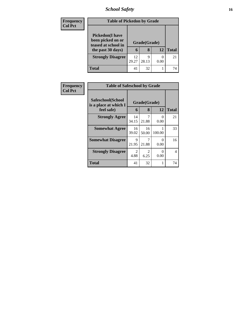### *School Safety* **16**

| <b>Frequency</b><br><b>Col Pct</b> | <b>Table of Pickedon by Grade</b>                                                        |             |                   |      |              |
|------------------------------------|------------------------------------------------------------------------------------------|-------------|-------------------|------|--------------|
|                                    | <b>Pickedon</b> (I have<br>been picked on or<br>teased at school in<br>the past 30 days) | 6           | Grade(Grade)<br>8 | 12   | <b>Total</b> |
|                                    | <b>Strongly Disagree</b>                                                                 | 12<br>29.27 | Q<br>28.13        | 0.00 | 21           |
|                                    | <b>Total</b>                                                                             | 41          | 32                |      | 74           |

| <b>Frequency</b> | <b>Table of Safeschool by Grade</b>                      |             |                        |                  |                |
|------------------|----------------------------------------------------------|-------------|------------------------|------------------|----------------|
| <b>Col Pct</b>   | Safeschool(School<br>is a place at which I<br>feel safe) | 6           | Grade(Grade)<br>8      | 12               | <b>Total</b>   |
|                  | <b>Strongly Agree</b>                                    | 14<br>34.15 | 7<br>21.88             | $\Omega$<br>0.00 | 21             |
|                  | <b>Somewhat Agree</b>                                    | 16<br>39.02 | 16<br>50.00            | 100.00           | 33             |
|                  | <b>Somewhat Disagree</b>                                 | 9<br>21.95  | 21.88                  | $\Omega$<br>0.00 | 16             |
|                  | <b>Strongly Disagree</b>                                 | 2<br>4.88   | $\mathfrak{D}$<br>6.25 | $\Omega$<br>0.00 | $\overline{4}$ |
|                  | <b>Total</b>                                             | 41          | 32                     | 1                | 74             |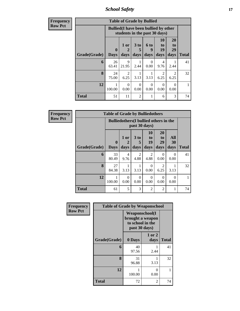*School Safety* **17**

| <b>Frequency</b> | <b>Table of Grade by Bullied</b>                                              |             |                  |                  |                  |                        |                        |              |  |
|------------------|-------------------------------------------------------------------------------|-------------|------------------|------------------|------------------|------------------------|------------------------|--------------|--|
| <b>Row Pct</b>   | <b>Bullied</b> (I have been bullied by other<br>students in the past 30 days) |             |                  |                  |                  |                        |                        |              |  |
|                  |                                                                               | $\mathbf 0$ | $1$ or           | 3 to<br>5        | <b>6 to</b><br>9 | <b>10</b><br>to<br>19  | 20<br>to<br>29         |              |  |
|                  | Grade(Grade)                                                                  | <b>Days</b> | days             | days             | days             | days                   | days                   | <b>Total</b> |  |
|                  | 6                                                                             | 26<br>63.41 | 9<br>21.95       | 2.44             | 0<br>0.00        | 4<br>9.76              | 2.44                   | 41           |  |
|                  | 8                                                                             | 24<br>75.00 | 2<br>6.25        | 3.13             | 3.13             | $\mathfrak{D}$<br>6.25 | $\mathfrak{D}$<br>6.25 | 32           |  |
|                  | 12                                                                            | 100.00      | $\Omega$<br>0.00 | $\Omega$<br>0.00 | $\Omega$<br>0.00 | $\Omega$<br>0.00       | $\Omega$<br>0.00       |              |  |
|                  | <b>Total</b>                                                                  | 51          | 11               | $\overline{2}$   |                  | 6                      | 3                      | 74           |  |

| <b>Frequency</b> | <b>Table of Grade by Bulliedothers</b> |                             |                   |                              |                                               |                               |                          |              |
|------------------|----------------------------------------|-----------------------------|-------------------|------------------------------|-----------------------------------------------|-------------------------------|--------------------------|--------------|
| <b>Row Pct</b>   |                                        |                             |                   | past 30 days)                | <b>Bulliedothers</b> (I bullied others in the |                               |                          |              |
|                  | Grade(Grade)                           | $\mathbf{0}$<br><b>Days</b> | 1 or<br>2<br>days | 3 <sub>to</sub><br>5<br>days | <b>10</b><br>to<br><b>19</b><br>days          | <b>20</b><br>to<br>29<br>days | <b>All</b><br>30<br>days | <b>Total</b> |
|                  | 6                                      | 33<br>80.49                 | 4<br>9.76         | $\overline{2}$<br>4.88       | $\overline{2}$<br>4.88                        | $\Omega$<br>0.00              | $\Omega$<br>0.00         | 41           |
|                  | 8                                      | 27<br>84.38                 | 1<br>3.13         | 1<br>3.13                    | $\Omega$<br>0.00                              | 2<br>6.25                     | 3.13                     | 32           |
|                  | 12                                     | 1<br>100.00                 | $\Omega$<br>0.00  | $\Omega$<br>0.00             | $\Omega$<br>0.00                              | $\Omega$<br>0.00              | $\Omega$<br>0.00         | 1            |
|                  | <b>Total</b>                           | 61                          | 5                 | 3                            | $\overline{2}$                                | $\overline{2}$                | 1                        | 74           |

| Frequency      | <b>Table of Grade by Weaponschool</b> |             |                                                                                 |              |  |  |  |
|----------------|---------------------------------------|-------------|---------------------------------------------------------------------------------|--------------|--|--|--|
| <b>Row Pct</b> |                                       |             | <b>Weaponschool</b> (I<br>brought a weapon<br>to school in the<br>past 30 days) |              |  |  |  |
|                | Grade(Grade)                          | 0 Days      | 1 or 2<br>days                                                                  | <b>Total</b> |  |  |  |
|                | 6                                     | 40<br>97.56 | 2.44                                                                            | 41           |  |  |  |
|                | 8                                     | 31<br>96.88 | 3.13                                                                            | 32           |  |  |  |
|                | 12                                    | 100.00      | 0<br>0.00                                                                       |              |  |  |  |
|                | <b>Total</b>                          | 72          | 2                                                                               | 74           |  |  |  |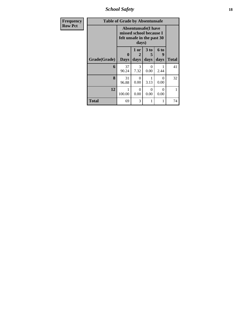*School Safety* **18**

| <b>Frequency</b> | <b>Table of Grade by Absentunsafe</b> |                            |                                                                |                         |                   |              |
|------------------|---------------------------------------|----------------------------|----------------------------------------------------------------|-------------------------|-------------------|--------------|
| <b>Row Pct</b>   |                                       | felt unsafe in the past 30 | <b>Absentunsafe(I have</b><br>missed school because I<br>days) |                         |                   |              |
|                  | Grade(Grade)                          | $\bf{0}$<br><b>Days</b>    | 1 or<br>2<br>days                                              | 3 <sub>to</sub><br>days | 6 to<br>9<br>days | <b>Total</b> |
|                  | 6                                     | 37<br>90.24                | 3<br>7.32                                                      | $\Omega$<br>0.00        | 1<br>2.44         | 41           |
|                  | 8                                     | 31<br>96.88                | $\Omega$<br>0.00                                               | 3.13                    | $\Omega$<br>0.00  | 32           |
|                  | 12                                    | 1<br>100.00                | 0<br>0.00                                                      | 0<br>0.00               | $\Omega$<br>0.00  | 1            |
|                  | <b>Total</b>                          | 69                         | 3                                                              |                         | 1                 | 74           |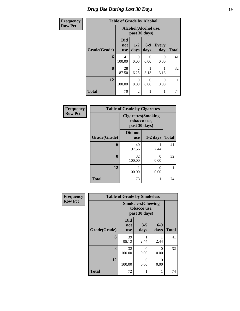| <b>Frequency</b> | <b>Table of Grade by Alcohol</b> |                                 |                                       |                 |                     |              |  |  |
|------------------|----------------------------------|---------------------------------|---------------------------------------|-----------------|---------------------|--------------|--|--|
| <b>Row Pct</b>   |                                  |                                 | Alcohol(Alcohol use,<br>past 30 days) |                 |                     |              |  |  |
|                  | Grade(Grade)                     | <b>Did</b><br>not<br><b>use</b> | $1-2$<br>days                         | $6 - 9$<br>days | <b>Every</b><br>day | <b>Total</b> |  |  |
|                  | 6                                | 41<br>100.00                    | $\mathcal{O}$<br>0.00                 | 0.00            | 0<br>0.00           | 41           |  |  |
|                  | 8                                | 28<br>87.50                     | 2<br>6.25                             | 3.13            | 3.13                | 32           |  |  |
|                  | 12                               | 100.00                          | 0<br>0.00                             | 0.00            | 0<br>0.00           | 1            |  |  |
|                  | <b>Total</b>                     | 70                              | $\overline{2}$                        |                 | 1                   | 74           |  |  |

| Frequency      | <b>Table of Grade by Cigarettes</b> |                                                             |            |              |  |  |  |
|----------------|-------------------------------------|-------------------------------------------------------------|------------|--------------|--|--|--|
| <b>Row Pct</b> |                                     | <b>Cigarettes</b> (Smoking<br>tobacco use,<br>past 30 days) |            |              |  |  |  |
|                | Grade(Grade)                        | Did not<br><b>use</b>                                       | $1-2$ days | <b>Total</b> |  |  |  |
|                | 6                                   | 40<br>97.56                                                 | 2.44       | 41           |  |  |  |
|                | 8                                   | 32<br>100.00                                                | 0<br>0.00  | 32           |  |  |  |
|                | 12                                  | 100.00                                                      | 0<br>0.00  |              |  |  |  |
|                | <b>Total</b>                        | 73                                                          | 1          | 74           |  |  |  |

| Frequency      | <b>Table of Grade by Smokeless</b> |                                 |                                                            |               |              |  |  |
|----------------|------------------------------------|---------------------------------|------------------------------------------------------------|---------------|--------------|--|--|
| <b>Row Pct</b> |                                    |                                 | <b>Smokeless</b> (Chewing<br>tobacco use,<br>past 30 days) |               |              |  |  |
|                | Grade(Grade)                       | <b>Did</b><br>not<br><b>use</b> | $3 - 5$<br>days                                            | $6-9$<br>days | <b>Total</b> |  |  |
|                | 6                                  | 39<br>95.12                     | 2.44                                                       | 2.44          | 41           |  |  |
|                | 8                                  | 32<br>100.00                    | 0<br>0.00                                                  | 0<br>0.00     | 32           |  |  |
|                | 12                                 | 100.00                          | 0<br>0.00                                                  | 0<br>0.00     |              |  |  |
|                | <b>Total</b>                       | 72                              |                                                            | 1             | 74           |  |  |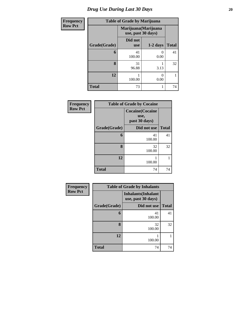| <b>Frequency</b> | <b>Table of Grade by Marijuana</b> |                       |                           |              |  |  |  |
|------------------|------------------------------------|-----------------------|---------------------------|--------------|--|--|--|
| <b>Row Pct</b>   |                                    |                       |                           |              |  |  |  |
|                  | Grade(Grade)                       | Did not<br><b>use</b> | $1-2$ days                | <b>Total</b> |  |  |  |
|                  | 6                                  | 41<br>100.00          | $\mathbf{\Omega}$<br>0.00 | 41           |  |  |  |
|                  | 8                                  | 31<br>96.88           | 3.13                      | 32           |  |  |  |
|                  | 12                                 | 100.00                | 0.00                      |              |  |  |  |
|                  | <b>Total</b>                       | 73                    | 1                         | 74           |  |  |  |

| Frequency      | <b>Table of Grade by Cocaine</b> |                                                  |              |  |  |  |
|----------------|----------------------------------|--------------------------------------------------|--------------|--|--|--|
| <b>Row Pct</b> |                                  | <b>Cocaine</b> (Cocaine<br>use,<br>past 30 days) |              |  |  |  |
|                | Grade(Grade)                     | Did not use                                      | <b>Total</b> |  |  |  |
|                | 6                                | 41<br>100.00                                     | 41           |  |  |  |
|                | 8                                | 32<br>100.00                                     | 32           |  |  |  |
|                | 12                               | 100.00                                           |              |  |  |  |
|                | <b>Total</b>                     | 74                                               | 74           |  |  |  |

| Frequency      | <b>Table of Grade by Inhalants</b> |                                                  |              |  |  |  |
|----------------|------------------------------------|--------------------------------------------------|--------------|--|--|--|
| <b>Row Pct</b> |                                    | <b>Inhalants</b> (Inhalant<br>use, past 30 days) |              |  |  |  |
|                | Grade(Grade)                       | Did not use                                      | <b>Total</b> |  |  |  |
|                | 6                                  | 41<br>100.00                                     | 41           |  |  |  |
|                | 8                                  | 32<br>100.00                                     | 32           |  |  |  |
|                | 12                                 | 100.00                                           | 1            |  |  |  |
|                | <b>Total</b>                       | 74                                               | 74           |  |  |  |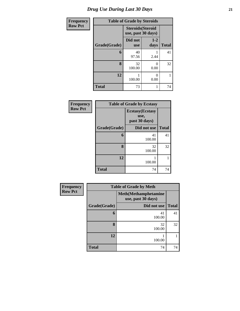| Frequency      | <b>Table of Grade by Steroids</b> |                                                |               |              |  |  |
|----------------|-----------------------------------|------------------------------------------------|---------------|--------------|--|--|
| <b>Row Pct</b> |                                   | <b>Steroids</b> (Steroid<br>use, past 30 days) |               |              |  |  |
|                | Grade(Grade)                      | Did not<br><b>use</b>                          | $1-2$<br>days | <b>Total</b> |  |  |
|                | 6                                 | 40<br>97.56                                    | 2.44          | 41           |  |  |
|                | 8                                 | 32<br>100.00                                   | 0<br>0.00     | 32           |  |  |
|                | 12                                | 100.00                                         | 0<br>0.00     |              |  |  |
|                | <b>Total</b>                      | 73                                             |               | 74           |  |  |

| Frequency      | <b>Table of Grade by Ecstasy</b> |                                                  |              |  |
|----------------|----------------------------------|--------------------------------------------------|--------------|--|
| <b>Row Pct</b> |                                  | <b>Ecstasy</b> (Ecstasy<br>use,<br>past 30 days) |              |  |
|                | Grade(Grade)                     | Did not use                                      | <b>Total</b> |  |
|                | 6                                | 41<br>100.00                                     | 41           |  |
|                | 8                                | 32<br>100.00                                     | 32           |  |
|                | 12                               | 100.00                                           |              |  |
|                | <b>Total</b>                     | 74                                               | 74           |  |

| Frequency      | <b>Table of Grade by Meth</b> |                                                    |              |  |  |
|----------------|-------------------------------|----------------------------------------------------|--------------|--|--|
| <b>Row Pct</b> |                               | <b>Meth</b> (Methamphetamine<br>use, past 30 days) |              |  |  |
|                | Grade(Grade)                  | Did not use                                        | <b>Total</b> |  |  |
|                | 6                             | 41<br>100.00                                       | 41           |  |  |
|                | 8                             | 32<br>100.00                                       | 32           |  |  |
|                | 12                            | 100.00                                             |              |  |  |
|                | <b>Total</b>                  | 74                                                 | 74           |  |  |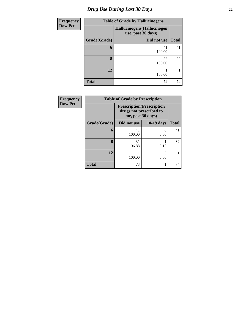| <b>Frequency</b> | <b>Table of Grade by Hallucinogens</b> |                                                  |              |  |  |  |
|------------------|----------------------------------------|--------------------------------------------------|--------------|--|--|--|
| <b>Row Pct</b>   |                                        | Hallucinogens(Hallucinogen<br>use, past 30 days) |              |  |  |  |
|                  | Grade(Grade)                           | Did not use                                      | <b>Total</b> |  |  |  |
|                  | 6                                      | 41<br>100.00                                     | 41           |  |  |  |
|                  | 8                                      | 32<br>100.00                                     | 32           |  |  |  |
|                  | 12                                     | 100.00                                           | 1            |  |  |  |
|                  | <b>Total</b>                           | 74                                               | 74           |  |  |  |

| <b>Frequency</b> | <b>Table of Grade by Prescription</b> |                                                                                   |              |              |  |
|------------------|---------------------------------------|-----------------------------------------------------------------------------------|--------------|--------------|--|
| <b>Row Pct</b>   |                                       | <b>Prescription</b> (Prescription<br>drugs not prescribed to<br>me, past 30 days) |              |              |  |
|                  | Grade(Grade)                          | Did not use                                                                       | $10-19$ days | <b>Total</b> |  |
|                  | 6                                     | 41<br>100.00                                                                      | 0.00         | 41           |  |
|                  | 8                                     | 31<br>96.88                                                                       | 3.13         | 32           |  |
|                  | 12                                    | 100.00                                                                            | 0.00         |              |  |
|                  | <b>Total</b>                          | 73                                                                                |              | 74           |  |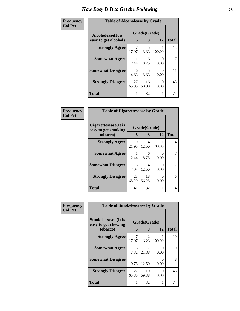| <b>Frequency</b> | <b>Table of Alcoholease by Grade</b>      |             |                   |                  |                |
|------------------|-------------------------------------------|-------------|-------------------|------------------|----------------|
| <b>Col Pct</b>   | Alcoholease(It is<br>easy to get alcohol) | 6           | Grade(Grade)<br>8 | 12               | <b>Total</b>   |
|                  | <b>Strongly Agree</b>                     | 7<br>17.07  | 5<br>15.63        | 100.00           | 13             |
|                  | <b>Somewhat Agree</b>                     | 2.44        | 6<br>18.75        | 0<br>0.00        | $\overline{7}$ |
|                  | <b>Somewhat Disagree</b>                  | 6<br>14.63  | 5<br>15.63        | $\theta$<br>0.00 | 11             |
|                  | <b>Strongly Disagree</b>                  | 27<br>65.85 | 16<br>50.00       | 0<br>0.00        | 43             |
|                  | <b>Total</b>                              | 41          | 32                | 1                | 74             |

| Frequency      | <b>Table of Cigarettesease by Grade</b>                 |             |                   |           |              |
|----------------|---------------------------------------------------------|-------------|-------------------|-----------|--------------|
| <b>Col Pct</b> | Cigarettesease(It is<br>easy to get smoking<br>tobacco) | 6           | Grade(Grade)<br>8 | 12        | <b>Total</b> |
|                | <b>Strongly Agree</b>                                   | 9<br>21.95  | 4<br>12.50        | 100.00    | 14           |
|                | <b>Somewhat Agree</b>                                   | 2.44        | 6<br>18.75        | 0<br>0.00 |              |
|                | <b>Somewhat Disagree</b>                                | 3<br>7.32   | 4<br>12.50        | 0<br>0.00 |              |
|                | <b>Strongly Disagree</b>                                | 28<br>68.29 | 18<br>56.25       | ∩<br>0.00 | 46           |
|                | <b>Total</b>                                            | 41          | 32                |           | 74           |

| Frequency      | <b>Table of Smokelessease by Grade</b>                         |             |                   |                  |              |
|----------------|----------------------------------------------------------------|-------------|-------------------|------------------|--------------|
| <b>Col Pct</b> | <b>Smokelessease</b> (It is<br>easy to get chewing<br>tobacco) | 6           | Grade(Grade)<br>8 | 12               | <b>Total</b> |
|                | <b>Strongly Agree</b>                                          | 7<br>17.07  | 2<br>6.25         | 100.00           | 10           |
|                | <b>Somewhat Agree</b>                                          | 3<br>7.32   | 21.88             | $\Omega$<br>0.00 | 10           |
|                | <b>Somewhat Disagree</b>                                       | 4<br>9.76   | 4<br>12.50        | $\Omega$<br>0.00 | 8            |
|                | <b>Strongly Disagree</b>                                       | 27<br>65.85 | 19<br>59.38       | $\theta$<br>0.00 | 46           |
|                | Total                                                          | 41          | 32                | 1                | 74           |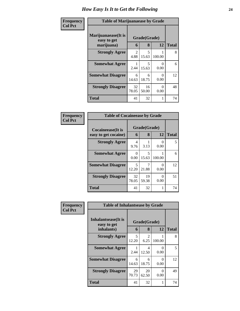| Frequency      | <b>Table of Marijuanaease by Grade</b>            |                       |                   |           |              |
|----------------|---------------------------------------------------|-----------------------|-------------------|-----------|--------------|
| <b>Col Pct</b> | Marijuanaease (It is<br>easy to get<br>marijuana) | 6                     | Grade(Grade)<br>8 | 12        | <b>Total</b> |
|                | <b>Strongly Agree</b>                             | $\mathcal{L}$<br>4.88 | 5<br>15.63        | 100.00    | 8            |
|                | <b>Somewhat Agree</b>                             | 2.44                  | 5<br>15.63        | 0<br>0.00 | 6            |
|                | <b>Somewhat Disagree</b>                          | 6<br>14.63            | 6<br>18.75        | 0<br>0.00 | 12           |
|                | <b>Strongly Disagree</b>                          | 32<br>78.05           | 16<br>50.00       | 0<br>0.00 | 48           |
|                | <b>Total</b>                                      | 41                    | 32                |           | 74           |

| Frequency      | <b>Table of Cocaineease by Grade</b>      |             |                   |           |              |
|----------------|-------------------------------------------|-------------|-------------------|-----------|--------------|
| <b>Col Pct</b> | Cocaineease(It is<br>easy to get cocaine) | 6           | Grade(Grade)<br>8 | 12        | <b>Total</b> |
|                | <b>Strongly Agree</b>                     | 4<br>9.76   | 3.13              | 0.00      | 5            |
|                | <b>Somewhat Agree</b>                     | 0<br>0.00   | 5<br>15.63        | 100.00    | 6            |
|                | <b>Somewhat Disagree</b>                  | 5<br>12.20  | 21.88             | 0<br>0.00 | 12           |
|                | <b>Strongly Disagree</b>                  | 32<br>78.05 | 19<br>59.38       | 0<br>0.00 | 51           |
|                | <b>Total</b>                              | 41          | 32                | 1         | 74           |

| Frequency<br><b>Col Pct</b> | <b>Table of Inhalantsease by Grade</b> |                                   |              |           |              |
|-----------------------------|----------------------------------------|-----------------------------------|--------------|-----------|--------------|
|                             | Inhalantsease(It is<br>easy to get     |                                   | Grade(Grade) |           |              |
|                             | inhalants)                             | 6                                 | 8            | 12        | <b>Total</b> |
|                             | <b>Strongly Agree</b>                  | $\overline{\phantom{0}}$<br>12.20 | 2<br>6.25    | 100.00    | 8            |
|                             | <b>Somewhat Agree</b>                  | 2.44                              | 4<br>12.50   | 0<br>0.00 | 5            |
|                             | <b>Somewhat Disagree</b>               | 6<br>14.63                        | 6<br>18.75   | 0<br>0.00 | 12           |
|                             | <b>Strongly Disagree</b>               | 29<br>70.73                       | 20<br>62.50  | 0<br>0.00 | 49           |
|                             | <b>Total</b>                           | 41                                | 32           | 1         | 74           |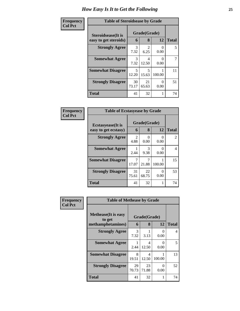| Frequency      | <b>Table of Steroidsease by Grade</b>               |                              |             |           |              |
|----------------|-----------------------------------------------------|------------------------------|-------------|-----------|--------------|
| <b>Col Pct</b> | <b>Steroidsease</b> (It is<br>easy to get steroids) | Grade(Grade)<br>12<br>8<br>6 |             |           | <b>Total</b> |
|                | <b>Strongly Agree</b>                               | 3<br>7.32                    | 2<br>6.25   | 0<br>0.00 | 5            |
|                | <b>Somewhat Agree</b>                               | 3<br>7.32                    | 4<br>12.50  | 0<br>0.00 | 7            |
|                | <b>Somewhat Disagree</b>                            | 5<br>12.20                   | 5<br>15.63  | 100.00    | 11           |
|                | <b>Strongly Disagree</b>                            | 30<br>73.17                  | 21<br>65.63 | 0<br>0.00 | 51           |
|                | <b>Total</b>                                        | 41                           | 32          |           | 74           |

| Frequency      | <b>Table of Ecstasyease by Grade</b>              |             |                           |                  |              |
|----------------|---------------------------------------------------|-------------|---------------------------|------------------|--------------|
| <b>Col Pct</b> | <b>Ecstasyease</b> (It is<br>easy to get ecstasy) | 6           | Grade(Grade)<br>8         | 12               | <b>Total</b> |
|                | <b>Strongly Agree</b>                             | 2<br>4.88   | $\mathbf{\Omega}$<br>0.00 | $\theta$<br>0.00 | 2            |
|                | <b>Somewhat Agree</b>                             | 2.44        | 3<br>9.38                 | $\Omega$<br>0.00 | 4            |
|                | <b>Somewhat Disagree</b>                          | 7<br>17.07  | 21.88                     | 100.00           | 15           |
|                | <b>Strongly Disagree</b>                          | 31<br>75.61 | 22<br>68.75               | 0<br>0.00        | 53           |
|                | <b>Total</b>                                      | 41          | 32                        |                  | 74           |

| Frequency      | <b>Table of Methease by Grade</b>                          |             |                   |                  |              |
|----------------|------------------------------------------------------------|-------------|-------------------|------------------|--------------|
| <b>Col Pct</b> | <b>Methease</b> (It is easy<br>to get<br>methamphetamines) | 6           | Grade(Grade)<br>8 | 12               | <b>Total</b> |
|                | <b>Strongly Agree</b>                                      | 3<br>7.32   | 3.13              | 0<br>0.00        | 4            |
|                | <b>Somewhat Agree</b>                                      | 2.44        | 4<br>12.50        | 0<br>0.00        | 5            |
|                | <b>Somewhat Disagree</b>                                   | 8<br>19.51  | 4<br>12.50        | 100.00           | 13           |
|                | <b>Strongly Disagree</b>                                   | 29<br>70.73 | 23<br>71.88       | $\theta$<br>0.00 | 52           |
|                | <b>Total</b>                                               | 41          | 32                | 1                | 74           |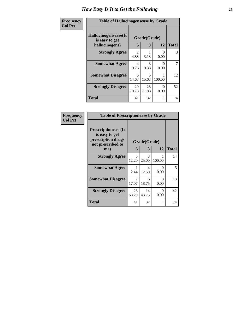| Frequency      | <b>Table of Hallucinogensease by Grade</b>               |                        |                       |           |              |
|----------------|----------------------------------------------------------|------------------------|-----------------------|-----------|--------------|
| <b>Col Pct</b> | Hallucinogensease(It<br>is easy to get<br>hallucinogens) | 6                      | Grade(Grade)<br>8     | 12        | <b>Total</b> |
|                | <b>Strongly Agree</b>                                    | $\mathfrak{D}$<br>4.88 | 3.13                  | 0<br>0.00 | 3            |
|                | <b>Somewhat Agree</b>                                    | 4<br>9.76              | $\mathcal{R}$<br>9.38 | ∩<br>0.00 | 7            |
|                | <b>Somewhat Disagree</b>                                 | 6<br>14.63             | 5<br>15.63            | 100.00    | 12           |
|                | <b>Strongly Disagree</b>                                 | 29<br>70.73            | 23<br>71.88           | 0<br>0.00 | 52           |
|                | <b>Total</b>                                             | 41                     | 32                    |           | 74           |

| Frequency      | <b>Table of Prescriptionease by Grade</b>                                                |             |              |                  |              |
|----------------|------------------------------------------------------------------------------------------|-------------|--------------|------------------|--------------|
| <b>Col Pct</b> | <b>Prescriptionease</b> (It<br>is easy to get<br>prescription drugs<br>not prescribed to |             | Grade(Grade) |                  |              |
|                | me)                                                                                      | 6           | 8            | 12               | <b>Total</b> |
|                | <b>Strongly Agree</b>                                                                    | 5<br>12.20  | 8<br>25.00   | 100.00           | 14           |
|                | <b>Somewhat Agree</b>                                                                    | 2.44        | 4<br>12.50   | $\Omega$<br>0.00 | 5            |
|                | <b>Somewhat Disagree</b>                                                                 | 7<br>17.07  | 6<br>18.75   | $\Omega$<br>0.00 | 13           |
|                | <b>Strongly Disagree</b>                                                                 | 28<br>68.29 | 14<br>43.75  | 0<br>0.00        | 42           |
|                | <b>Total</b>                                                                             | 41          | 32           |                  | 74           |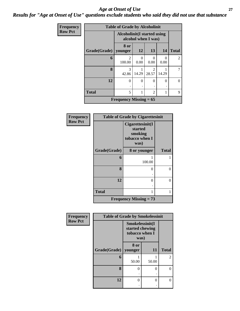#### *Age at Onset of Use* **27** *Results for "Age at Onset of Use" questions exclude students who said they did not use that substance*

| Frequency      | <b>Table of Grade by Alcoholinit</b> |                                     |                           |                                      |           |                |
|----------------|--------------------------------------|-------------------------------------|---------------------------|--------------------------------------|-----------|----------------|
| <b>Row Pct</b> |                                      | <b>Alcoholinit</b> (I started using |                           | alcohol when I was)                  |           |                |
|                | Grade(Grade)                         | 8 or<br>younger                     | <b>12</b>                 | 13                                   | 14        | <b>Total</b>   |
|                | 6                                    | 2<br>100.00                         | $\mathbf{\Omega}$<br>0.00 | 0.00                                 | 0<br>0.00 | $\overline{2}$ |
|                | 8                                    | 3<br>42.86                          | 14.29                     | $\mathcal{D}_{\mathcal{A}}$<br>28.57 | 14.29     | 7              |
|                | 12                                   | $\theta$                            | $\Omega$                  | 0                                    | $\Omega$  | $\Omega$       |
|                | <b>Total</b>                         | 5                                   | 1                         | $\mathfrak{D}$                       | 1         | 9              |
|                |                                      | Frequency Missing $= 65$            |                           |                                      |           |                |

| <b>Frequency</b> | <b>Table of Grade by Cigarettesinit</b> |                                                                  |              |  |  |
|------------------|-----------------------------------------|------------------------------------------------------------------|--------------|--|--|
| <b>Row Pct</b>   |                                         | Cigarettesinit(I<br>started<br>smoking<br>tobacco when I<br>was) |              |  |  |
|                  | Grade(Grade)                            | 8 or younger                                                     | <b>Total</b> |  |  |
|                  | 6                                       | 100.00                                                           | 1            |  |  |
|                  | 8                                       | 0<br>٠                                                           | $\Omega$     |  |  |
|                  | 12                                      | 0                                                                | $\Omega$     |  |  |
|                  | <b>Total</b>                            | 1                                                                | 1            |  |  |
|                  | <b>Frequency Missing = 73</b>           |                                                                  |              |  |  |

| <b>Frequency</b> | <b>Table of Grade by Smokelessinit</b> |                                                              |          |                |  |
|------------------|----------------------------------------|--------------------------------------------------------------|----------|----------------|--|
| <b>Row Pct</b>   |                                        | Smokelessinit(I<br>started chewing<br>tobacco when I<br>was) |          |                |  |
|                  | Grade(Grade)   younger                 | 8 or                                                         | 11       | <b>Total</b>   |  |
|                  | 6                                      | 50.00                                                        | 50.00    | $\mathfrak{D}$ |  |
|                  | 8                                      | 0                                                            | $\theta$ | 0              |  |
|                  | 12                                     | 0                                                            | 0        | 0              |  |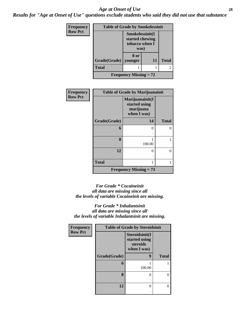#### *Age at Onset of Use* **28**

*Results for "Age at Onset of Use" questions exclude students who said they did not use that substance*

| Frequency      | <b>Table of Grade by Smokelessinit</b> |                                                              |    |              |  |
|----------------|----------------------------------------|--------------------------------------------------------------|----|--------------|--|
| <b>Row Pct</b> |                                        | Smokelessinit(I<br>started chewing<br>tobacco when I<br>was) |    |              |  |
|                |                                        | 8 or                                                         |    |              |  |
|                | Grade(Grade)   younger                 |                                                              | 11 | <b>Total</b> |  |
|                | <b>Total</b>                           |                                                              |    | 2            |  |
|                | <b>Frequency Missing = 72</b>          |                                                              |    |              |  |

| Frequency      |              | <b>Table of Grade by Marijuanainit</b>                       |              |  |  |
|----------------|--------------|--------------------------------------------------------------|--------------|--|--|
| <b>Row Pct</b> |              | Marijuanainit(I<br>started using<br>marijuana<br>when I was) |              |  |  |
|                | Grade(Grade) | 14                                                           | <b>Total</b> |  |  |
|                | 6            | 0                                                            | O            |  |  |
|                | 8            | 100.00                                                       |              |  |  |
|                | 12           | 0<br>٠                                                       |              |  |  |
|                | <b>Total</b> | 1                                                            |              |  |  |
|                |              | Frequency Missing $= 73$                                     |              |  |  |

#### *For Grade \* Cocaineinit all data are missing since all the levels of variable Cocaineinit are missing.*

#### *For Grade \* Inhalantsinit all data are missing since all the levels of variable Inhalantsinit are missing.*

| Frequency      | <b>Table of Grade by Steroidsinit</b> |                                                            |              |  |  |
|----------------|---------------------------------------|------------------------------------------------------------|--------------|--|--|
| <b>Row Pct</b> |                                       | Steroidsinit(I<br>started using<br>steroids<br>when I was) |              |  |  |
|                | Grade(Grade)                          | 9                                                          | <b>Total</b> |  |  |
|                | 6                                     | 100.00                                                     |              |  |  |
|                | 8                                     |                                                            | ∩            |  |  |
|                | 12                                    |                                                            | O            |  |  |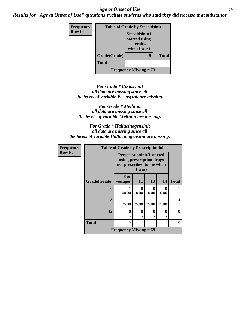#### *Age at Onset of Use* **29**

*Results for "Age at Onset of Use" questions exclude students who said they did not use that substance*

| Frequency      | <b>Table of Grade by Steroidsinit</b> |                                                            |              |  |  |
|----------------|---------------------------------------|------------------------------------------------------------|--------------|--|--|
| <b>Row Pct</b> |                                       | Steroidsinit(I<br>started using<br>steroids<br>when I was) |              |  |  |
|                | Grade(Grade)                          |                                                            | <b>Total</b> |  |  |
|                | <b>Total</b>                          |                                                            |              |  |  |
|                |                                       | <b>Frequency Missing = 73</b>                              |              |  |  |

*For Grade \* Ecstasyinit all data are missing since all the levels of variable Ecstasyinit are missing.*

*For Grade \* Methinit all data are missing since all the levels of variable Methinit are missing.*

*For Grade \* Hallucinogensinit all data are missing since all the levels of variable Hallucinogensinit are missing.*

| <b>Frequency</b> | <b>Table of Grade by Prescriptioninit</b> |                                                                                            |                  |           |                           |              |
|------------------|-------------------------------------------|--------------------------------------------------------------------------------------------|------------------|-----------|---------------------------|--------------|
| <b>Row Pct</b>   |                                           | <b>Prescriptioninit(I started</b><br>using prescription drugs<br>not prescribed to me when |                  |           |                           |              |
|                  | Grade(Grade)   younger                    | 8 or                                                                                       | 11               | 13        | 14                        | <b>Total</b> |
|                  | 6                                         | 100.00                                                                                     | $\Omega$<br>0.00 | 0<br>0.00 | $\mathbf{\Omega}$<br>0.00 |              |
|                  | 8                                         | 25.00                                                                                      | 25.00            | 25.00     | 25.00                     | 4            |
|                  | 12                                        | $\Omega$                                                                                   | $\theta$         | $\Omega$  | 0                         | 0            |
|                  | <b>Total</b>                              | $\mathfrak{D}$                                                                             | 1                | 1         | 1                         | 5            |
|                  |                                           | Frequency Missing $= 69$                                                                   |                  |           |                           |              |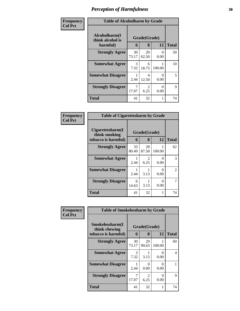| Frequency      |                                               | <b>Table of Alcoholharm by Grade</b> |                   |           |              |  |
|----------------|-----------------------------------------------|--------------------------------------|-------------------|-----------|--------------|--|
| <b>Col Pct</b> | Alcoholharm(I<br>think alcohol is<br>harmful) | 6                                    | Grade(Grade)<br>8 | 12        | <b>Total</b> |  |
|                | <b>Strongly Agree</b>                         | 30<br>73.17                          | 20<br>62.50       | 0<br>0.00 | 50           |  |
|                | <b>Somewhat Agree</b>                         | 3<br>7.32                            | 6<br>18.75        | 100.00    | 10           |  |
|                | <b>Somewhat Disagree</b>                      | 2.44                                 | 4<br>12.50        | 0<br>0.00 | 5            |  |
|                | <b>Strongly Disagree</b>                      | 7<br>17.07                           | 2<br>6.25         | 0<br>0.00 | 9            |  |
|                | <b>Total</b>                                  | 41                                   | 32                |           | 74           |  |

| Frequency      | <b>Table of Cigarettesharm by Grade</b>                  |             |                        |                  |              |  |
|----------------|----------------------------------------------------------|-------------|------------------------|------------------|--------------|--|
| <b>Col Pct</b> | Cigarettesharm(I<br>think smoking<br>tobacco is harmful) | 6           | Grade(Grade)<br>8      | 12               | <b>Total</b> |  |
|                | <b>Strongly Agree</b>                                    | 33<br>80.49 | 28<br>87.50            | 100.00           | 62           |  |
|                | <b>Somewhat Agree</b>                                    | 2.44        | $\mathfrak{D}$<br>6.25 | $\Omega$<br>0.00 | 3            |  |
|                | <b>Somewhat Disagree</b>                                 | 2.44        | 3.13                   | $\Omega$<br>0.00 | 2            |  |
|                | <b>Strongly Disagree</b>                                 | 6<br>14.63  | 3.13                   | $\Omega$<br>0.00 |              |  |
|                | <b>Total</b>                                             | 41          | 32                     |                  | 74           |  |

| Frequency      | <b>Table of Smokelessharm by Grade</b>                  |                              |                           |                  |              |  |
|----------------|---------------------------------------------------------|------------------------------|---------------------------|------------------|--------------|--|
| <b>Col Pct</b> | Smokelessharm(I<br>think chewing<br>tobacco is harmful) | Grade(Grade)<br>12<br>8<br>6 |                           |                  | <b>Total</b> |  |
|                | <b>Strongly Agree</b>                                   | 30<br>73.17                  | 29<br>90.63               | 100.00           | 60           |  |
|                | <b>Somewhat Agree</b>                                   | 3<br>7.32                    | 3.13                      | 0<br>0.00        | 4            |  |
|                | <b>Somewhat Disagree</b>                                | 2.44                         | $\mathbf{\Omega}$<br>0.00 | 0<br>0.00        |              |  |
|                | <b>Strongly Disagree</b>                                | 17.07                        | $\mathfrak{D}$<br>6.25    | $\Omega$<br>0.00 | 9            |  |
|                | <b>Total</b>                                            | 41                           | 32                        | 1                | 74           |  |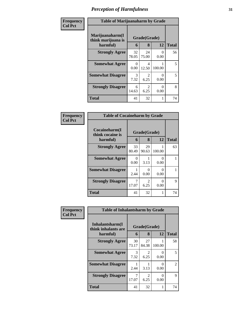| Frequency      | <b>Table of Marijuanaharm by Grade</b>            |                       |                   |           |              |  |
|----------------|---------------------------------------------------|-----------------------|-------------------|-----------|--------------|--|
| <b>Col Pct</b> | Marijuanaharm(I<br>think marijuana is<br>harmful) | 6                     | Grade(Grade)<br>8 | 12        | <b>Total</b> |  |
|                | <b>Strongly Agree</b>                             | 32<br>78.05           | 24<br>75.00       | 0<br>0.00 | 56           |  |
|                | <b>Somewhat Agree</b>                             | 0<br>0.00             | 4<br>12.50        | 100.00    | 5            |  |
|                | <b>Somewhat Disagree</b>                          | $\mathcal{R}$<br>7.32 | 2<br>6.25         | 0<br>0.00 | 5            |  |
|                | <b>Strongly Disagree</b>                          | 6<br>14.63            | 2<br>6.25         | 0<br>0.00 | 8            |  |
|                | <b>Total</b>                                      | 41                    | 32                |           | 74           |  |

| <b>Frequency</b><br>Col Pct |
|-----------------------------|
|                             |

| <b>Table of Cocaineharm by Grade</b>          |                   |                        |             |    |  |  |  |
|-----------------------------------------------|-------------------|------------------------|-------------|----|--|--|--|
| Cocaineharm(I<br>think cocaine is<br>harmful) | Grade(Grade)<br>6 | <b>Total</b>           |             |    |  |  |  |
| <b>Strongly Agree</b>                         | 33<br>80.49       | 29<br>90.63            | 1<br>100.00 | 63 |  |  |  |
| <b>Somewhat Agree</b>                         | 0<br>0.00         | 1<br>3.13              | 0<br>0.00   |    |  |  |  |
| <b>Somewhat Disagree</b>                      | 2.44              | 0<br>0.00              | 0<br>0.00   |    |  |  |  |
| <b>Strongly Disagree</b>                      | 7<br>17.07        | $\mathfrak{D}$<br>6.25 | ∩<br>0.00   | 9  |  |  |  |
| <b>Total</b>                                  | 41                | 32                     | 1           | 74 |  |  |  |

| Frequency      | <b>Table of Inhalantsharm by Grade</b>              |             |                              |           |                    |  |
|----------------|-----------------------------------------------------|-------------|------------------------------|-----------|--------------------|--|
| <b>Col Pct</b> | Inhalantsharm(I)<br>think inhalants are<br>harmful) |             | Grade(Grade)<br>12<br>8<br>6 |           |                    |  |
|                | <b>Strongly Agree</b>                               | 30<br>73.17 | 27<br>84.38                  | 100.00    | <b>Total</b><br>58 |  |
|                | <b>Somewhat Agree</b>                               | 3<br>7.32   | $\mathfrak{D}$<br>6.25       | 0<br>0.00 | 5                  |  |
|                | <b>Somewhat Disagree</b>                            | 2.44        | 3.13                         | 0<br>0.00 | $\mathcal{L}$      |  |
|                | <b>Strongly Disagree</b>                            | 7<br>17.07  | $\mathfrak{D}$<br>6.25       | 0<br>0.00 | 9                  |  |
|                | <b>Total</b>                                        | 41          | 32                           | 1         | 74                 |  |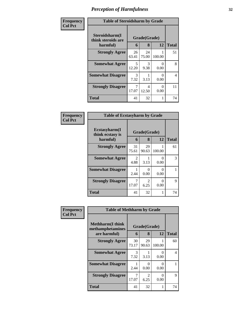| Frequency      | <b>Table of Steroidsharm by Grade</b>            |                              |             |           |                          |  |
|----------------|--------------------------------------------------|------------------------------|-------------|-----------|--------------------------|--|
| <b>Col Pct</b> | Steroidsharm(I<br>think steroids are<br>harmful) | Grade(Grade)<br>12<br>8<br>6 |             |           | <b>Total</b>             |  |
|                | <b>Strongly Agree</b>                            | 26<br>63.41                  | 24<br>75.00 | 100.00    | 51                       |  |
|                | <b>Somewhat Agree</b>                            | 5<br>12.20                   | 3<br>9.38   | 0<br>0.00 | 8                        |  |
|                | <b>Somewhat Disagree</b>                         | 3<br>7.32                    | 3.13        | 0<br>0.00 | $\overline{\mathcal{L}}$ |  |
|                | <b>Strongly Disagree</b>                         | 7<br>17.07                   | 4<br>12.50  | 0<br>0.00 | 11                       |  |
|                | <b>Total</b>                                     | 41                           | 32          | 1         | 74                       |  |

| Frequency<br>Col Pct |
|----------------------|
|                      |

| <b>Table of Ecstasyharm by Grade</b>                |             |                         |             |    |  |  |  |
|-----------------------------------------------------|-------------|-------------------------|-------------|----|--|--|--|
| $E$ cstasyharm $(I$<br>think ecstasy is<br>harmful) | 6           | Grade(Grade)<br>12<br>8 |             |    |  |  |  |
| <b>Strongly Agree</b>                               | 31<br>75.61 | 29<br>90.63             | 1<br>100.00 | 61 |  |  |  |
| <b>Somewhat Agree</b>                               | 2<br>4.88   | 1<br>3.13               | 0<br>0.00   | 3  |  |  |  |
| <b>Somewhat Disagree</b>                            | 1<br>2.44   | 0<br>0.00               | 0<br>0.00   |    |  |  |  |
| <b>Strongly Disagree</b>                            | 7<br>17.07  | $\mathfrak{D}$<br>6.25  | 0<br>0.00   | 9  |  |  |  |
| <b>Total</b>                                        | 41          | 32                      | 1           | 74 |  |  |  |

| Frequency      | <b>Table of Methharm by Grade</b>            |              |                                     |                           |              |  |
|----------------|----------------------------------------------|--------------|-------------------------------------|---------------------------|--------------|--|
| <b>Col Pct</b> | <b>Methharm</b> (I think<br>methamphetamines | Grade(Grade) |                                     |                           |              |  |
|                | are harmful)                                 | 6            | 8                                   | 12                        | <b>Total</b> |  |
|                | <b>Strongly Agree</b>                        | 30<br>73.17  | 29<br>90.63                         | 100.00                    | 60           |  |
|                | <b>Somewhat Agree</b>                        | 3<br>7.32    | 3.13                                | $\mathbf{\Omega}$<br>0.00 | 4            |  |
|                | <b>Somewhat Disagree</b>                     | 2.44         | 0.00                                | ∩<br>0.00                 |              |  |
|                | <b>Strongly Disagree</b>                     | 17.07        | $\mathcal{D}_{\mathcal{L}}$<br>6.25 | 0<br>0.00                 | 9            |  |
|                | <b>Total</b>                                 | 41           | 32                                  | 1                         | 74           |  |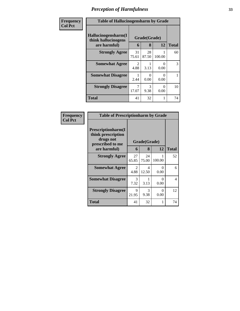| Frequency      | <b>Table of Hallucinogensharm by Grade</b>                 |                       |                   |                           |              |  |
|----------------|------------------------------------------------------------|-----------------------|-------------------|---------------------------|--------------|--|
| <b>Col Pct</b> | Hallucinogensharm(I<br>think hallucinogens<br>are harmful) | 6                     | Grade(Grade)<br>8 | 12                        | <b>Total</b> |  |
|                | <b>Strongly Agree</b>                                      | 31<br>75.61           | 28<br>87.50       | 100.00                    | 60           |  |
|                | <b>Somewhat Agree</b>                                      | $\mathcal{L}$<br>4.88 | 3.13              | $\Omega$<br>0.00          | 3            |  |
|                | <b>Somewhat Disagree</b>                                   | 2.44                  | 0.00              | $\mathbf{\Omega}$<br>0.00 |              |  |
|                | <b>Strongly Disagree</b>                                   | 7<br>17.07            | 3<br>9.38         | ∩<br>0.00                 | 10           |  |
|                | <b>Total</b>                                               | 41                    | 32                |                           | 74           |  |

| Frequency      | <b>Table of Prescriptionharm by Grade</b>                                                 |             |                   |                  |                |
|----------------|-------------------------------------------------------------------------------------------|-------------|-------------------|------------------|----------------|
| <b>Col Pct</b> | Prescriptionharm(I<br>think prescription<br>drugs not<br>prescribed to me<br>are harmful) | 6           | Grade(Grade)<br>8 | 12               | <b>Total</b>   |
|                | <b>Strongly Agree</b>                                                                     | 27<br>65.85 | 24<br>75.00       | 100.00           | 52             |
|                | <b>Somewhat Agree</b>                                                                     | 2<br>4.88   | 4<br>12.50        | $\Omega$<br>0.00 | 6              |
|                | <b>Somewhat Disagree</b>                                                                  | 3<br>7.32   | 3.13              | 0<br>0.00        | $\overline{4}$ |
|                | <b>Strongly Disagree</b>                                                                  | 9<br>21.95  | 3<br>9.38         | $\Omega$<br>0.00 | 12             |
|                | Total                                                                                     | 41          | 32                | 1                | 74             |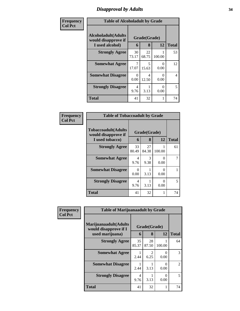## *Disapproval by Adults* **34**

| Frequency      | <b>Table of Alcoholadult by Grade</b>                                 |             |                   |           |              |
|----------------|-----------------------------------------------------------------------|-------------|-------------------|-----------|--------------|
| <b>Col Pct</b> | <b>Alcoholadult</b> (Adults<br>would disapprove if<br>I used alcohol) | 6           | Grade(Grade)<br>8 | 12        | <b>Total</b> |
|                | <b>Strongly Agree</b>                                                 | 30<br>73.17 | 22<br>68.75       | 100.00    | 53           |
|                | <b>Somewhat Agree</b>                                                 | 7<br>17.07  | 5<br>15.63        | 0<br>0.00 | 12           |
|                | <b>Somewhat Disagree</b>                                              | 0<br>0.00   | 4<br>12.50        | 0<br>0.00 | 4            |
|                | <b>Strongly Disagree</b>                                              | 4<br>9.76   | 3.13              | 0<br>0.00 | 5            |
|                | <b>Total</b>                                                          | 41          | 32                | 1         | 74           |

| Frequency      | <b>Table of Tobaccoadult by Grade</b>                                |                  |                   |           |              |
|----------------|----------------------------------------------------------------------|------------------|-------------------|-----------|--------------|
| <b>Col Pct</b> | <b>Tobaccoadult(Adults</b><br>would disapprove if<br>I used tobacco) | 6                | Grade(Grade)<br>8 | 12        | <b>Total</b> |
|                | <b>Strongly Agree</b>                                                | 33<br>80.49      | 27<br>84.38       | 100.00    | 61           |
|                | <b>Somewhat Agree</b>                                                | 4<br>9.76        | 3<br>9.38         | 0<br>0.00 |              |
|                | <b>Somewhat Disagree</b>                                             | $\Omega$<br>0.00 | 3.13              | 0<br>0.00 |              |
|                | <b>Strongly Disagree</b>                                             | 4<br>9.76        | 3.13              | 0<br>0.00 | 5            |
|                | <b>Total</b>                                                         | 41               | 32                | 1         | 74           |

| Frequency      | <b>Table of Marijuanaadult by Grade</b>                           |             |                   |                  |                |
|----------------|-------------------------------------------------------------------|-------------|-------------------|------------------|----------------|
| <b>Col Pct</b> | Marijuanaadult(Adults<br>would disapprove if I<br>used marijuana) | 6           | Grade(Grade)<br>8 | 12               | <b>Total</b>   |
|                | <b>Strongly Agree</b>                                             | 35<br>85.37 | 28<br>87.50       | 100.00           | 64             |
|                | <b>Somewhat Agree</b>                                             | 2.44        | 2<br>6.25         | $\Omega$<br>0.00 | 3              |
|                | <b>Somewhat Disagree</b>                                          | 2.44        | 3.13              | $\Omega$<br>0.00 | $\overline{2}$ |
|                | <b>Strongly Disagree</b>                                          | 4<br>9.76   | 3.13              | $\Omega$<br>0.00 | 5              |
|                | <b>Total</b>                                                      | 41          | 32                |                  | 74             |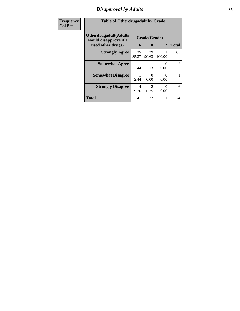### *Disapproval by Adults* **35**

| Frequency      | <b>Table of Otherdrugadult by Grade</b>                                     |             |                   |                           |                |
|----------------|-----------------------------------------------------------------------------|-------------|-------------------|---------------------------|----------------|
| <b>Col Pct</b> | <b>Otherdrugadult</b> (Adults<br>would disapprove if I<br>used other drugs) | 6           | Grade(Grade)<br>8 | 12                        | <b>Total</b>   |
|                | <b>Strongly Agree</b>                                                       | 35<br>85.37 | 29<br>90.63       | 100.00                    | 65             |
|                | <b>Somewhat Agree</b>                                                       | 2.44        | 3.13              | $\mathbf{0}$<br>0.00      | $\overline{2}$ |
|                | <b>Somewhat Disagree</b>                                                    | 2.44        | 0.00              | $\mathbf{\Omega}$<br>0.00 |                |
|                | <b>Strongly Disagree</b>                                                    | 4<br>9.76   | 6.25              | 0<br>0.00                 | 6              |
|                | <b>Total</b>                                                                | 41          | 32                |                           | 74             |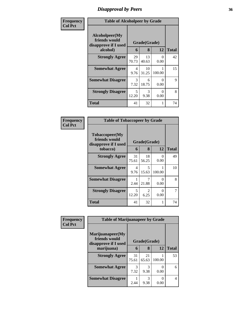### *Disapproval by Peers* **36**

| Frequency      | <b>Table of Alcoholpeer by Grade</b>                                    |             |             |           |              |
|----------------|-------------------------------------------------------------------------|-------------|-------------|-----------|--------------|
| <b>Col Pct</b> | Alcoholpeer(My<br>friends would<br>Grade(Grade)<br>disapprove if I used |             |             |           |              |
|                | alcohol)                                                                | 6           | 8           | 12        | <b>Total</b> |
|                | <b>Strongly Agree</b>                                                   | 29<br>70.73 | 13<br>40.63 | 0<br>0.00 | 42           |
|                | <b>Somewhat Agree</b>                                                   | 4<br>9.76   | 10<br>31.25 | 100.00    | 15           |
|                | <b>Somewhat Disagree</b>                                                | 3<br>7.32   | 6<br>18.75  | 0<br>0.00 | 9            |
|                | <b>Strongly Disagree</b>                                                | 5<br>12.20  | 3<br>9.38   | 0<br>0.00 | 8            |
|                | <b>Total</b>                                                            | 41          | 32          | 1         | 74           |

| Frequency      | <b>Table of Tobaccopeer by Grade</b>                                |             |                        |           |              |
|----------------|---------------------------------------------------------------------|-------------|------------------------|-----------|--------------|
| <b>Col Pct</b> | Tobaccopeer(My<br>friends would<br>disapprove if I used<br>tobacco) | 6           | Grade(Grade)<br>8      | 12        | <b>Total</b> |
|                | <b>Strongly Agree</b>                                               | 31<br>75.61 | 18<br>56.25            | 0<br>0.00 | 49           |
|                | <b>Somewhat Agree</b>                                               | 4<br>9.76   | 5<br>15.63             | 100.00    | 10           |
|                | <b>Somewhat Disagree</b>                                            | 2.44        | 21.88                  | 0<br>0.00 | 8            |
|                | <b>Strongly Disagree</b>                                            | 5<br>12.20  | $\mathfrak{D}$<br>6.25 | 0<br>0.00 | 7            |
|                | Total                                                               | 41          | 32                     | 1         | 74           |

| Frequency      | <b>Table of Marijuanapeer by Grade</b>                    |              |             |        |              |
|----------------|-----------------------------------------------------------|--------------|-------------|--------|--------------|
| <b>Col Pct</b> | Marijuanapeer(My<br>friends would<br>disapprove if I used | Grade(Grade) |             |        |              |
|                | marijuana)                                                | 6            | 8           | 12     | <b>Total</b> |
|                | <b>Strongly Agree</b>                                     | 31<br>75.61  | 21<br>65.63 | 100.00 | 53           |
|                | <b>Somewhat Agree</b>                                     | 3<br>7.32    | 9.38        | 0.00   | 6            |
|                | <b>Somewhat Disagree</b>                                  | 2.44         | 9.38        | 0.00   | 4            |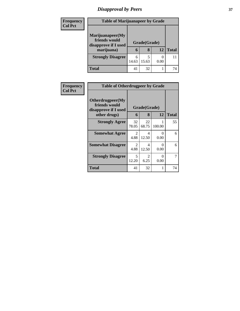# *Disapproval by Peers* **37**

| <b>Frequency</b><br><b>Col Pct</b> | <b>Table of Marijuanapeer by Grade</b>                                  |            |                   |      |              |  |  |
|------------------------------------|-------------------------------------------------------------------------|------------|-------------------|------|--------------|--|--|
|                                    | Marijuanapeer(My<br>friends would<br>disapprove if I used<br>marijuana) | 6          | Grade(Grade)<br>8 | 12   | <b>Total</b> |  |  |
|                                    | <b>Strongly Disagree</b>                                                | 6<br>14.63 | 15.63             | 0.00 |              |  |  |
|                                    | Total                                                                   | 41         | 32                |      | 74           |  |  |

| <b>Frequency</b> | <b>Table of Otherdrugpeer by Grade</b>                                    |                   |              |           |    |  |
|------------------|---------------------------------------------------------------------------|-------------------|--------------|-----------|----|--|
| <b>Col Pct</b>   | Otherdrugpeer(My<br>friends would<br>disapprove if I used<br>other drugs) | Grade(Grade)<br>6 | <b>Total</b> |           |    |  |
|                  | <b>Strongly Agree</b>                                                     | 32<br>78.05       | 22<br>68.75  | 100.00    | 55 |  |
|                  | <b>Somewhat Agree</b>                                                     | 2<br>4.88         | 4<br>12.50   | 0<br>0.00 | 6  |  |
|                  | <b>Somewhat Disagree</b>                                                  | 2<br>4.88         | 4<br>12.50   | ∩<br>0.00 | 6  |  |
|                  | <b>Strongly Disagree</b>                                                  | 5<br>12.20        | 2<br>6.25    | 0<br>0.00 |    |  |
|                  | Total                                                                     | 41                | 32           |           | 74 |  |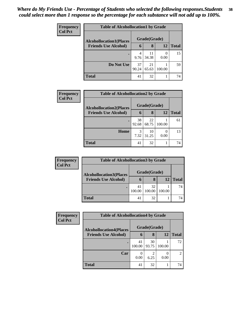| Frequency      | <b>Table of Alcohollocation1 by Grade</b>                     |              |             |           |              |  |  |  |
|----------------|---------------------------------------------------------------|--------------|-------------|-----------|--------------|--|--|--|
| <b>Col Pct</b> | <b>Alcohollocation1(Places</b><br><b>Friends Use Alcohol)</b> | Grade(Grade) |             |           |              |  |  |  |
|                |                                                               | $\mathbf b$  | 8           | 12        | <b>Total</b> |  |  |  |
|                |                                                               | 9.76         | 11<br>34.38 | 0<br>0.00 | 15           |  |  |  |
|                | Do Not Use                                                    | 37<br>90.24  | 21<br>65.63 | 100.00    | 59           |  |  |  |
|                | <b>Total</b>                                                  | 41           | 32          |           | 74           |  |  |  |

| <b>Frequency</b> | <b>Table of Alcohollocation2 by Grade</b>                     |              |             |        |              |  |  |
|------------------|---------------------------------------------------------------|--------------|-------------|--------|--------------|--|--|
| <b>Col Pct</b>   | <b>Alcohollocation2(Places</b><br><b>Friends Use Alcohol)</b> | Grade(Grade) |             |        |              |  |  |
|                  |                                                               | 6            | 8           | 12     | <b>Total</b> |  |  |
|                  |                                                               | 38<br>92.68  | 22<br>68.75 | 100.00 | 61           |  |  |
|                  | Home                                                          | 3<br>7.32    | 10<br>31.25 | 0.00   | 13           |  |  |
|                  | <b>Total</b>                                                  | 41           | 32          |        | 74           |  |  |

| <b>Frequency</b> | <b>Table of Alcohollocation3 by Grade</b>                     |              |              |        |              |  |  |  |
|------------------|---------------------------------------------------------------|--------------|--------------|--------|--------------|--|--|--|
| <b>Col Pct</b>   | <b>Alcohollocation3(Places</b><br><b>Friends Use Alcohol)</b> | Grade(Grade) |              |        |              |  |  |  |
|                  |                                                               | h            | 8            | 12     | <b>Total</b> |  |  |  |
|                  |                                                               | 41<br>100.00 | 32<br>100.00 | 100.00 | 74           |  |  |  |
|                  | <b>Total</b>                                                  | 41           | 32           |        | 74           |  |  |  |

| Frequency      | <b>Table of Alcohollocation4 by Grade</b> |              |                        |        |               |  |  |
|----------------|-------------------------------------------|--------------|------------------------|--------|---------------|--|--|
| <b>Col Pct</b> | <b>Alcohollocation4(Places</b>            | Grade(Grade) |                        |        |               |  |  |
|                | <b>Friends Use Alcohol)</b>               | 6            | 8                      | 12     | Total         |  |  |
|                |                                           | 41<br>100.00 | 30<br>93.75            | 100.00 | 72            |  |  |
|                | Car                                       | 0.00         | $\mathfrak{D}$<br>6.25 | 0.00   | $\mathcal{D}$ |  |  |
|                | <b>Total</b>                              | 41           | 32                     |        | 74            |  |  |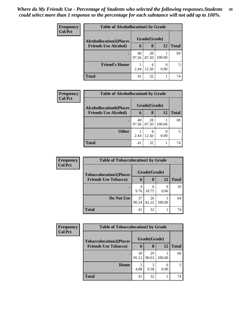| <b>Frequency</b><br><b>Col Pct</b> | <b>Table of Alcohollocation5 by Grade</b> |              |             |        |              |  |
|------------------------------------|-------------------------------------------|--------------|-------------|--------|--------------|--|
|                                    | <b>Alcohollocation5(Places</b>            | Grade(Grade) |             |        |              |  |
|                                    | <b>Friends Use Alcohol)</b>               | 6            | 8           | 12     | <b>Total</b> |  |
|                                    |                                           | 40<br>97.56  | 28<br>87.50 | 100.00 | 69           |  |
|                                    | <b>Friend's House</b>                     | 2.44         | 12.50       | 0.00   | 5            |  |
|                                    | <b>Total</b>                              | 41           | 32          |        | 74           |  |

| <b>Frequency</b> | <b>Table of Alcohollocation6 by Grade</b>                     |              |       |        |              |
|------------------|---------------------------------------------------------------|--------------|-------|--------|--------------|
| <b>Col Pct</b>   | <b>Alcohollocation6(Places</b><br><b>Friends Use Alcohol)</b> | Grade(Grade) |       |        |              |
|                  |                                                               | 6            | 8     | 12     | <b>Total</b> |
|                  |                                                               | 40           | 28    |        | 69           |
|                  |                                                               | 97.56        | 87.50 | 100.00 |              |
|                  | <b>Other</b>                                                  |              |       |        |              |
|                  |                                                               | 2.44         | 12.50 | 0.00   |              |
|                  | <b>Total</b>                                                  | 41           | 32    |        | 74           |

| <b>Frequency</b> | <b>Table of Tobaccolocation1 by Grade</b>                     |             |              |        |              |  |  |  |
|------------------|---------------------------------------------------------------|-------------|--------------|--------|--------------|--|--|--|
| <b>Col Pct</b>   | <b>Tobaccolocation1(Places</b><br><b>Friends Use Tobacco)</b> |             | Grade(Grade) |        |              |  |  |  |
|                  |                                                               | 6           | 8            | 12     | <b>Total</b> |  |  |  |
|                  |                                                               | 4<br>9.76   | 6<br>18.75   | 0.00   | 10           |  |  |  |
|                  | Do Not Use                                                    | 37<br>90.24 | 26<br>81.25  | 100.00 | 64           |  |  |  |
|                  | <b>Total</b>                                                  | 41          | 32           |        | 74           |  |  |  |

| <b>Frequency</b> | <b>Table of Tobaccolocation2 by Grade</b> |              |             |        |              |  |  |
|------------------|-------------------------------------------|--------------|-------------|--------|--------------|--|--|
| <b>Col Pct</b>   | <b>Tobaccolocation2(Places</b>            | Grade(Grade) |             |        |              |  |  |
|                  | <b>Friends Use Tobacco)</b>               | 6            | 8           | 12     | <b>Total</b> |  |  |
|                  |                                           | 39<br>95.12  | 29<br>90.63 | 100.00 | 69           |  |  |
|                  | Home                                      | っ<br>4.88    | 3<br>9.38   | 0.00   |              |  |  |
|                  | Total                                     | 41           | 32          |        | 74           |  |  |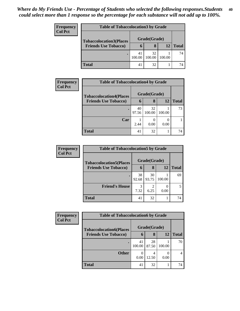| Frequency<br><b>Col Pct</b> | <b>Table of Tobaccolocation3 by Grade</b>                     |              |              |        |              |  |
|-----------------------------|---------------------------------------------------------------|--------------|--------------|--------|--------------|--|
|                             | <b>Tobaccolocation3(Places</b><br><b>Friends Use Tobacco)</b> | Grade(Grade) |              |        |              |  |
|                             |                                                               |              |              | 12     | <b>Total</b> |  |
|                             |                                                               | 41<br>100.00 | 32<br>100.00 | 100.00 | 74           |  |
|                             | <b>Total</b>                                                  | 41           | 32           |        |              |  |

| <b>Frequency</b> | <b>Table of Tobaccolocation4 by Grade</b>                     |              |              |        |              |
|------------------|---------------------------------------------------------------|--------------|--------------|--------|--------------|
| <b>Col Pct</b>   | <b>Tobaccolocation4(Places</b><br><b>Friends Use Tobacco)</b> | Grade(Grade) |              |        |              |
|                  |                                                               | $\mathbf b$  | 8            | 12     | <b>Total</b> |
|                  |                                                               | 40<br>97.56  | 32<br>100.00 | 100.00 | 73           |
|                  | Car                                                           | 2.44         | 0.00         | 0.00   |              |
|                  | <b>Total</b>                                                  | 41           | 32           |        | 74           |

| <b>Frequency</b>            | <b>Table of Tobaccolocation5 by Grade</b> |             |              |              |    |  |  |
|-----------------------------|-------------------------------------------|-------------|--------------|--------------|----|--|--|
| <b>Col Pct</b>              | <b>Tobaccolocation5(Places</b>            |             | Grade(Grade) |              |    |  |  |
| <b>Friends Use Tobacco)</b> | 6                                         | 8           | 12           | <b>Total</b> |    |  |  |
|                             |                                           | 38<br>92.68 | 30<br>93.75  | 100.00       | 69 |  |  |
|                             | <b>Friend's House</b>                     | 3<br>7.32   | 2<br>6.25    | 0.00         |    |  |  |
|                             | <b>Total</b>                              | 41          | 32           |              | 74 |  |  |

| Frequency      | <b>Table of Tobaccolocation6 by Grade</b> |              |             |        |              |  |  |
|----------------|-------------------------------------------|--------------|-------------|--------|--------------|--|--|
| <b>Col Pct</b> | <b>Tobaccolocation6(Places</b>            | Grade(Grade) |             |        |              |  |  |
|                | <b>Friends Use Tobacco)</b>               | 6            | 8           | 12     | <b>Total</b> |  |  |
|                |                                           | 41<br>100.00 | 28<br>87.50 | 100.00 | 70           |  |  |
|                | <b>Other</b>                              | 0.00         | 12.50       | 0.00   |              |  |  |
|                | Total                                     | 41           | 32          |        | 74           |  |  |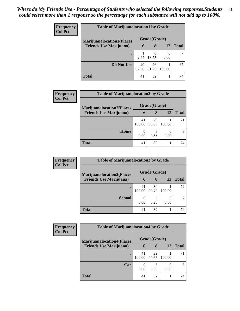| <b>Frequency</b> | <b>Table of Marijuanalocation1 by Grade</b>                        |              |             |        |              |  |  |
|------------------|--------------------------------------------------------------------|--------------|-------------|--------|--------------|--|--|
| <b>Col Pct</b>   | <b>Marijuanalocation1(Places</b><br><b>Friends Use Marijuana</b> ) | Grade(Grade) |             |        |              |  |  |
|                  |                                                                    | 6            | 8           | 12     | <b>Total</b> |  |  |
|                  |                                                                    | 2.44         | 6<br>18.75  | 0.00   |              |  |  |
|                  | Do Not Use                                                         | 40<br>97.56  | 26<br>81.25 | 100.00 | 67           |  |  |
|                  | Total                                                              | 41           | 32          |        | 74           |  |  |

| <b>Frequency</b> | <b>Table of Marijuanalocation2 by Grade</b>                        |              |              |        |              |  |  |  |
|------------------|--------------------------------------------------------------------|--------------|--------------|--------|--------------|--|--|--|
| <b>Col Pct</b>   | <b>Marijuanalocation2(Places</b><br><b>Friends Use Marijuana</b> ) |              | Grade(Grade) |        |              |  |  |  |
|                  |                                                                    | 6            | 8            | 12     | <b>Total</b> |  |  |  |
|                  |                                                                    | 41<br>100.00 | 29<br>90.63  | 100.00 | 71           |  |  |  |
|                  | Home                                                               | 0.00         | 9.38         | 0.00   |              |  |  |  |
|                  | <b>Total</b>                                                       | 41           | 32           |        | 74           |  |  |  |

| <b>Frequency</b> | <b>Table of Marijuanalocation3 by Grade</b> |              |                        |        |                |  |  |  |
|------------------|---------------------------------------------|--------------|------------------------|--------|----------------|--|--|--|
| <b>Col Pct</b>   | <b>Marijuanalocation3(Places</b>            |              | Grade(Grade)           |        |                |  |  |  |
|                  | <b>Friends Use Marijuana</b> )              | 6            | 8                      | 12     | Total          |  |  |  |
|                  |                                             | 41<br>100.00 | 30<br>93.75            | 100.00 | 72             |  |  |  |
|                  | <b>School</b>                               | 0.00         | $\overline{c}$<br>6.25 | 0.00   | $\mathfrak{D}$ |  |  |  |
|                  | <b>Total</b>                                | 41           | 32                     |        | 74             |  |  |  |

| <b>Frequency</b> | <b>Table of Marijuanalocation4 by Grade</b> |              |              |        |               |  |  |
|------------------|---------------------------------------------|--------------|--------------|--------|---------------|--|--|
| <b>Col Pct</b>   | <b>Marijuanalocation4(Places</b>            |              | Grade(Grade) |        |               |  |  |
|                  | <b>Friends Use Marijuana</b> )              | h            | 8            | 12     | <b>Total</b>  |  |  |
|                  |                                             | 41<br>100.00 | 29<br>90.63  | 100.00 | 71            |  |  |
|                  | Car                                         | 0.00         | 3<br>9.38    | 0.00   | $\mathcal{R}$ |  |  |
|                  | <b>Total</b>                                | 41           | 32           |        | 74            |  |  |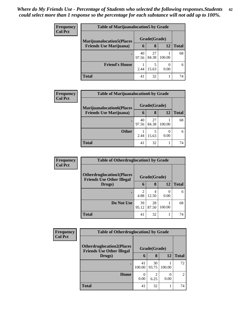| <b>Frequency</b> | <b>Table of Marijuanalocation5 by Grade</b>                         |             |              |        |       |  |  |  |
|------------------|---------------------------------------------------------------------|-------------|--------------|--------|-------|--|--|--|
| <b>Col Pct</b>   | <b>Marijuanalocation5</b> (Places<br><b>Friends Use Marijuana</b> ) |             | Grade(Grade) |        |       |  |  |  |
|                  |                                                                     | 6           | 8            | 12     | Total |  |  |  |
|                  |                                                                     | 40<br>97.56 | 27<br>84.38  | 100.00 | 68    |  |  |  |
|                  | <b>Friend's House</b>                                               | 2.44        | 5<br>15.63   | 0.00   |       |  |  |  |
|                  | <b>Total</b>                                                        | 41          | 32           |        | 74    |  |  |  |

| <b>Frequency</b> | <b>Table of Marijuanalocation6 by Grade</b> |             |              |        |              |  |  |  |
|------------------|---------------------------------------------|-------------|--------------|--------|--------------|--|--|--|
| <b>Col Pct</b>   | <b>Marijuanalocation6(Places</b>            |             | Grade(Grade) |        |              |  |  |  |
|                  | <b>Friends Use Marijuana</b> )              | 6           | 8            | 12     | <b>Total</b> |  |  |  |
|                  |                                             | 40<br>97.56 | 27<br>84.38  | 100.00 | 68           |  |  |  |
|                  | <b>Other</b>                                | 2.44        | 15.63        | 0.00   | 6            |  |  |  |
|                  | <b>Total</b>                                | 41          | 32           |        | 74           |  |  |  |

| <b>Frequency</b> | <b>Table of Otherdruglocation1 by Grade</b>                          |             |              |        |              |
|------------------|----------------------------------------------------------------------|-------------|--------------|--------|--------------|
| <b>Col Pct</b>   | <b>Otherdruglocation1(Places</b><br><b>Friends Use Other Illegal</b> |             | Grade(Grade) |        |              |
|                  | Drugs)                                                               | $\mathbf 6$ | 8            | 12     | <b>Total</b> |
|                  |                                                                      | 4.88        | 4<br>12.50   | 0.00   | 6            |
|                  | Do Not Use                                                           | 39<br>95.12 | 28<br>87.50  | 100.00 | 68           |
|                  | <b>Total</b>                                                         | 41          | 32           |        | 74           |

| Frequency      | <b>Table of Otherdruglocation2 by Grade</b>                           |              |             |        |                |  |
|----------------|-----------------------------------------------------------------------|--------------|-------------|--------|----------------|--|
| <b>Col Pct</b> | <b>Otherdruglocation2(Places)</b><br><b>Friends Use Other Illegal</b> | Grade(Grade) |             |        |                |  |
|                | Drugs)                                                                | 6            | 8           | 12     | <b>Total</b>   |  |
|                |                                                                       | 41<br>100.00 | 30<br>93.75 | 100.00 | 72             |  |
|                | Home                                                                  | 0<br>0.00    | 6.25        | 0.00   | $\mathfrak{D}$ |  |
|                | <b>Total</b>                                                          | 41           | 32          |        | 74             |  |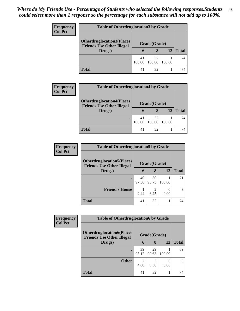| <b>Frequency</b> | <b>Table of Otherdruglocation 3 by Grade</b>                         |              |              |        |              |  |  |  |
|------------------|----------------------------------------------------------------------|--------------|--------------|--------|--------------|--|--|--|
| <b>Col Pct</b>   | <b>Otherdruglocation3(Places</b><br><b>Friends Use Other Illegal</b> |              | Grade(Grade) |        |              |  |  |  |
|                  | Drugs)                                                               | 6            | 8            | 12     | <b>Total</b> |  |  |  |
|                  |                                                                      | 41<br>100.00 | 32<br>100.00 | 100.00 | 74           |  |  |  |
|                  | Total                                                                | 41           | 32           |        | 74           |  |  |  |

| <b>Frequency</b> |                                                                                | <b>Table of Otherdruglocation4 by Grade</b> |              |        |              |  |  |  |
|------------------|--------------------------------------------------------------------------------|---------------------------------------------|--------------|--------|--------------|--|--|--|
| <b>Col Pct</b>   | <b>Otherdruglocation4(Places</b><br><b>Friends Use Other Illegal</b><br>Drugs) | Grade(Grade)                                |              |        |              |  |  |  |
|                  |                                                                                | 6                                           | 8            | 12     | <b>Total</b> |  |  |  |
|                  |                                                                                | 41<br>100.00                                | 32<br>100.00 | 100.00 | 74           |  |  |  |
|                  | <b>Total</b>                                                                   | 41                                          | 32           |        | 74           |  |  |  |

| <b>Frequency</b> | <b>Table of Otherdruglocation5 by Grade</b>                           |              |             |        |              |  |
|------------------|-----------------------------------------------------------------------|--------------|-------------|--------|--------------|--|
| <b>Col Pct</b>   | <b>Otherdruglocation5(Places)</b><br><b>Friends Use Other Illegal</b> | Grade(Grade) |             |        |              |  |
|                  | Drugs)                                                                | 6            | 8           | 12     | <b>Total</b> |  |
|                  |                                                                       | 40<br>97.56  | 30<br>93.75 | 100.00 | 71           |  |
|                  | <b>Friend's House</b>                                                 | 2.44         | 6.25        | 0.00   |              |  |
|                  | <b>Total</b>                                                          | 41           | 32          |        | 74           |  |

| Frequency      | <b>Table of Otherdruglocation6 by Grade</b>                          |                        |             |        |              |
|----------------|----------------------------------------------------------------------|------------------------|-------------|--------|--------------|
| <b>Col Pct</b> | <b>Otherdruglocation6(Places</b><br><b>Friends Use Other Illegal</b> | Grade(Grade)           |             |        |              |
|                | Drugs)                                                               | 6                      | 8           | 12     | <b>Total</b> |
|                |                                                                      | 39<br>95.12            | 29<br>90.63 | 100.00 | 69           |
|                | <b>Other</b>                                                         | $\overline{c}$<br>4.88 | 3<br>9.38   | 0.00   |              |
|                | <b>Total</b>                                                         | 41                     | 32          |        | 74           |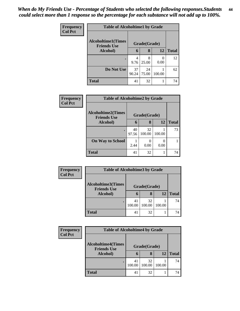| Frequency<br><b>Col Pct</b> | <b>Table of Alcoholtime1 by Grade</b>           |             |              |                       |              |  |
|-----------------------------|-------------------------------------------------|-------------|--------------|-----------------------|--------------|--|
|                             | <b>Alcoholtime1(Times</b><br><b>Friends Use</b> |             | Grade(Grade) |                       |              |  |
|                             | <b>Alcohol</b> )                                | 6           | 8            | 12                    | <b>Total</b> |  |
|                             | ٠                                               | 4<br>9.76   | 8<br>25.00   | $\mathcal{L}$<br>0.00 | 12           |  |
|                             | Do Not Use                                      | 37<br>90.24 | 24<br>75.00  | 100.00                | 62           |  |
|                             | <b>Total</b>                                    | 41          | 32           |                       | 74           |  |

| <b>Frequency</b> | <b>Table of Alcoholtime2 by Grade</b>           |             |              |        |              |
|------------------|-------------------------------------------------|-------------|--------------|--------|--------------|
| <b>Col Pct</b>   | <b>Alcoholtime2(Times</b><br><b>Friends Use</b> |             | Grade(Grade) |        |              |
|                  | Alcohol)                                        | 6           | 8            | 12     | <b>Total</b> |
|                  |                                                 | 40<br>97.56 | 32<br>100.00 | 100.00 | 73           |
|                  | <b>On Way to School</b>                         | 2.44        | 0.00         | 0.00   |              |
|                  | <b>Total</b>                                    | 41          | 32           |        | 74           |

| Frequency      | <b>Table of Alcoholtime3 by Grade</b>           |              |              |        |              |  |  |  |
|----------------|-------------------------------------------------|--------------|--------------|--------|--------------|--|--|--|
| <b>Col Pct</b> | <b>Alcoholtime3(Times</b><br><b>Friends Use</b> | Grade(Grade) |              |        |              |  |  |  |
|                | Alcohol)                                        |              | 8            | 12     | <b>Total</b> |  |  |  |
|                |                                                 | 41<br>100.00 | 32<br>100.00 | 100.00 | 74           |  |  |  |
|                | <b>Total</b>                                    | 41           | 32           |        | 74           |  |  |  |

| Frequency      | <b>Table of Alcoholtime4 by Grade</b>           |              |              |        |              |  |  |  |
|----------------|-------------------------------------------------|--------------|--------------|--------|--------------|--|--|--|
| <b>Col Pct</b> | <b>Alcoholtime4(Times</b><br><b>Friends Use</b> | Grade(Grade) |              |        |              |  |  |  |
|                | Alcohol)                                        |              | 8            | 12     | <b>Total</b> |  |  |  |
|                |                                                 | 41<br>100.00 | 32<br>100.00 | 100.00 | 74           |  |  |  |
|                | <b>Total</b>                                    | 41           | 32           |        | 74           |  |  |  |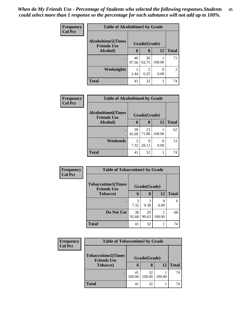| Frequency<br><b>Col Pct</b> | <b>Table of Alcoholtime5 by Grade</b>           |             |                        |        |              |  |  |
|-----------------------------|-------------------------------------------------|-------------|------------------------|--------|--------------|--|--|
|                             | <b>Alcoholtime5(Times</b><br><b>Friends Use</b> |             | Grade(Grade)           |        |              |  |  |
|                             | Alcohol)                                        | 6           | 8                      | 12     | <b>Total</b> |  |  |
|                             | ٠                                               | 40<br>97.56 | 30<br>93.75            | 100.00 | 71           |  |  |
|                             | Weeknights                                      | 2.44        | $\overline{2}$<br>6.25 | 0.00   | 3            |  |  |
|                             | <b>Total</b>                                    | 41          | 32                     |        | 74           |  |  |

| <b>Frequency</b><br><b>Col Pct</b> | <b>Table of Alcoholtime6 by Grade</b>           |             |              |        |              |  |
|------------------------------------|-------------------------------------------------|-------------|--------------|--------|--------------|--|
|                                    | <b>Alcoholtime6(Times</b><br><b>Friends Use</b> |             | Grade(Grade) |        |              |  |
|                                    | Alcohol)                                        | 6           | 8            | 12     | <b>Total</b> |  |
|                                    | $\bullet$                                       | 38<br>92.68 | 23<br>71.88  | 100.00 | 62           |  |
|                                    | Weekends                                        | 3<br>7.32   | 9<br>28.13   | 0.00   | 12           |  |
|                                    | <b>Total</b>                                    | 41          | 32           |        | 74           |  |

| Frequency      | <b>Table of Tobaccotime1 by Grade</b>           |              |             |        |              |  |
|----------------|-------------------------------------------------|--------------|-------------|--------|--------------|--|
| <b>Col Pct</b> | <b>Tobaccotime1(Times</b><br><b>Friends Use</b> | Grade(Grade) |             |        |              |  |
|                | <b>Tobacco</b> )                                | 6            | 8           | 12     | <b>Total</b> |  |
|                |                                                 | 3<br>7.32    | 3<br>9.38   | 0.00   | 6            |  |
|                | Do Not Use                                      | 38<br>92.68  | 29<br>90.63 | 100.00 | 68           |  |
|                | <b>Total</b>                                    | 41           | 32          |        | 74           |  |

| <b>Frequency</b> | <b>Table of Tobaccotime2 by Grade</b>           |              |              |        |              |  |  |
|------------------|-------------------------------------------------|--------------|--------------|--------|--------------|--|--|
| <b>Col Pct</b>   | <b>Tobaccotime2(Times</b><br><b>Friends Use</b> | Grade(Grade) |              |        |              |  |  |
|                  | Tobacco)                                        | 6            | 8            | 12     | <b>Total</b> |  |  |
|                  |                                                 | 41<br>100.00 | 32<br>100.00 | 100.00 | 74           |  |  |
|                  | <b>Total</b>                                    | 41           | 32           |        | 74           |  |  |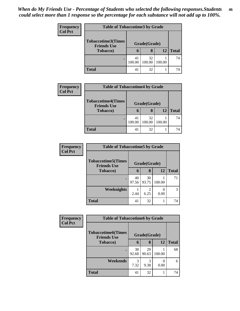| <b>Frequency</b> | <b>Table of Tobaccotime3 by Grade</b>           |              |              |        |              |  |  |  |
|------------------|-------------------------------------------------|--------------|--------------|--------|--------------|--|--|--|
| <b>Col Pct</b>   | <b>Tobaccotime3(Times</b><br><b>Friends Use</b> |              | Grade(Grade) |        |              |  |  |  |
|                  | Tobacco)                                        | 6            | 8            | 12     | <b>Total</b> |  |  |  |
|                  |                                                 | 41<br>100.00 | 32<br>100.00 | 100.00 | 74           |  |  |  |
|                  | <b>Total</b>                                    | 41           | 32           |        | 74           |  |  |  |

| <b>Frequency</b> | <b>Table of Tobaccotime4 by Grade</b>                       |              |              |        |              |  |
|------------------|-------------------------------------------------------------|--------------|--------------|--------|--------------|--|
| <b>Col Pct</b>   | <b>Tobaccotime4(Times</b><br><b>Friends Use</b><br>Tobacco) | Grade(Grade) |              |        |              |  |
|                  |                                                             | 6            | 8            | 12     | <b>Total</b> |  |
|                  |                                                             | 41<br>100.00 | 32<br>100.00 | 100.00 | 74           |  |
|                  | <b>Total</b>                                                | 41           | 32           |        | 74           |  |

| <b>Frequency</b> | <b>Table of Tobaccotime5 by Grade</b>            |              |             |        |              |  |
|------------------|--------------------------------------------------|--------------|-------------|--------|--------------|--|
| <b>Col Pct</b>   | <b>Tobaccotime5</b> (Times<br><b>Friends Use</b> | Grade(Grade) |             |        |              |  |
|                  | Tobacco)                                         | 6            | 8           | 12     | <b>Total</b> |  |
|                  |                                                  | 40<br>97.56  | 30<br>93.75 | 100.00 | 71           |  |
|                  | <b>Weeknights</b>                                | 2.44         | 2<br>6.25   | 0.00   | 3            |  |
|                  | <b>Total</b>                                     | 41           | 32          |        | 74           |  |

| Frequency      | <b>Table of Tobaccotime6 by Grade</b>           |              |             |        |              |  |
|----------------|-------------------------------------------------|--------------|-------------|--------|--------------|--|
| <b>Col Pct</b> | <b>Tobaccotime6(Times</b><br><b>Friends Use</b> | Grade(Grade) |             |        |              |  |
|                | <b>Tobacco</b> )                                | 6            | 8           | 12     | <b>Total</b> |  |
|                |                                                 | 38<br>92.68  | 29<br>90.63 | 100.00 | 68           |  |
|                | Weekends                                        | 3<br>7.32    | 9.38        | 0.00   | 6            |  |
|                | <b>Total</b>                                    | 41           | 32          |        | 74           |  |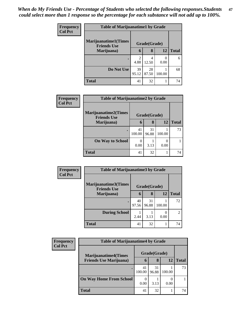| Frequency      | <b>Table of Marijuanatime1 by Grade</b>           |                                                                                                                                                                         |              |           |              |  |
|----------------|---------------------------------------------------|-------------------------------------------------------------------------------------------------------------------------------------------------------------------------|--------------|-----------|--------------|--|
| <b>Col Pct</b> | <b>Marijuanatime1(Times</b><br><b>Friends Use</b> |                                                                                                                                                                         | Grade(Grade) |           |              |  |
|                | Marijuana)                                        | 6                                                                                                                                                                       | 8            | <b>12</b> | <b>Total</b> |  |
|                |                                                   | $\mathcal{D}_{\mathcal{A}}^{\mathcal{A}}(\mathcal{A})=\mathcal{D}_{\mathcal{A}}^{\mathcal{A}}(\mathcal{A})\mathcal{D}_{\mathcal{A}}^{\mathcal{A}}(\mathcal{A})$<br>4.88 | 4<br>12.50   | 0.00      | 6            |  |
|                | Do Not Use                                        | 39<br>95.12                                                                                                                                                             | 28<br>87.50  | 100.00    | 68           |  |
|                | <b>Total</b>                                      | 41                                                                                                                                                                      | 32           |           | 74           |  |

| <b>Frequency</b> |                                                   | <b>Table of Marijuanatime2 by Grade</b> |              |        |              |  |
|------------------|---------------------------------------------------|-----------------------------------------|--------------|--------|--------------|--|
| <b>Col Pct</b>   | <b>Marijuanatime2(Times</b><br><b>Friends Use</b> |                                         | Grade(Grade) |        |              |  |
|                  | Marijuana)                                        | 6                                       | 8            | 12     | <b>Total</b> |  |
|                  |                                                   | 41<br>100.00                            | 31<br>96.88  | 100.00 | 73           |  |
|                  | <b>On Way to School</b>                           | 0<br>0.00                               | 3.13         | 0.00   |              |  |
|                  | <b>Total</b>                                      | 41                                      | 32           |        | 74           |  |

| <b>Frequency</b> | <b>Table of Marijuanatime3 by Grade</b>    |             |              |        |                |  |
|------------------|--------------------------------------------|-------------|--------------|--------|----------------|--|
| <b>Col Pct</b>   | Marijuanatime3(Times<br><b>Friends Use</b> |             | Grade(Grade) |        |                |  |
|                  | Marijuana)                                 | 6           | 8            | 12     | <b>Total</b>   |  |
|                  |                                            | 40<br>97.56 | 31<br>96.88  | 100.00 | 72             |  |
|                  | <b>During School</b>                       | 2.44        | 3.13         | 0.00   | $\mathfrak{D}$ |  |
|                  | <b>Total</b>                               | 41          | 32           |        | 74             |  |

| <b>Frequency</b>               | <b>Table of Marijuanatime4 by Grade</b> |              |              |              |    |  |
|--------------------------------|-----------------------------------------|--------------|--------------|--------------|----|--|
| <b>Col Pct</b>                 | <b>Marijuanatime4(Times</b>             |              | Grade(Grade) |              |    |  |
| <b>Friends Use Marijuana</b> ) | $\mathbf b$                             | 8            | 12           | <b>Total</b> |    |  |
|                                |                                         | 41<br>100.00 | 31<br>96.88  | 100.00       | 73 |  |
|                                | <b>On Way Home From School</b>          | 0.00         | 3.13         | 0.00         |    |  |
|                                | Total                                   | 41           | 32           |              | 74 |  |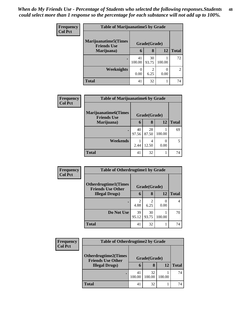| <b>Frequency</b> | <b>Table of Marijuanatime5 by Grade</b>            |              |                        |        |                |
|------------------|----------------------------------------------------|--------------|------------------------|--------|----------------|
| <b>Col Pct</b>   | <b>Marijuanatime5</b> (Times<br><b>Friends Use</b> |              | Grade(Grade)           |        |                |
|                  | Marijuana)                                         | 6            | 8                      | 12     | <b>Total</b>   |
|                  |                                                    | 41<br>100.00 | 30<br>93.75            | 100.00 | 72             |
|                  | Weeknights                                         | 0<br>0.00    | $\mathfrak{D}$<br>6.25 | 0.00   | $\mathfrak{D}$ |
|                  | <b>Total</b>                                       | 41           | 32                     |        | 74             |

| Frequency      | <b>Table of Marijuanatime6 by Grade</b>            |             |              |        |              |  |
|----------------|----------------------------------------------------|-------------|--------------|--------|--------------|--|
| <b>Col Pct</b> | <b>Marijuanatime6</b> (Times<br><b>Friends Use</b> |             | Grade(Grade) |        |              |  |
|                | Marijuana)                                         | 6           | 8            | 12     | <b>Total</b> |  |
|                |                                                    | 40<br>97.56 | 28<br>87.50  | 100.00 | 69           |  |
|                | Weekends                                           | 2.44        | 4<br>12.50   | 0.00   | 5            |  |
|                | <b>Total</b>                                       | 41          | 32           |        | 74           |  |

| Frequency      | <b>Table of Otherdrugtime1 by Grade</b>                  |             |              |        |              |  |
|----------------|----------------------------------------------------------|-------------|--------------|--------|--------------|--|
| <b>Col Pct</b> | <b>Otherdrugtime1</b> (Times<br><b>Friends Use Other</b> |             | Grade(Grade) |        |              |  |
|                | <b>Illegal Drugs</b> )                                   | 6           | 8            | 12     | <b>Total</b> |  |
|                |                                                          | 2<br>4.88   | 2<br>6.25    | 0.00   | 4            |  |
|                | Do Not Use                                               | 39<br>95.12 | 30<br>93.75  | 100.00 | 70           |  |
|                | <b>Total</b>                                             | 41          | 32           |        | 74           |  |

| <b>Frequency</b> | <b>Table of Otherdrugtime2 by Grade</b>                                          |              |              |        |              |  |
|------------------|----------------------------------------------------------------------------------|--------------|--------------|--------|--------------|--|
| <b>Col Pct</b>   | <b>Otherdrugtime2(Times</b><br><b>Friends Use Other</b><br><b>Illegal Drugs)</b> | Grade(Grade) |              |        |              |  |
|                  |                                                                                  | 6            | 8            | 12     | <b>Total</b> |  |
|                  |                                                                                  | 41<br>100.00 | 32<br>100.00 | 100.00 | 74           |  |
|                  | Total                                                                            | 41           | 32           |        | 74           |  |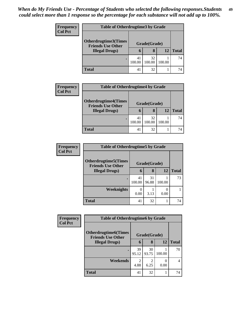| <b>Frequency</b> | <b>Table of Otherdrugtime3 by Grade</b>                                    |              |              |        |              |  |  |
|------------------|----------------------------------------------------------------------------|--------------|--------------|--------|--------------|--|--|
| <b>Col Pct</b>   | Otherdrugtime3(Times<br><b>Friends Use Other</b><br><b>Illegal Drugs</b> ) | Grade(Grade) |              |        |              |  |  |
|                  |                                                                            | 6            | 8            | 12     | <b>Total</b> |  |  |
|                  |                                                                            | 41<br>100.00 | 32<br>100.00 | 100.00 | 74           |  |  |
|                  | <b>Total</b>                                                               | 41           | 32           |        | 74           |  |  |

| <b>Frequency</b> | <b>Table of Otherdrugtime4 by Grade</b>                 |              |              |        |              |  |  |  |
|------------------|---------------------------------------------------------|--------------|--------------|--------|--------------|--|--|--|
| <b>Col Pct</b>   | <b>Otherdrugtime4(Times</b><br><b>Friends Use Other</b> | Grade(Grade) |              |        |              |  |  |  |
|                  | <b>Illegal Drugs</b> )                                  | O            |              | 12     | <b>Total</b> |  |  |  |
|                  |                                                         | 41<br>100.00 | 32<br>100.00 | 100.00 | 74           |  |  |  |
|                  | <b>Total</b>                                            | 41           | 32           |        | 74           |  |  |  |

| <b>Frequency</b> | <b>Table of Otherdrugtime5 by Grade</b>                  |              |              |        |              |  |  |  |
|------------------|----------------------------------------------------------|--------------|--------------|--------|--------------|--|--|--|
| <b>Col Pct</b>   | <b>Otherdrugtime5</b> (Times<br><b>Friends Use Other</b> |              | Grade(Grade) |        |              |  |  |  |
|                  | <b>Illegal Drugs</b> )                                   | 6            | 8            | 12     | <b>Total</b> |  |  |  |
|                  |                                                          | 41<br>100.00 | 31<br>96.88  | 100.00 | 73           |  |  |  |
|                  | Weeknights                                               | 0.00         | 3.13         | 0.00   |              |  |  |  |
|                  | <b>Total</b>                                             | 41           | 32           |        | 74           |  |  |  |

| Frequency      | <b>Table of Otherdrugtime6 by Grade</b>                  |             |              |        |              |  |  |  |
|----------------|----------------------------------------------------------|-------------|--------------|--------|--------------|--|--|--|
| <b>Col Pct</b> | <b>Otherdrugtime6</b> (Times<br><b>Friends Use Other</b> |             | Grade(Grade) |        |              |  |  |  |
|                | <b>Illegal Drugs</b> )                                   | 6           | 8            | 12     | <b>Total</b> |  |  |  |
|                |                                                          | 39<br>95.12 | 30<br>93.75  | 100.00 | 70           |  |  |  |
|                | Weekends                                                 | 2<br>4.88   | 2<br>6.25    | 0.00   | 4            |  |  |  |
|                | <b>Total</b>                                             | 41          | 32           |        | 74           |  |  |  |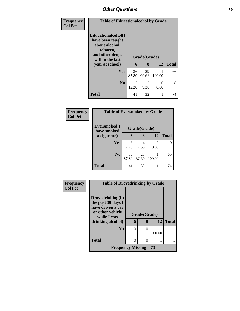| Frequency      | <b>Table of Educationalcohol by Grade</b>                                                                  |              |             |           |              |
|----------------|------------------------------------------------------------------------------------------------------------|--------------|-------------|-----------|--------------|
| <b>Col Pct</b> | Educationalcohol(I<br>have been taught<br>about alcohol,<br>tobacco,<br>and other drugs<br>within the last | Grade(Grade) |             |           |              |
|                | year at school)                                                                                            |              | 8           | 12        | <b>Total</b> |
|                | Yes                                                                                                        | 36<br>87.80  | 29<br>90.63 | 100.00    | 66           |
|                | N <sub>0</sub>                                                                                             | 5<br>12.20   | 3<br>9.38   | 0<br>0.00 | 8            |
|                | <b>Total</b>                                                                                               | 41           | 32          |           | 74           |

| Frequency<br><b>Col Pct</b> |                             | <b>Table of Eversmoked by Grade</b> |              |        |              |  |
|-----------------------------|-----------------------------|-------------------------------------|--------------|--------|--------------|--|
|                             | Eversmoked(I<br>have smoked |                                     | Grade(Grade) |        |              |  |
|                             | a cigarette)                | 6                                   | 8            | 12     | <b>Total</b> |  |
|                             | Yes                         | 5<br>12.20                          | 4<br>12.50   | 0.00   | 9            |  |
|                             | N <sub>0</sub>              | 36<br>87.80                         | 28<br>87.50  | 100.00 | 65           |  |
|                             | <b>Total</b>                | 41                                  | 32           |        | 74           |  |

| Frequency      | <b>Table of Drovedrinking by Grade</b>  |              |                  |        |              |  |  |  |
|----------------|-----------------------------------------|--------------|------------------|--------|--------------|--|--|--|
| <b>Col Pct</b> |                                         |              |                  |        |              |  |  |  |
|                | Drovedrinking(In                        |              |                  |        |              |  |  |  |
|                | the past 30 days I<br>have driven a car |              |                  |        |              |  |  |  |
|                | or other vehicle<br>while I was         | Grade(Grade) |                  |        |              |  |  |  |
|                | drinking alcohol)                       | 6            | 8                | 12     | <b>Total</b> |  |  |  |
|                | N <sub>0</sub>                          | 0            | 0                |        |              |  |  |  |
|                |                                         |              |                  | 100.00 |              |  |  |  |
|                | Total                                   | 0            | $\left( \right)$ |        |              |  |  |  |
|                | <b>Frequency Missing = 73</b>           |              |                  |        |              |  |  |  |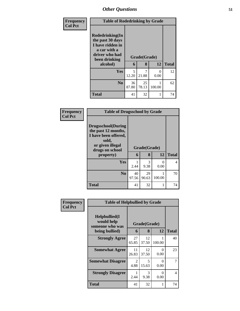| Frequency      | <b>Table of Rodedrinking by Grade</b>                                                                                                            |             |             |              |    |
|----------------|--------------------------------------------------------------------------------------------------------------------------------------------------|-------------|-------------|--------------|----|
| <b>Col Pct</b> | Rodedrinking(In<br>the past 30 days<br>I have ridden in<br>a car with a<br>driver who had<br>Grade(Grade)<br>been drinking<br>8<br>6<br>alcohol) |             | 12          | <b>Total</b> |    |
|                | <b>Yes</b>                                                                                                                                       | 5<br>12.20  | 7<br>21.88  | 0<br>0.00    | 12 |
|                | N <sub>0</sub>                                                                                                                                   | 36<br>87.80 | 25<br>78.13 | 100.00       | 62 |
|                | <b>Total</b>                                                                                                                                     | 41          | 32          |              | 74 |

| Frequency<br><b>Col Pct</b> | <b>Table of Drugsschool by Grade</b>                                                                                      |              |             |                  |                |
|-----------------------------|---------------------------------------------------------------------------------------------------------------------------|--------------|-------------|------------------|----------------|
|                             | <b>Drugsschool</b> (During<br>the past 12 months,<br>I have been offered,<br>sold,<br>or given illegal<br>drugs on school | Grade(Grade) |             |                  |                |
|                             | property)                                                                                                                 |              | 8           | 12               | <b>Total</b>   |
|                             | <b>Yes</b>                                                                                                                | 2.44         | 3<br>9.38   | $\Omega$<br>0.00 | $\overline{4}$ |
|                             | N <sub>0</sub>                                                                                                            | 40<br>97.56  | 29<br>90.63 | 100.00           | 70             |
|                             | <b>Total</b>                                                                                                              | 41           | 32          |                  | 74             |

| Frequency      | <b>Table of Helpbullied by Grade</b>                              |             |                   |                  |              |
|----------------|-------------------------------------------------------------------|-------------|-------------------|------------------|--------------|
| <b>Col Pct</b> | Helpbullied(I)<br>would help<br>someone who was<br>being bullied) | 6           | Grade(Grade)<br>8 | 12               | <b>Total</b> |
|                | <b>Strongly Agree</b>                                             | 27<br>65.85 | 12<br>37.50       | 100.00           | 40           |
|                | <b>Somewhat Agree</b>                                             | 11<br>26.83 | 12<br>37.50       | 0<br>0.00        | 23           |
|                | <b>Somewhat Disagree</b>                                          | 2<br>4.88   | 5<br>15.63        | $\Omega$<br>0.00 | 7            |
|                | <b>Strongly Disagree</b>                                          | 2.44        | 3<br>9.38         | 0<br>0.00        | 4            |
|                | Total                                                             | 41          | 32                | 1                | 74           |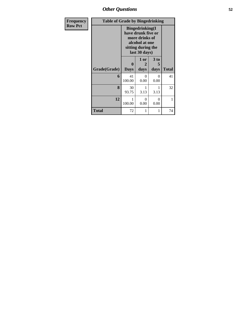*Other Questions* **52**

| <b>Frequency</b> | <b>Table of Grade by Bingedrinking</b> |                         |                                                                                                                          |                   |              |  |
|------------------|----------------------------------------|-------------------------|--------------------------------------------------------------------------------------------------------------------------|-------------------|--------------|--|
| <b>Row Pct</b>   |                                        |                         | <b>Bingedrinking</b> (I<br>have drunk five or<br>more drinks of<br>alcohol at one<br>sitting during the<br>last 30 days) |                   |              |  |
|                  | Grade(Grade)                           | $\bf{0}$<br><b>Days</b> | 1 or<br>$\mathbf{2}$<br>days                                                                                             | 3 to<br>5<br>days | <b>Total</b> |  |
|                  | 6                                      | 41<br>100.00            | $\Omega$<br>0.00                                                                                                         | 0<br>0.00         | 41           |  |
|                  | 8                                      | 30<br>93.75             | 1<br>3.13                                                                                                                | 3.13              | 32           |  |
|                  | 12                                     | 100.00                  | $\Omega$<br>0.00                                                                                                         | 0<br>0.00         |              |  |
|                  | Total                                  | 72                      | 1                                                                                                                        | 1                 | 74           |  |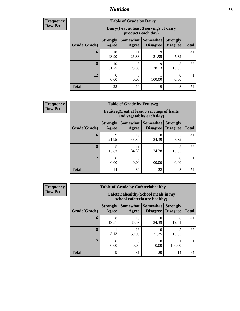## *Nutrition* **53**

**Frequency Row Pct**

| <b>Table of Grade by Dairy</b> |                          |                                                                 |                      |                                    |              |  |  |  |
|--------------------------------|--------------------------|-----------------------------------------------------------------|----------------------|------------------------------------|--------------|--|--|--|
|                                |                          | Dairy (I eat at least 3 servings of dairy<br>products each day) |                      |                                    |              |  |  |  |
| Grade(Grade)                   | <b>Strongly</b><br>Agree | Somewhat  <br>Agree                                             | Somewhat<br>Disagree | <b>Strongly</b><br><b>Disagree</b> | <b>Total</b> |  |  |  |
| 6                              | 18<br>43.90              | 11<br>26.83                                                     | 9<br>21.95           | 3<br>7.32                          | 41           |  |  |  |
| 8                              | 10<br>31.25              | 8<br>25.00                                                      | 9<br>28.13           | 5<br>15.63                         | 32           |  |  |  |
| 12                             | 0.00                     | 0.00                                                            | 100.00               | 0<br>0.00                          |              |  |  |  |
| <b>Total</b>                   | 28                       | 19                                                              | 19                   | 8                                  | 74           |  |  |  |

**Frequency Row Pct**

| V | <b>Table of Grade by Fruitveg</b> |                          |                                                                          |                                        |                                    |              |  |
|---|-----------------------------------|--------------------------|--------------------------------------------------------------------------|----------------------------------------|------------------------------------|--------------|--|
|   |                                   |                          | Fruitveg(I eat at least 5 servings of fruits<br>and vegetables each day) |                                        |                                    |              |  |
|   | Grade(Grade)                      | <b>Strongly</b><br>Agree | Agree                                                                    | Somewhat   Somewhat<br><b>Disagree</b> | <b>Strongly</b><br><b>Disagree</b> | <b>Total</b> |  |
|   | 6                                 | 9<br>21.95               | 19<br>46.34                                                              | 10<br>24.39                            | 3<br>7.32                          | 41           |  |
|   | 8                                 | 15.63                    | 11<br>34.38                                                              | 11<br>34.38                            | 5<br>15.63                         | 32           |  |
|   | 12                                | 0.00                     | 0<br>0.00                                                                | 100.00                                 | 0<br>0.00                          |              |  |
|   | <b>Total</b>                      | 14                       | 30                                                                       | 22                                     | 8                                  | 74           |  |

| Frequency      |              | <b>Table of G</b>        |  |
|----------------|--------------|--------------------------|--|
| <b>Row Pct</b> |              | Cafeter<br>scl           |  |
|                | Grade(Grade) | <b>Strongly</b><br>Agree |  |
|                | 6            |                          |  |
|                |              |                          |  |

| <b>Table of Grade by Cafeteriahealthy</b> |                                                                       |                          |                                    |                                    |              |  |  |
|-------------------------------------------|-----------------------------------------------------------------------|--------------------------|------------------------------------|------------------------------------|--------------|--|--|
|                                           | Cafeteriahealthy (School meals in my<br>school cafeteria are healthy) |                          |                                    |                                    |              |  |  |
| Grade(Grade)                              | <b>Strongly</b><br>Agree                                              | <b>Somewhat</b><br>Agree | <b>Somewhat</b><br><b>Disagree</b> | <b>Strongly</b><br><b>Disagree</b> | <b>Total</b> |  |  |
| 6                                         | 8<br>19.51                                                            | 15<br>36.59              | 10<br>24.39                        | 8<br>19.51                         | 41           |  |  |
| 8                                         | 3.13                                                                  | 16<br>50.00              | 10<br>31.25                        | 5<br>15.63                         | 32           |  |  |
| 12                                        | $\mathcal{O}$<br>0.00                                                 | $\Omega$<br>0.00         | 0<br>0.00                          | 100.00                             | 1            |  |  |
| <b>Total</b>                              | $\mathbf Q$                                                           | 31                       | 20                                 | 14                                 | 74           |  |  |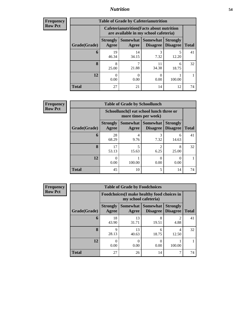## *Nutrition* **54**

| <b>Frequency</b> |
|------------------|
|                  |
| l Row Pct        |

| <b>Table of Grade by Cafeterianutrition</b> |                          |                                                                                           |                                          |                                    |              |  |  |
|---------------------------------------------|--------------------------|-------------------------------------------------------------------------------------------|------------------------------------------|------------------------------------|--------------|--|--|
|                                             |                          | <b>Cafeterianutrition</b> (Facts about nutrition<br>are available in my school cafeteria) |                                          |                                    |              |  |  |
| Grade(Grade)                                | <b>Strongly</b><br>Agree | Agree                                                                                     | Somewhat   Somewhat  <br><b>Disagree</b> | <b>Strongly</b><br><b>Disagree</b> | <b>Total</b> |  |  |
| 6                                           | 19<br>46.34              | 14<br>34.15                                                                               | 3<br>7.32                                | 12.20                              | 41           |  |  |
| 8                                           | 8<br>25.00               | 7<br>21.88                                                                                | 11<br>34.38                              | 6<br>18.75                         | 32           |  |  |
| 12                                          | 0.00                     | 0.00                                                                                      | 0.00                                     | 100.00                             |              |  |  |
| <b>Total</b>                                | 27                       | 21                                                                                        | 14                                       | 12                                 | 74           |  |  |

**Frequency Row Pct**

| <b>Table of Grade by Schoollunch</b> |                          |                                                                 |                                   |                                    |              |  |  |
|--------------------------------------|--------------------------|-----------------------------------------------------------------|-----------------------------------|------------------------------------|--------------|--|--|
|                                      |                          | Schoollunch(I eat school lunch three or<br>more times per week) |                                   |                                    |              |  |  |
| Grade(Grade)                         | <b>Strongly</b><br>Agree | Agree                                                           | Somewhat   Somewhat  <br>Disagree | <b>Strongly</b><br><b>Disagree</b> | <b>Total</b> |  |  |
| 6                                    | 28<br>68.29              | 4<br>9.76                                                       | 3<br>7.32                         | 6<br>14.63                         | 41           |  |  |
| 8                                    | 17<br>53.13              | 5<br>15.63                                                      | $\overline{c}$<br>6.25            | 8<br>25.00                         | 32           |  |  |
| 12                                   | 0.00                     | 100.00                                                          | $\theta$<br>0.00                  | 0.00                               |              |  |  |
| <b>Total</b>                         | 45                       | 10                                                              | 5                                 | 14                                 | 74           |  |  |

**Frequency Row Pct**

| <b>Table of Grade by Foodchoices</b> |                                                                            |                          |                                    |                                    |              |  |  |
|--------------------------------------|----------------------------------------------------------------------------|--------------------------|------------------------------------|------------------------------------|--------------|--|--|
|                                      | <b>Foodchoices</b> (I make healthy food choices in<br>my school cafeteria) |                          |                                    |                                    |              |  |  |
| Grade(Grade)                         | <b>Strongly</b><br>Agree                                                   | <b>Somewhat</b><br>Agree | <b>Somewhat</b><br><b>Disagree</b> | <b>Strongly</b><br><b>Disagree</b> | <b>Total</b> |  |  |
| 6                                    | 18<br>43.90                                                                | 13<br>31.71              | 8<br>19.51                         | $\mathfrak{D}$<br>4.88             | 41           |  |  |
| 8                                    | 9<br>28.13                                                                 | 13<br>40.63              | 6<br>18.75                         | 4<br>12.50                         | 32           |  |  |
| 12                                   | 0.00                                                                       | 0<br>0.00                | $\Omega$<br>0.00                   | 100.00                             |              |  |  |
| <b>Total</b>                         | 27                                                                         | 26                       | 14                                 |                                    | 74           |  |  |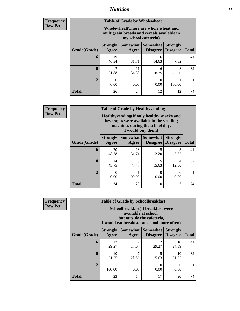## *Nutrition* **55**

| Frequency      |
|----------------|
| <b>Row Pct</b> |

| <b>Table of Grade by Wholewheat</b> |                                                                                                                                             |             |            |            |    |  |  |
|-------------------------------------|---------------------------------------------------------------------------------------------------------------------------------------------|-------------|------------|------------|----|--|--|
|                                     | Wholewheat (There are whole wheat and<br>multigrain breads and cereals available in<br>my school cafeteria)                                 |             |            |            |    |  |  |
| Grade(Grade)                        | Somewhat  <br><b>Somewhat</b><br><b>Strongly</b><br><b>Strongly</b><br><b>Disagree</b><br><b>Disagree</b><br><b>Total</b><br>Agree<br>Agree |             |            |            |    |  |  |
| 6                                   | 19<br>46.34                                                                                                                                 | 13<br>31.71 | 6<br>14.63 | 3<br>7.32  | 41 |  |  |
| 8                                   | 21.88                                                                                                                                       | 11<br>34.38 | 6<br>18.75 | 8<br>25.00 | 32 |  |  |
| 12                                  | 0<br>0.00                                                                                                                                   | 0<br>0.00   | 0<br>0.00  | 100.00     |    |  |  |
| <b>Total</b>                        | 26                                                                                                                                          | 24          | 12         | 12         | 74 |  |  |

**Frequency Row Pct**

| V | <b>Table of Grade by Healthyvending</b> |                                                                                                                          |             |                                          |                                    |              |  |  |
|---|-----------------------------------------|--------------------------------------------------------------------------------------------------------------------------|-------------|------------------------------------------|------------------------------------|--------------|--|--|
|   |                                         | Healthyvending (If only healthy snacks and<br>beverages were available in the vending<br>machines during the school day, |             |                                          |                                    |              |  |  |
|   | Grade(Grade)                            | <b>Strongly</b><br>Agree                                                                                                 | Agree       | Somewhat   Somewhat  <br><b>Disagree</b> | <b>Strongly</b><br><b>Disagree</b> | <b>Total</b> |  |  |
|   | 6                                       | 20<br>48.78                                                                                                              | 13<br>31.71 | 5<br>12.20                               | 3<br>7.32                          | 41           |  |  |
|   | 8                                       | 14<br>43.75                                                                                                              | 9<br>28.13  | 5<br>15.63                               | 4<br>12.50                         | 32           |  |  |
|   | 12                                      | 0.00                                                                                                                     | 100.00      | $\Omega$<br>0.00                         | 0.00                               |              |  |  |
|   | <b>Total</b>                            | 34                                                                                                                       | 23          | 10                                       |                                    | 74           |  |  |

**Frequency Row Pct**

| <b>Table of Grade by Schoolbreakfast</b> |                                                                                                                                        |       |                  |             |    |  |  |
|------------------------------------------|----------------------------------------------------------------------------------------------------------------------------------------|-------|------------------|-------------|----|--|--|
|                                          | Schoolbreakfast(If breakfast were<br>available at school,<br>but outside the cafeteria,<br>I would eat breakfast at school more often) |       |                  |             |    |  |  |
| Grade(Grade)                             | Somewhat   Somewhat  <br><b>Strongly</b><br><b>Strongly</b><br><b>Disagree</b><br>Agree<br><b>Disagree</b><br><b>Total</b><br>Agree    |       |                  |             |    |  |  |
| 6                                        | 12<br>29.27                                                                                                                            | 17.07 | 12<br>29.27      | 10<br>24.39 | 41 |  |  |
| 8                                        | 10<br>31.25                                                                                                                            | 21.88 | 5<br>15.63       | 10<br>31.25 | 32 |  |  |
| 12                                       | 100.00                                                                                                                                 | 0.00  | $\theta$<br>0.00 | 0<br>0.00   |    |  |  |
| <b>Total</b>                             | 23                                                                                                                                     | 14    | 17               | 20          | 74 |  |  |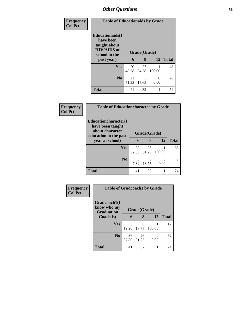| Frequency      | <b>Table of Educationaids by Grade</b>                                                                    |                              |             |           |              |
|----------------|-----------------------------------------------------------------------------------------------------------|------------------------------|-------------|-----------|--------------|
| <b>Col Pct</b> | <b>Educationaids</b> (I<br>have been<br>taught about<br><b>HIV/AIDS</b> at<br>school in the<br>past year) | Grade(Grade)<br>12<br>6<br>8 |             |           | <b>Total</b> |
|                | Yes                                                                                                       | 20<br>48.78                  | 27<br>84.38 | 100.00    | 48           |
|                | N <sub>0</sub>                                                                                            | 21<br>51.22                  | 5<br>15.63  | 0<br>0.00 | 26           |
|                | <b>Total</b>                                                                                              | 41                           | 32          |           | 74           |

| Frequency      | <b>Table of Educationcharacter by Grade</b>                                                  |              |             |           |              |  |  |
|----------------|----------------------------------------------------------------------------------------------|--------------|-------------|-----------|--------------|--|--|
| <b>Col Pct</b> | <b>Educationcharacter</b> (I<br>have been taught<br>about character<br>education in the past | Grade(Grade) |             |           |              |  |  |
|                | year at school)                                                                              | 6            | 8           | 12        | <b>Total</b> |  |  |
|                | <b>Yes</b>                                                                                   | 38<br>92.68  | 26<br>81.25 | 100.00    | 65           |  |  |
|                | N <sub>0</sub>                                                                               | 3<br>7.32    | 6<br>18.75  | 0<br>0.00 | 9            |  |  |
|                | <b>Total</b>                                                                                 | 41           | 32          |           | 74           |  |  |

| Frequency      |                                                  | <b>Table of Gradcoach1 by Grade</b> |              |        |              |  |
|----------------|--------------------------------------------------|-------------------------------------|--------------|--------|--------------|--|
| <b>Col Pct</b> | Gradcoach1(I<br>know who my<br><b>Graduation</b> |                                     | Grade(Grade) |        |              |  |
|                | Coach is)                                        | 6                                   | 8            | 12     | <b>Total</b> |  |
|                | Yes                                              | 5<br>12.20                          | 6<br>18.75   | 100.00 | 12           |  |
|                | N <sub>0</sub>                                   | 36<br>87.80                         | 26<br>81.25  | 0.00   | 62           |  |
|                | <b>Total</b>                                     | 41                                  | 32           |        | 74           |  |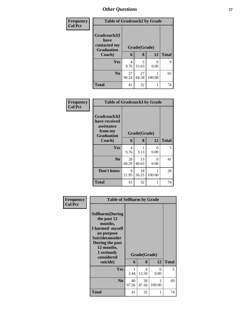| <b>Frequency</b> | <b>Table of Gradcoach2 by Grade</b>                       |              |             |                           |              |
|------------------|-----------------------------------------------------------|--------------|-------------|---------------------------|--------------|
| <b>Col Pct</b>   | Gradcoach2(I<br>have<br>contacted my<br><b>Graduation</b> | Grade(Grade) |             |                           |              |
|                  | Coach)                                                    | 6            | 8           | 12                        | <b>Total</b> |
|                  | Yes                                                       | 4<br>9.76    | 5<br>15.63  | $\mathbf{\Omega}$<br>0.00 | 9            |
|                  | N <sub>0</sub>                                            | 37<br>90.24  | 27<br>84.38 | 100.00                    | 65           |
|                  | <b>Total</b>                                              | 41           | 32          |                           | 74           |

| Frequency<br><b>Col Pct</b> | <b>Table of Gradcoach3 by Grade</b>                                         |              |             |                  |              |
|-----------------------------|-----------------------------------------------------------------------------|--------------|-------------|------------------|--------------|
|                             | Gradcoach3(I<br>have received<br>assistance<br>from my<br><b>Graduation</b> | Grade(Grade) |             |                  |              |
|                             | Coach)                                                                      | 6            | 8           | 12               | <b>Total</b> |
|                             | Yes                                                                         | 4<br>9.76    | 3.13        | $\Omega$<br>0.00 | 5            |
|                             | N <sub>o</sub>                                                              | 28<br>68.29  | 13<br>40.63 | 0<br>0.00        | 41           |
|                             | Don't know                                                                  | 9<br>21.95   | 18<br>56.25 | 100.00           | 28           |
|                             | <b>Total</b>                                                                | 41           | 32          | 1                | 74           |

| Frequency<br><b>Col Pct</b> |                                                                                                                                                                            | <b>Table of Selfharm by Grade</b> |              |             |              |  |  |
|-----------------------------|----------------------------------------------------------------------------------------------------------------------------------------------------------------------------|-----------------------------------|--------------|-------------|--------------|--|--|
|                             | <b>Selfharm</b> (During<br>the past 12<br>months,<br>I harmed myself<br>on purpose<br><b>Suicideconsider</b><br>During the past<br>12 months,<br>I seriously<br>considered |                                   | Grade(Grade) |             |              |  |  |
|                             | suicide)                                                                                                                                                                   | 6                                 | 8            | 12          | <b>Total</b> |  |  |
|                             | Yes                                                                                                                                                                        | 1<br>2.44                         | 4<br>12.50   | 0<br>0.00   | 5            |  |  |
|                             | N <sub>0</sub>                                                                                                                                                             | 40<br>97.56                       | 28<br>87.50  | 1<br>100.00 | 69           |  |  |
|                             | <b>Total</b>                                                                                                                                                               | 41                                | 32           | 1           | 74           |  |  |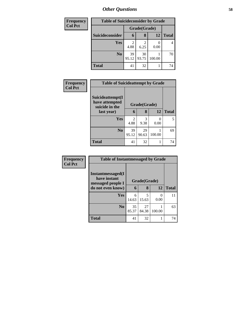| <b>Frequency</b> | <b>Table of Suicideconsider by Grade</b> |                        |             |        |                |
|------------------|------------------------------------------|------------------------|-------------|--------|----------------|
| <b>Col Pct</b>   |                                          | Grade(Grade)           |             |        |                |
|                  | Suicideconsider                          | 6                      | 8           | 12     | <b>Total</b>   |
|                  | Yes                                      | $\mathfrak{D}$<br>4.88 | 6.25        | 0.00   | $\overline{4}$ |
|                  | N <sub>0</sub>                           | 39<br>95.12            | 30<br>93.75 | 100.00 | 70             |
|                  | <b>Total</b>                             | 41                     | 32          |        | 74             |

| Frequency      | <b>Table of Suicideattempt by Grade</b>              |              |             |           |              |
|----------------|------------------------------------------------------|--------------|-------------|-----------|--------------|
| <b>Col Pct</b> | Suicideattempt(I<br>have attempted<br>suicide in the | Grade(Grade) |             |           |              |
|                | last year)                                           | 6            | 8           | 12        | <b>Total</b> |
|                | Yes                                                  | 2<br>4.88    | 3<br>9.38   | 0<br>0.00 | 5.           |
|                | N <sub>0</sub>                                       | 39<br>95.12  | 29<br>90.63 | 100.00    | 69           |
|                | <b>Total</b>                                         | 41           | 32          | 1         | 74           |

| Frequency      | <b>Table of Instantmessaged by Grade</b>               |              |             |                       |              |  |  |  |
|----------------|--------------------------------------------------------|--------------|-------------|-----------------------|--------------|--|--|--|
| <b>Col Pct</b> | Instantmessaged(I<br>have instant<br>messaged people I | Grade(Grade) |             |                       |              |  |  |  |
|                | do not even know)                                      | 6            | 8           | 12                    | <b>Total</b> |  |  |  |
|                | Yes                                                    | 6<br>14.63   | 5<br>15.63  | $\mathcal{O}$<br>0.00 | 11           |  |  |  |
|                | N <sub>0</sub>                                         | 35<br>85.37  | 27<br>84.38 | 100.00                | 63           |  |  |  |
|                | <b>Total</b>                                           | 41           | 32          | 1                     | 74           |  |  |  |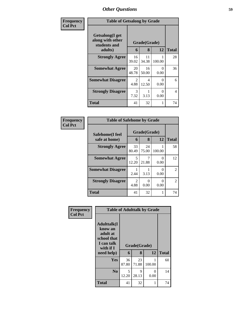| Frequency      | <b>Table of Getsalong by Grade</b>                  |                        |              |           |              |  |  |  |
|----------------|-----------------------------------------------------|------------------------|--------------|-----------|--------------|--|--|--|
| <b>Col Pct</b> | Getsalong(I get<br>along with other<br>students and |                        | Grade(Grade) |           |              |  |  |  |
|                | adults)                                             | 6                      | 8            | 12        | <b>Total</b> |  |  |  |
|                | <b>Strongly Agree</b>                               | 16<br>39.02            | 11<br>34.38  | 100.00    | 28           |  |  |  |
|                | <b>Somewhat Agree</b>                               | 20<br>48.78            | 16<br>50.00  | 0<br>0.00 | 36           |  |  |  |
|                | <b>Somewhat Disagree</b>                            | $\mathfrak{D}$<br>4.88 | 4<br>12.50   | 0<br>0.00 | 6            |  |  |  |
|                | <b>Strongly Disagree</b>                            | 3<br>7.32              | 3.13         | 0<br>0.00 | 4            |  |  |  |
|                | <b>Total</b>                                        | 41                     | 32           | 1         | 74           |  |  |  |

| Frequency      | <b>Table of Safehome by Grade</b> |                        |                       |                       |    |  |  |  |
|----------------|-----------------------------------|------------------------|-----------------------|-----------------------|----|--|--|--|
| <b>Col Pct</b> | Safehome(I feel<br>safe at home)  | Grade(Grade)<br>6      | <b>Total</b>          |                       |    |  |  |  |
|                | <b>Strongly Agree</b>             | 33<br>80.49            | 24<br>75.00           | 100.00                | 58 |  |  |  |
|                | <b>Somewhat Agree</b>             | 5<br>12.20             | 21.88                 | $\mathcal{O}$<br>0.00 | 12 |  |  |  |
|                | <b>Somewhat Disagree</b>          | 2.44                   | 3.13                  | 0.00                  | 2  |  |  |  |
|                | <b>Strongly Disagree</b>          | $\mathfrak{D}$<br>4.88 | $\mathcal{O}$<br>0.00 | $\cup$<br>0.00        | 2  |  |  |  |
|                | <b>Total</b>                      | 41                     | 32                    | 1                     | 74 |  |  |  |

| Frequency      | <b>Table of Adulttalk by Grade</b>                                                  |             |              |           |              |  |  |  |  |
|----------------|-------------------------------------------------------------------------------------|-------------|--------------|-----------|--------------|--|--|--|--|
| <b>Col Pct</b> | <b>Adulttalk(I</b><br>know an<br>adult at<br>school that<br>I can talk<br>with if I |             | Grade(Grade) |           |              |  |  |  |  |
|                | need help)                                                                          | 6           | 8            | 12        | <b>Total</b> |  |  |  |  |
|                | <b>Yes</b>                                                                          | 36<br>87.80 | 23<br>71.88  | 100.00    | 60           |  |  |  |  |
|                | N <sub>0</sub>                                                                      | 5<br>12.20  | 9<br>28.13   | ∩<br>0.00 | 14           |  |  |  |  |
|                | <b>Total</b>                                                                        | 41          | 32           | 1         | 74           |  |  |  |  |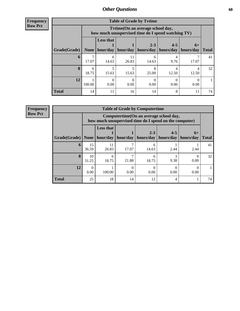| <b>Frequency</b> |
|------------------|
| <b>Row Pct</b>   |

| <b>Table of Grade by Tytime</b> |             |                                                                                         |             |                      |                      |                   |              |  |  |
|---------------------------------|-------------|-----------------------------------------------------------------------------------------|-------------|----------------------|----------------------|-------------------|--------------|--|--|
|                                 |             | Tvtime (On an average school day,<br>how much unsupervised time do I spend watching TV) |             |                      |                      |                   |              |  |  |
| Grade(Grade)                    | <b>None</b> | <b>Less that</b><br>hour/day                                                            | hour/day    | $2 - 3$<br>hours/day | $4 - 5$<br>hours/day | $6+$<br>hours/day | <b>Total</b> |  |  |
| 6                               | 17.07       | 6<br>14.63                                                                              | 11<br>26.83 | h<br>14.63           | 9.76                 | 17.07             | 41           |  |  |
| 8                               | 6<br>18.75  | 5<br>15.63                                                                              | 15.63       | 25.00                | 12.50                | 4<br>12.50        | 32           |  |  |
| 12                              | 100.00      | 0<br>0.00                                                                               | 0.00        | 0.00                 | 0.00                 | 0.00              |              |  |  |
| <b>Total</b>                    | 14          | 11                                                                                      | 16          | 14                   | 8                    | 11                | 74           |  |  |

**Frequency**

**Row Pct**

| <b>Table of Grade by Computertime</b> |             |                                                                                                   |          |                      |                      |                   |              |  |  |
|---------------------------------------|-------------|---------------------------------------------------------------------------------------------------|----------|----------------------|----------------------|-------------------|--------------|--|--|
|                                       |             | Computertime (On an average school day,<br>how much unsupervised time do I spend on the computer) |          |                      |                      |                   |              |  |  |
| Grade(Grade)                          | None $ $    | <b>Less that</b><br>hour/day                                                                      | hour/day | $2 - 3$<br>hours/day | $4 - 5$<br>hours/day | $6+$<br>hours/day | <b>Total</b> |  |  |
| 6                                     | 15<br>36.59 | 11<br>26.83                                                                                       | 17.07    | 14.63                | 2.44                 | 2.44              | 41           |  |  |
| 8                                     | 10<br>31.25 | 6<br>18.75                                                                                        | 21.88    | 18.75                | 3<br>9.38            | 0.00              | 32           |  |  |
| 12                                    | 0.00        | 100.00                                                                                            | 0.00     | 0.00                 | 0.00                 | 0.00              |              |  |  |
| <b>Total</b>                          | 25          | 18                                                                                                | 14       | 12                   | 4                    |                   | 74           |  |  |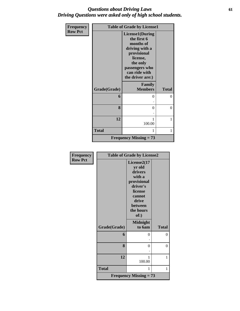## *Questions about Driving Laws* **61** *Driving Questions were asked only of high school students.*

| Frequency      | <b>Table of Grade by License1</b> |                                                                                                                                                                    |              |  |
|----------------|-----------------------------------|--------------------------------------------------------------------------------------------------------------------------------------------------------------------|--------------|--|
| <b>Row Pct</b> |                                   | <b>License1(During</b><br>the first 6<br>months of<br>driving with a<br>provisional<br>license,<br>the only<br>passengers who<br>can ride with<br>the driver are:) |              |  |
|                | Grade(Grade)                      | Family<br><b>Members</b>                                                                                                                                           | <b>Total</b> |  |
|                | 6                                 | $\Omega$                                                                                                                                                           | $\theta$     |  |
|                | 8                                 | $\theta$                                                                                                                                                           | $\theta$     |  |
|                | 12                                | 1<br>100.00                                                                                                                                                        | 1            |  |
|                | <b>Total</b>                      | 1                                                                                                                                                                  | 1            |  |
|                |                                   | <b>Frequency Missing = 73</b>                                                                                                                                      |              |  |

| Frequency      | <b>Table of Grade by License2</b> |                                                                                                                                     |              |  |
|----------------|-----------------------------------|-------------------------------------------------------------------------------------------------------------------------------------|--------------|--|
| <b>Row Pct</b> |                                   | License2(17<br>yr old<br>drivers<br>with a<br>provisional<br>driver's<br>license<br>cannot<br>drive<br>between<br>the hours<br>of:) |              |  |
|                | Grade(Grade)                      | <b>Midnight</b><br>to 6am                                                                                                           | <b>Total</b> |  |
|                | 6                                 | 0                                                                                                                                   | $\theta$     |  |
|                | 8                                 | 0                                                                                                                                   | $\theta$     |  |
|                | 12                                | 1<br>100.00                                                                                                                         | 1            |  |
|                | <b>Total</b>                      | 1                                                                                                                                   | 1            |  |
|                |                                   | <b>Frequency Missing = 73</b>                                                                                                       |              |  |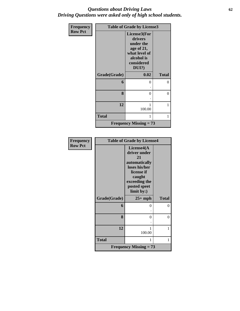### *Questions about Driving Laws* **62** *Driving Questions were asked only of high school students.*

| Frequency      | <b>Table of Grade by License3</b> |                                                                                                          |              |  |
|----------------|-----------------------------------|----------------------------------------------------------------------------------------------------------|--------------|--|
| <b>Row Pct</b> |                                   | License3(For<br>drivers<br>under the<br>age of 21,<br>what level of<br>alcohol is<br>considered<br>DUI?) |              |  |
|                | Grade(Grade)                      | 0.02                                                                                                     | <b>Total</b> |  |
|                | 6                                 | 0                                                                                                        | $\theta$     |  |
|                | 8                                 | 0                                                                                                        | $\theta$     |  |
|                | 12                                | 100.00                                                                                                   | 1            |  |
|                | <b>Total</b>                      | 1                                                                                                        | 1            |  |
|                |                                   | <b>Frequency Missing = 73</b>                                                                            |              |  |

| <b>Frequency</b> |              | <b>Table of Grade by License4</b>                                                                                                         |              |
|------------------|--------------|-------------------------------------------------------------------------------------------------------------------------------------------|--------------|
| <b>Row Pct</b>   |              | License4(A<br>driver under<br>21<br>automatically<br>loses his/her<br>license if<br>caught<br>exceeding the<br>posted speet<br>limit by:) |              |
|                  | Grade(Grade) | $25+mph$                                                                                                                                  | <b>Total</b> |
|                  | 6            | 0                                                                                                                                         | 0            |
|                  |              |                                                                                                                                           |              |
|                  | 8            | 0                                                                                                                                         | $\theta$     |
|                  | 12           | 1<br>100.00                                                                                                                               | 1            |
|                  | <b>Total</b> | 1                                                                                                                                         | 1            |
|                  |              | <b>Frequency Missing = 73</b>                                                                                                             |              |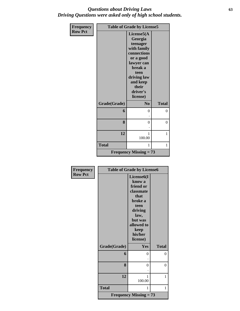### *Questions about Driving Laws* **63** *Driving Questions were asked only of high school students.*

| <b>Frequency</b> | <b>Table of Grade by License5</b> |                                                                                           |                |  |
|------------------|-----------------------------------|-------------------------------------------------------------------------------------------|----------------|--|
| <b>Row Pct</b>   |                                   | License5(A<br>Georgia                                                                     |                |  |
|                  |                                   | teenager<br>with family<br>connections<br>or a good                                       |                |  |
|                  |                                   | lawyer can<br>break a<br>teen<br>driving law<br>and keep<br>their<br>driver's<br>license) |                |  |
|                  | Grade(Grade)                      | $\bf No$                                                                                  | <b>Total</b>   |  |
|                  | 6                                 | 0                                                                                         | $\theta$       |  |
|                  | 8                                 | $\overline{0}$                                                                            | $\overline{0}$ |  |
|                  | 12                                | 1<br>100.00                                                                               | 1              |  |
|                  | <b>Total</b>                      | 1                                                                                         | 1              |  |
|                  |                                   | <b>Frequency Missing = 73</b>                                                             |                |  |

| <b>Frequency</b> | <b>Table of Grade by License6</b> |                                                                                                                                    |                |  |
|------------------|-----------------------------------|------------------------------------------------------------------------------------------------------------------------------------|----------------|--|
| <b>Row Pct</b>   |                                   | License <sub>6</sub> (I<br>know a<br>friend or<br>classmate<br>that<br>broke a<br>teen<br>driving<br>law,<br>but was<br>allowed to |                |  |
|                  |                                   | keep<br>his/her<br>license)                                                                                                        |                |  |
|                  | Grade(Grade)                      | Yes                                                                                                                                | <b>Total</b>   |  |
|                  | 6                                 | $\overline{0}$                                                                                                                     | 0              |  |
|                  | 8                                 | $\overline{0}$                                                                                                                     | $\overline{0}$ |  |
|                  | 12                                | 1<br>100.00                                                                                                                        | 1              |  |
|                  | <b>Total</b>                      | 1                                                                                                                                  | 1              |  |
|                  |                                   | <b>Frequency Missing = 73</b>                                                                                                      |                |  |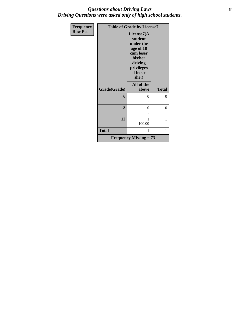## *Questions about Driving Laws* **64** *Driving Questions were asked only of high school students.*

| Frequency      | <b>Table of Grade by License7</b> |                                                                                                                       |              |  |
|----------------|-----------------------------------|-----------------------------------------------------------------------------------------------------------------------|--------------|--|
| <b>Row Pct</b> |                                   | License7(A<br>student<br>under the<br>age of 18<br>cam loser<br>his/her<br>driving<br>privileges<br>if he or<br>she:) |              |  |
|                | Grade(Grade)                      | All of the<br>above                                                                                                   | <b>Total</b> |  |
|                | 6                                 | 0                                                                                                                     | $\theta$     |  |
|                | 8                                 | 0                                                                                                                     | $\theta$     |  |
|                | 12                                | 1<br>100.00                                                                                                           | 1            |  |
|                | <b>Total</b>                      | 1                                                                                                                     | 1            |  |
|                |                                   | <b>Frequency Missing = 73</b>                                                                                         |              |  |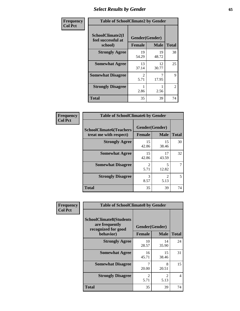# *Select Results by Gender* **65**

| Frequency      | <b>Table of SchoolClimate2 by Gender</b>          |                                     |             |                |  |
|----------------|---------------------------------------------------|-------------------------------------|-------------|----------------|--|
| <b>Col Pct</b> | SchoolClimate2(I<br>feel successful at<br>school) | Gender(Gender)<br><b>Female</b>     | <b>Male</b> | <b>Total</b>   |  |
|                | <b>Strongly Agree</b>                             | 19<br>54.29                         | 19<br>48.72 | 38             |  |
|                | <b>Somewhat Agree</b>                             | 13<br>37.14                         | 12<br>30.77 | 25             |  |
|                | <b>Somewhat Disagree</b>                          | $\mathcal{D}_{\mathcal{L}}$<br>5.71 | 17.95       | 9              |  |
|                | <b>Strongly Disagree</b>                          | 2.86                                | 2.56        | $\overline{2}$ |  |
|                | <b>Total</b>                                      | 35                                  | 39          | 74             |  |

| Frequency      | <b>Table of SchoolClimate6 by Gender</b>                 |                                 |                        |              |  |
|----------------|----------------------------------------------------------|---------------------------------|------------------------|--------------|--|
| <b>Col Pct</b> | <b>SchoolClimate6(Teachers</b><br>treat me with respect) | Gender(Gender)<br><b>Female</b> | <b>Male</b>            | <b>Total</b> |  |
|                | <b>Strongly Agree</b>                                    | 15<br>42.86                     | 15<br>38.46            | 30           |  |
|                | <b>Somewhat Agree</b>                                    | 15<br>42.86                     | 17<br>43.59            | 32           |  |
|                | <b>Somewhat Disagree</b>                                 | $\mathfrak{D}$<br>5.71          | 5<br>12.82             |              |  |
|                | <b>Strongly Disagree</b>                                 | 3<br>8.57                       | $\mathfrak{D}$<br>5.13 | 5            |  |
|                | <b>Total</b>                                             | 35                              | 39                     | 74           |  |

| <b>Frequency</b> | <b>Table of SchoolClimate8 by Gender</b>                                |                        |                        |              |  |  |
|------------------|-------------------------------------------------------------------------|------------------------|------------------------|--------------|--|--|
| <b>Col Pct</b>   | <b>SchoolClimate8(Students</b><br>are frequently<br>recognized for good | Gender(Gender)         |                        |              |  |  |
|                  | behavior)                                                               | <b>Female</b>          | <b>Male</b>            | <b>Total</b> |  |  |
|                  | <b>Strongly Agree</b>                                                   | 10<br>28.57            | 14<br>35.90            | 24           |  |  |
|                  | <b>Somewhat Agree</b>                                                   | 16<br>45.71            | 15<br>38.46            | 31           |  |  |
|                  | <b>Somewhat Disagree</b>                                                | 7<br>20.00             | 8<br>20.51             | 15           |  |  |
|                  | <b>Strongly Disagree</b>                                                | $\mathfrak{D}$<br>5.71 | $\mathfrak{D}$<br>5.13 | 4            |  |  |
|                  | Total                                                                   | 35                     | 39                     | 74           |  |  |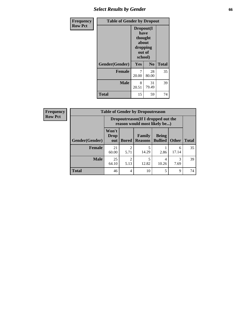# *Select Results by Gender* **66**

| <b>Frequency</b> | <b>Table of Gender by Dropout</b> |                                                   |                   |              |
|------------------|-----------------------------------|---------------------------------------------------|-------------------|--------------|
| <b>Row Pct</b>   |                                   | Dropout(I<br>have<br>about<br>dropping<br>school) | thought<br>out of |              |
|                  | Gender(Gender)                    | Yes                                               | N <sub>0</sub>    | <b>Total</b> |
|                  | <b>Female</b>                     | 7<br>20.00                                        | 28<br>80.00       | 35           |
|                  | <b>Male</b>                       | 8<br>20.51                                        | 31<br>79.49       | 39           |
|                  | <b>Total</b>                      | 15                                                | 59                | 74           |

| <b>Frequency</b> | <b>Table of Gender by Dropoutreason</b> |                                                                     |                        |                                 |                                |              |              |
|------------------|-----------------------------------------|---------------------------------------------------------------------|------------------------|---------------------------------|--------------------------------|--------------|--------------|
| <b>Row Pct</b>   |                                         | Dropoutreason (If I dropped out the<br>reason would most likely be) |                        |                                 |                                |              |              |
|                  | <b>Gender(Gender)</b>                   | Won't<br><b>Drop</b><br>out                                         | <b>Bored</b>           | <b>Family</b><br><b>Reasons</b> | <b>Being</b><br><b>Bullied</b> | <b>Other</b> | <b>Total</b> |
|                  | <b>Female</b>                           | 21<br>60.00                                                         | $\mathfrak{D}$<br>5.71 | 14.29                           | 2.86                           | 6<br>17.14   | 35           |
|                  | <b>Male</b>                             | 25<br>64.10                                                         | $\overline{2}$<br>5.13 | 12.82                           | 4<br>10.26                     | 3<br>7.69    | 39           |
|                  | <b>Total</b>                            | 46                                                                  | $\overline{4}$         | 10                              | 5                              | 9            | 74           |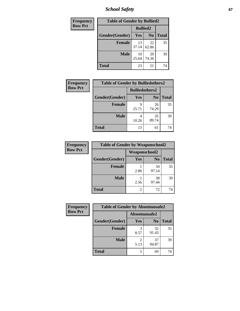*School Safety* **67**

| Frequency      | <b>Table of Gender by Bullied2</b> |                 |                |              |
|----------------|------------------------------------|-----------------|----------------|--------------|
| <b>Row Pct</b> |                                    | <b>Bullied2</b> |                |              |
|                | Gender(Gender)                     | <b>Yes</b>      | N <sub>0</sub> | <b>Total</b> |
|                | <b>Female</b>                      | 13<br>37.14     | 22<br>62.86    | 35           |
|                | <b>Male</b>                        | 10<br>25.64     | 29<br>74.36    | 39           |
|                | <b>Total</b>                       | 23              | 51             | 74           |

| Frequency      | <b>Table of Gender by Bulliedothers2</b> |                       |                |              |
|----------------|------------------------------------------|-----------------------|----------------|--------------|
| <b>Row Pct</b> |                                          | <b>Bulliedothers2</b> |                |              |
|                | Gender(Gender)                           | Yes                   | N <sub>0</sub> | <b>Total</b> |
|                | <b>Female</b>                            | Q<br>25.71            | 26<br>74.29    | 35           |
|                | <b>Male</b>                              | 10.26                 | 35<br>89.74    | 39           |
|                | Total                                    | 13                    | 61             | 74           |

| Frequency      | <b>Table of Gender by Weaponschool2</b> |               |                |              |
|----------------|-----------------------------------------|---------------|----------------|--------------|
| <b>Row Pct</b> |                                         | Weaponschool2 |                |              |
|                | Gender(Gender)                          | Yes           | N <sub>0</sub> | <b>Total</b> |
|                | <b>Female</b>                           | 2.86          | 34<br>97.14    | 35           |
|                | <b>Male</b>                             | 2.56          | 38<br>97.44    | 39           |
|                | <b>Total</b>                            | 2             | 72             |              |

| Frequency      | <b>Table of Gender by Absentunsafe2</b> |               |                |              |
|----------------|-----------------------------------------|---------------|----------------|--------------|
| <b>Row Pct</b> |                                         | Absentunsafe2 |                |              |
|                | Gender(Gender)                          | Yes           | N <sub>0</sub> | <b>Total</b> |
|                | <b>Female</b>                           | 8.57          | 32<br>91.43    | 35           |
|                | <b>Male</b>                             | 5.13          | 37<br>94.87    | 39           |
|                | <b>Total</b>                            | 5             | 69             | 74           |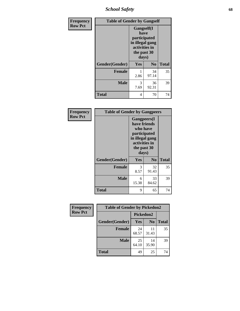*School Safety* **68**

| Frequency      | <b>Table of Gender by Gangself</b> |                                                                                                        |                |              |
|----------------|------------------------------------|--------------------------------------------------------------------------------------------------------|----------------|--------------|
| <b>Row Pct</b> |                                    | <b>Gangself</b> (I<br>have<br>participated<br>in illegal gang<br>activities in<br>the past 30<br>days) |                |              |
|                | Gender(Gender)                     | Yes                                                                                                    | N <sub>0</sub> | <b>Total</b> |
|                | <b>Female</b>                      | 2.86                                                                                                   | 34<br>97.14    | 35           |
|                | <b>Male</b>                        | 3<br>7.69                                                                                              | 36<br>92.31    | 39           |
|                | <b>Total</b>                       | 4                                                                                                      | 70             | 74           |

| Frequency      | <b>Table of Gender by Gangpeers</b> |                                                                                                                             |                |              |
|----------------|-------------------------------------|-----------------------------------------------------------------------------------------------------------------------------|----------------|--------------|
| <b>Row Pct</b> |                                     | <b>Gangpeers</b> (I<br>have friends<br>who have<br>participated<br>in illegal gang<br>activities in<br>the past 30<br>days) |                |              |
|                | Gender(Gender)                      | Yes                                                                                                                         | N <sub>0</sub> | <b>Total</b> |
|                | <b>Female</b>                       | 3<br>8.57                                                                                                                   | 32<br>91.43    | 35           |
|                | <b>Male</b>                         | 6<br>15.38                                                                                                                  | 33<br>84.62    | 39           |
|                | Total                               | 9                                                                                                                           | 65             | 74           |

| Frequency      | <b>Table of Gender by Pickedon2</b> |             |                |              |
|----------------|-------------------------------------|-------------|----------------|--------------|
| <b>Row Pct</b> |                                     | Pickedon2   |                |              |
|                | Gender(Gender)                      | <b>Yes</b>  | N <sub>0</sub> | <b>Total</b> |
|                | Female                              | 24<br>68.57 | 11<br>31.43    | 35           |
|                | <b>Male</b>                         | 25<br>64.10 | 14<br>35.90    | 39           |
|                | <b>Total</b>                        | 49          | 25             | 74           |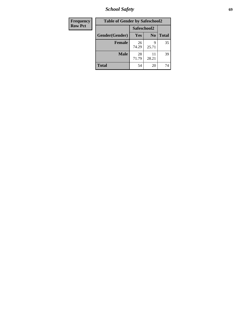*School Safety* **69**

| Frequency      | <b>Table of Gender by Safeschool2</b> |             |                |              |
|----------------|---------------------------------------|-------------|----------------|--------------|
| <b>Row Pct</b> |                                       | Safeschool2 |                |              |
|                | Gender(Gender)                        | Yes         | N <sub>0</sub> | <b>Total</b> |
|                | <b>Female</b>                         | 26<br>74.29 | q<br>25.71     | 35           |
|                | <b>Male</b>                           | 28<br>71.79 | 11<br>28.21    | 39           |
|                | <b>Total</b>                          | 54          | 20             | 74           |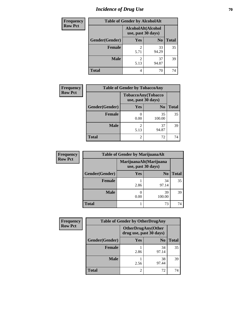# *Incidence of Drug Use* **70**

| Frequency      | <b>Table of Gender by AlcoholAlt</b> |                                          |                |              |
|----------------|--------------------------------------|------------------------------------------|----------------|--------------|
| <b>Row Pct</b> |                                      | AlcoholAlt(Alcohol<br>use, past 30 days) |                |              |
|                | Gender(Gender)                       | Yes                                      | N <sub>0</sub> | <b>Total</b> |
|                | <b>Female</b>                        | 2<br>5.71                                | 33<br>94.29    | 35           |
|                | <b>Male</b>                          | 2<br>5.13                                | 37<br>94.87    | 39           |
|                | <b>Total</b>                         | 4                                        | 70             | 74           |

| Frequency      | <b>Table of Gender by TobaccoAny</b> |                                          |                |              |
|----------------|--------------------------------------|------------------------------------------|----------------|--------------|
| <b>Row Pct</b> |                                      | TobaccoAny(Tobacco<br>use, past 30 days) |                |              |
|                | Gender(Gender)                       | Yes                                      | N <sub>0</sub> | <b>Total</b> |
|                | <b>Female</b>                        | 0.00                                     | 35<br>100.00   | 35           |
|                | <b>Male</b>                          | 2<br>5.13                                | 37<br>94.87    | 39           |
|                | <b>Total</b>                         | 2                                        | 72             | 74           |

| <b>Frequency</b> |                | <b>Table of Gender by MarijuanaAlt</b> |                                              |       |
|------------------|----------------|----------------------------------------|----------------------------------------------|-------|
| <b>Row Pct</b>   |                |                                        | MarijuanaAlt(Marijuana<br>use, past 30 days) |       |
|                  | Gender(Gender) | Yes                                    | N <sub>0</sub>                               | Total |
|                  | <b>Female</b>  | 2.86                                   | 34<br>97.14                                  | 35    |
|                  | <b>Male</b>    | 0.00                                   | 39<br>100.00                                 | 39    |
|                  | <b>Total</b>   |                                        | 73                                           | 74    |

| <b>Frequency</b> | <b>Table of Gender by OtherDrugAny</b> |                                                      |                |              |
|------------------|----------------------------------------|------------------------------------------------------|----------------|--------------|
| <b>Row Pct</b>   |                                        | <b>OtherDrugAny(Other</b><br>drug use, past 30 days) |                |              |
|                  | Gender(Gender)                         | <b>Yes</b>                                           | N <sub>0</sub> | <b>Total</b> |
|                  | <b>Female</b>                          | 2.86                                                 | 34<br>97.14    | 35           |
|                  | <b>Male</b>                            | 2.56                                                 | 38<br>97.44    | 39           |
|                  | <b>Total</b>                           | 2                                                    | 72             | 74           |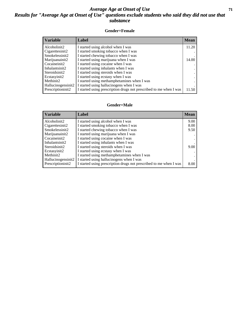## *Average Age at Onset of Use* **71** *Results for "Average Age at Onset of Use" questions exclude students who said they did not use that substance*

### **Gender=Female**

| <b>Variable</b>    | Label                                                              | <b>Mean</b> |
|--------------------|--------------------------------------------------------------------|-------------|
| Alcoholinit2       | I started using alcohol when I was                                 | 11.20       |
| Cigarettesinit2    | I started smoking tobacco when I was                               |             |
| Smokelessinit2     | I started chewing tobacco when I was                               |             |
| Marijuanainit2     | I started using marijuana when I was                               | 14.00       |
| Cocaineinit2       | I started using cocaine when I was                                 |             |
| Inhalantsinit2     | I started using inhalants when I was                               |             |
| Steroidsinit2      | I started using steroids when I was                                |             |
| Ecstasyinit2       | I started using ecstasy when I was                                 |             |
| Methinit2          | I started using methamphetamines when I was                        |             |
| Hallucinogensinit2 | I started using hallucinogens when I was                           |             |
| Prescription in t2 | I started using prescription drugs not prescribed to me when I was | 11.50       |

### **Gender=Male**

| <b>Variable</b>    | Label                                                              | <b>Mean</b> |
|--------------------|--------------------------------------------------------------------|-------------|
| Alcoholinit2       | I started using alcohol when I was                                 | 9.00        |
| Cigarettesinit2    | I started smoking tobacco when I was                               | 8.00        |
| Smokelessinit2     | I started chewing tobacco when I was                               | 9.50        |
| Marijuanainit2     | I started using marijuana when I was                               |             |
| Cocaineinit2       | I started using cocaine when I was                                 |             |
| Inhalantsinit2     | I started using inhalants when I was                               |             |
| Steroidsinit2      | I started using steroids when I was                                | 9.00        |
| Ecstasyinit2       | I started using ecstasy when I was                                 |             |
| Methinit2          | I started using methamphetamines when I was                        |             |
| Hallucinogensinit2 | I started using hallucinogens when I was                           |             |
| Prescriptioninit2  | I started using prescription drugs not prescribed to me when I was | 8.00        |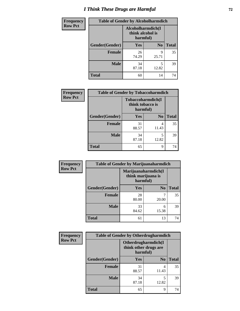# *I Think These Drugs are Harmful* **72**

| <b>Frequency</b> | <b>Table of Gender by Alcoholharmdich</b> |                                                   |                |              |
|------------------|-------------------------------------------|---------------------------------------------------|----------------|--------------|
| <b>Row Pct</b>   |                                           | Alcoholharmdich(I<br>think alcohol is<br>harmful) |                |              |
|                  | Gender(Gender)                            | <b>Yes</b>                                        | N <sub>0</sub> | <b>Total</b> |
|                  | <b>Female</b>                             | 26<br>74.29                                       | 9<br>25.71     | 35           |
|                  | <b>Male</b>                               | 34<br>87.18                                       | 5<br>12.82     | 39           |
|                  | <b>Total</b>                              | 60                                                | 14             | 74           |

| Frequency      | <b>Table of Gender by Tobaccoharmdich</b> |                                                   |                |              |
|----------------|-------------------------------------------|---------------------------------------------------|----------------|--------------|
| <b>Row Pct</b> |                                           | Tobaccoharmdich(I<br>think tobacco is<br>harmful) |                |              |
|                | Gender(Gender)                            | Yes                                               | N <sub>0</sub> | <b>Total</b> |
|                | <b>Female</b>                             | 31<br>88.57                                       | 4<br>11.43     | 35           |
|                | <b>Male</b>                               | 34<br>87.18                                       | 5<br>12.82     | 39           |
|                | <b>Total</b>                              | 65                                                | 9              | 74           |

| Frequency      | <b>Table of Gender by Marijuanaharmdich</b> |                                                       |                |              |
|----------------|---------------------------------------------|-------------------------------------------------------|----------------|--------------|
| <b>Row Pct</b> |                                             | Marijuanaharmdich(I<br>think marijuana is<br>harmful) |                |              |
|                | Gender(Gender)                              | <b>Yes</b>                                            | N <sub>0</sub> | <b>Total</b> |
|                | <b>Female</b>                               | 28<br>80.00                                           | 20.00          | 35           |
|                | <b>Male</b>                                 | 33<br>84.62                                           | 6<br>15.38     | 39           |
|                | <b>Total</b>                                | 61                                                    | 13             | 74           |

| Frequency      | <b>Table of Gender by Otherdrugharmdich</b> |                                                                  |                |              |
|----------------|---------------------------------------------|------------------------------------------------------------------|----------------|--------------|
| <b>Row Pct</b> |                                             | <b>Otherdrugharmdich(I)</b><br>think other drugs are<br>harmful) |                |              |
|                | Gender(Gender)                              | <b>Yes</b>                                                       | N <sub>0</sub> | <b>Total</b> |
|                | <b>Female</b>                               | 31<br>88.57                                                      | 4<br>11.43     | 35           |
|                | <b>Male</b>                                 | 34<br>87.18                                                      | 5<br>12.82     | 39           |
|                | <b>Total</b>                                | 65                                                               | 9              | 74           |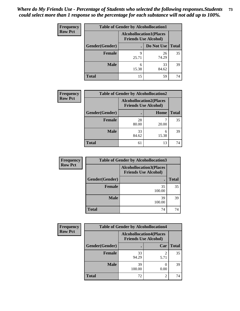| <b>Frequency</b> | <b>Table of Gender by Alcohollocation1</b> |                                                               |             |              |
|------------------|--------------------------------------------|---------------------------------------------------------------|-------------|--------------|
| <b>Row Pct</b>   |                                            | <b>Alcohollocation1(Places</b><br><b>Friends Use Alcohol)</b> |             |              |
|                  | Gender(Gender)                             |                                                               | Do Not Use  | <b>Total</b> |
|                  | <b>Female</b>                              | Q<br>25.71                                                    | 26<br>74.29 | 35           |
|                  | <b>Male</b>                                | 6<br>15.38                                                    | 33<br>84.62 | 39           |
|                  | <b>Total</b>                               | 15                                                            | 59          | 74           |

| <b>Frequency</b> | <b>Table of Gender by Alcohollocation2</b> |                                                               |            |              |
|------------------|--------------------------------------------|---------------------------------------------------------------|------------|--------------|
| <b>Row Pct</b>   |                                            | <b>Alcohollocation2(Places</b><br><b>Friends Use Alcohol)</b> |            |              |
|                  | Gender(Gender)                             |                                                               | Home       | <b>Total</b> |
|                  | <b>Female</b>                              | 28<br>80.00                                                   | 20.00      | 35           |
|                  | <b>Male</b>                                | 33<br>84.62                                                   | 6<br>15.38 | 39           |
|                  | <b>Total</b>                               | 61                                                            | 13         | 74           |

| Frequency      | <b>Table of Gender by Alcohollocation3</b> |                                                               |              |
|----------------|--------------------------------------------|---------------------------------------------------------------|--------------|
| <b>Row Pct</b> |                                            | <b>Alcohollocation3(Places</b><br><b>Friends Use Alcohol)</b> |              |
|                | Gender(Gender)                             | ٠                                                             | <b>Total</b> |
|                | <b>Female</b>                              | 35<br>100.00                                                  | 35           |
|                | <b>Male</b>                                | 39<br>100.00                                                  | 39           |
|                | <b>Total</b>                               | 74                                                            | 74           |

| <b>Frequency</b> | <b>Table of Gender by Alcohollocation4</b> |                                                               |                |              |
|------------------|--------------------------------------------|---------------------------------------------------------------|----------------|--------------|
| <b>Row Pct</b>   |                                            | <b>Alcohollocation4(Places</b><br><b>Friends Use Alcohol)</b> |                |              |
|                  | Gender(Gender)                             |                                                               | Car            | <b>Total</b> |
|                  | <b>Female</b>                              | 33<br>94.29                                                   | 5.71           | 35           |
|                  | <b>Male</b>                                | 39<br>100.00                                                  | 0.00           | 39           |
|                  | <b>Total</b>                               | 72                                                            | $\mathfrak{D}$ | 74           |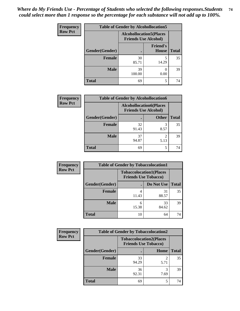| <b>Frequency</b> |                | <b>Table of Gender by Alcohollocation5</b> |                                                                |              |  |
|------------------|----------------|--------------------------------------------|----------------------------------------------------------------|--------------|--|
| <b>Row Pct</b>   |                |                                            | <b>Alcohollocation5</b> (Places<br><b>Friends Use Alcohol)</b> |              |  |
|                  | Gender(Gender) |                                            | <b>Friend's</b><br><b>House</b>                                | <b>Total</b> |  |
|                  | <b>Female</b>  | 30<br>85.71                                | 14.29                                                          | 35           |  |
|                  | <b>Male</b>    | 39<br>100.00                               | 0.00                                                           | 39           |  |
|                  | <b>Total</b>   | 69                                         | 5                                                              | 74           |  |

| Frequency      | <b>Table of Gender by Alcohollocation6</b> |             |                                                               |              |
|----------------|--------------------------------------------|-------------|---------------------------------------------------------------|--------------|
| <b>Row Pct</b> |                                            |             | <b>Alcohollocation6(Places</b><br><b>Friends Use Alcohol)</b> |              |
|                | Gender(Gender)                             |             | <b>Other</b>                                                  | <b>Total</b> |
|                | <b>Female</b>                              | 32<br>91.43 | 8.57                                                          | 35           |
|                | <b>Male</b>                                | 37<br>94.87 | 2<br>5.13                                                     | 39           |
|                | <b>Total</b>                               | 69          |                                                               | 74           |

| Frequency      | <b>Table of Gender by Tobaccolocation1</b> |                                                               |             |              |  |
|----------------|--------------------------------------------|---------------------------------------------------------------|-------------|--------------|--|
| <b>Row Pct</b> |                                            | <b>Tobaccolocation1(Places</b><br><b>Friends Use Tobacco)</b> |             |              |  |
|                | Gender(Gender)                             |                                                               | Do Not Use  | <b>Total</b> |  |
|                | Female                                     | 11.43                                                         | 31<br>88.57 | 35           |  |
|                | <b>Male</b>                                | 15.38                                                         | 33<br>84.62 | 39           |  |
|                | <b>Total</b>                               | 10                                                            | 64          | 74           |  |

| <b>Frequency</b> | <b>Table of Gender by Tobaccolocation2</b> |                             |                                |              |
|------------------|--------------------------------------------|-----------------------------|--------------------------------|--------------|
| <b>Row Pct</b>   |                                            | <b>Friends Use Tobacco)</b> | <b>Tobaccolocation2(Places</b> |              |
|                  | Gender(Gender)                             |                             | Home                           | <b>Total</b> |
|                  | Female                                     | 33<br>94.29                 | $\mathfrak{D}$<br>5.71         | 35           |
|                  | <b>Male</b>                                | 36<br>92.31                 | 7.69                           | 39           |
|                  | <b>Total</b>                               | 69                          |                                | 74           |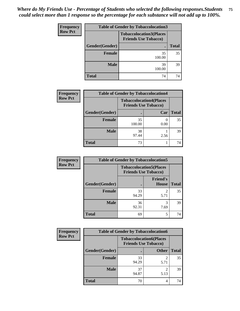| <b>Frequency</b> | <b>Table of Gender by Tobaccolocation3</b> |                                                               |              |  |  |
|------------------|--------------------------------------------|---------------------------------------------------------------|--------------|--|--|
| <b>Row Pct</b>   |                                            | <b>Tobaccolocation3(Places</b><br><b>Friends Use Tobacco)</b> |              |  |  |
|                  | Gender(Gender)<br>$\bullet$                |                                                               | <b>Total</b> |  |  |
|                  | <b>Female</b>                              | 35<br>100.00                                                  | 35           |  |  |
|                  | <b>Male</b>                                | 39<br>100.00                                                  | 39           |  |  |
|                  | <b>Total</b>                               | 74                                                            | 74           |  |  |

| <b>Frequency</b> | <b>Table of Gender by Tobaccolocation4</b> |                                                               |      |              |
|------------------|--------------------------------------------|---------------------------------------------------------------|------|--------------|
| <b>Row Pct</b>   |                                            | <b>Tobaccolocation4(Places</b><br><b>Friends Use Tobacco)</b> |      |              |
|                  | Gender(Gender)                             |                                                               | Car  | <b>Total</b> |
|                  | Female                                     | 35<br>100.00                                                  | 0.00 | 35           |
|                  | <b>Male</b>                                | 38<br>97.44                                                   | 2.56 | 39           |
|                  | <b>Total</b>                               | 73                                                            |      | 74           |

| <b>Frequency</b> | <b>Table of Gender by Tobaccolocation5</b>                    |             |                                 |              |
|------------------|---------------------------------------------------------------|-------------|---------------------------------|--------------|
| <b>Row Pct</b>   | <b>Tobaccolocation5(Places</b><br><b>Friends Use Tobacco)</b> |             |                                 |              |
|                  | Gender(Gender)                                                |             | <b>Friend's</b><br><b>House</b> | <b>Total</b> |
|                  | Female                                                        | 33<br>94.29 | 5.71                            | 35           |
|                  | <b>Male</b>                                                   | 36<br>92.31 | 7.69                            | 39           |
|                  | <b>Total</b>                                                  | 69          | 5                               | 74           |

| Frequency      | <b>Table of Gender by Tobaccolocation6</b> |                                                               |              |              |  |
|----------------|--------------------------------------------|---------------------------------------------------------------|--------------|--------------|--|
| <b>Row Pct</b> |                                            | <b>Tobaccolocation6(Places</b><br><b>Friends Use Tobacco)</b> |              |              |  |
|                | Gender(Gender)                             |                                                               | <b>Other</b> | <b>Total</b> |  |
|                | Female                                     | 33<br>94.29                                                   | 5.71         | 35           |  |
|                | <b>Male</b>                                | 37<br>94.87                                                   | 5.13         | 39           |  |
|                | <b>Total</b>                               | 70                                                            | 4            | 74           |  |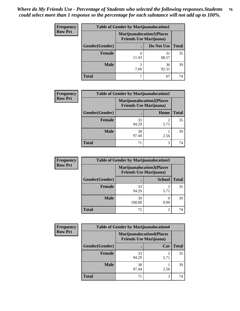| <b>Frequency</b> | <b>Table of Gender by Marijuanalocation1</b> |                                                                    |             |              |
|------------------|----------------------------------------------|--------------------------------------------------------------------|-------------|--------------|
| <b>Row Pct</b>   |                                              | <b>Marijuanalocation1(Places</b><br><b>Friends Use Marijuana</b> ) |             |              |
|                  | <b>Gender</b> (Gender)                       |                                                                    | Do Not Use  | <b>Total</b> |
|                  | <b>Female</b>                                | 11.43                                                              | 31<br>88.57 | 35           |
|                  | <b>Male</b>                                  | 7.69                                                               | 36<br>92.31 | 39           |
|                  | <b>Total</b>                                 |                                                                    | 67          | 74           |

| <b>Frequency</b> | <b>Table of Gender by Marijuanalocation2</b> |                                                                    |      |              |  |
|------------------|----------------------------------------------|--------------------------------------------------------------------|------|--------------|--|
| <b>Row Pct</b>   |                                              | <b>Marijuanalocation2(Places</b><br><b>Friends Use Marijuana</b> ) |      |              |  |
|                  | Gender(Gender)                               |                                                                    | Home | <b>Total</b> |  |
|                  | Female                                       | 33<br>94.29                                                        | 5.71 | 35           |  |
|                  | <b>Male</b>                                  | 38<br>97.44                                                        | 2.56 | 39           |  |
|                  | <b>Total</b>                                 | 71                                                                 | 3    | 74           |  |

| Frequency      | <b>Table of Gender by Marijuanalocation3</b> |                                                                    |                |              |
|----------------|----------------------------------------------|--------------------------------------------------------------------|----------------|--------------|
| <b>Row Pct</b> |                                              | <b>Marijuanalocation3(Places</b><br><b>Friends Use Marijuana</b> ) |                |              |
|                | Gender(Gender)                               |                                                                    | <b>School</b>  | <b>Total</b> |
|                | Female                                       | 33<br>94.29                                                        | 5.71           | 35           |
|                | <b>Male</b>                                  | 39<br>100.00                                                       | 0.00           | 39           |
|                | <b>Total</b>                                 | 72                                                                 | $\mathfrak{D}$ | 74           |

| Frequency      | <b>Table of Gender by Marijuanalocation4</b> |                                |                                  |              |
|----------------|----------------------------------------------|--------------------------------|----------------------------------|--------------|
| <b>Row Pct</b> |                                              | <b>Friends Use Marijuana</b> ) | <b>Marijuanalocation4(Places</b> |              |
|                | Gender(Gender)                               |                                | Car                              | <b>Total</b> |
|                | Female                                       | 33<br>94.29                    | 5.71                             | 35           |
|                | <b>Male</b>                                  | 38<br>97.44                    | 2.56                             | 39           |
|                | <b>Total</b>                                 | 71                             | 3                                | 74           |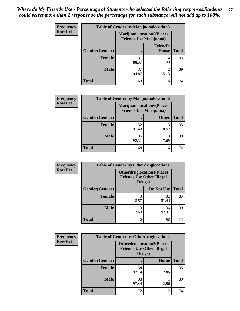| <b>Frequency</b> | <b>Table of Gender by Marijuanalocation5</b> |                                                                    |                                 |              |
|------------------|----------------------------------------------|--------------------------------------------------------------------|---------------------------------|--------------|
| <b>Row Pct</b>   |                                              | <b>Marijuanalocation5(Places</b><br><b>Friends Use Marijuana</b> ) |                                 |              |
|                  | Gender(Gender)                               |                                                                    | <b>Friend's</b><br><b>House</b> | <b>Total</b> |
|                  | <b>Female</b>                                | 31<br>88.57                                                        | 11.43                           | 35           |
|                  | <b>Male</b>                                  | 37<br>94.87                                                        | 5.13                            | 39           |
|                  | <b>Total</b>                                 | 68                                                                 | 6                               | 74           |

| <b>Frequency</b> | <b>Table of Gender by Marijuanalocation6</b> |                                |                                  |              |
|------------------|----------------------------------------------|--------------------------------|----------------------------------|--------------|
| <b>Row Pct</b>   |                                              | <b>Friends Use Marijuana</b> ) | <b>Marijuanalocation6(Places</b> |              |
|                  | Gender(Gender)                               |                                | <b>Other</b>                     | <b>Total</b> |
|                  | <b>Female</b>                                | 32<br>91.43                    | 8.57                             | 35           |
|                  | <b>Male</b>                                  | 36<br>92.31                    | 3<br>7.69                        | 39           |
|                  | <b>Total</b>                                 | 68                             | 6                                | 74           |

| <b>Frequency</b> | <b>Table of Gender by Otherdruglocation1</b> |                                            |                                  |              |
|------------------|----------------------------------------------|--------------------------------------------|----------------------------------|--------------|
| <b>Row Pct</b>   |                                              | <b>Friends Use Other Illegal</b><br>Drugs) | <b>Otherdruglocation1(Places</b> |              |
|                  | Gender(Gender)                               |                                            | Do Not Use                       | <b>Total</b> |
|                  | <b>Female</b>                                | 3<br>8.57                                  | 32<br>91.43                      | 35           |
|                  | <b>Male</b>                                  | 3<br>7.69                                  | 36<br>92.31                      | 39           |
|                  | <b>Total</b>                                 | 6                                          | 68                               | 74           |

| <b>Frequency</b> | <b>Table of Gender by Otherdruglocation2</b>                                    |             |                |              |
|------------------|---------------------------------------------------------------------------------|-------------|----------------|--------------|
| <b>Row Pct</b>   | <b>Otherdruglocation2(Places)</b><br><b>Friends Use Other Illegal</b><br>Drugs) |             |                |              |
|                  | Gender(Gender)                                                                  |             | <b>Home</b>    | <b>Total</b> |
|                  | Female                                                                          | 34<br>97.14 | 2.86           | 35           |
|                  | <b>Male</b>                                                                     | 38<br>97.44 | 2.56           | 39           |
|                  | <b>Total</b>                                                                    | 72          | $\mathfrak{D}$ | 74           |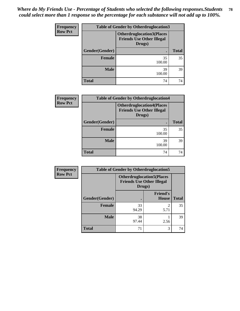| <b>Frequency</b> | <b>Table of Gender by Otherdruglocation3</b> |                                                                                |              |  |
|------------------|----------------------------------------------|--------------------------------------------------------------------------------|--------------|--|
| <b>Row Pct</b>   |                                              | <b>Otherdruglocation3(Places</b><br><b>Friends Use Other Illegal</b><br>Drugs) |              |  |
|                  | Gender(Gender)                               | ٠                                                                              | <b>Total</b> |  |
|                  | Female                                       | 35<br>100.00                                                                   | 35           |  |
|                  | <b>Male</b>                                  | 39<br>100.00                                                                   | 39           |  |
|                  | <b>Total</b>                                 | 74                                                                             | 74           |  |

| Frequency      | <b>Table of Gender by Otherdruglocation4</b> |                                                                                |              |  |
|----------------|----------------------------------------------|--------------------------------------------------------------------------------|--------------|--|
| <b>Row Pct</b> |                                              | <b>Otherdruglocation4(Places</b><br><b>Friends Use Other Illegal</b><br>Drugs) |              |  |
|                | Gender(Gender)                               |                                                                                | <b>Total</b> |  |
|                | Female                                       | 35<br>100.00                                                                   | 35           |  |
|                | <b>Male</b>                                  | 39<br>100.00                                                                   | 39           |  |
|                | <b>Total</b>                                 | 74                                                                             | 74           |  |

| Frequency      | <b>Table of Gender by Otherdruglocation5</b><br><b>Otherdruglocation5(Places</b><br><b>Friends Use Other Illegal</b><br>Drugs) |             |                                 |              |
|----------------|--------------------------------------------------------------------------------------------------------------------------------|-------------|---------------------------------|--------------|
| <b>Row Pct</b> |                                                                                                                                |             |                                 |              |
|                | Gender(Gender)                                                                                                                 |             | <b>Friend's</b><br><b>House</b> | <b>Total</b> |
|                | <b>Female</b>                                                                                                                  | 33<br>94.29 | $\overline{2}$<br>5.71          | 35           |
|                | <b>Male</b>                                                                                                                    | 38<br>97.44 | 2.56                            | 39           |
|                | <b>Total</b>                                                                                                                   | 71          | 3                               | 74           |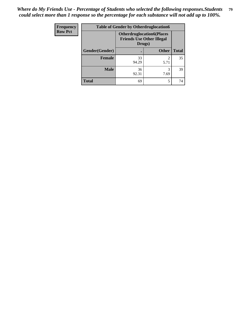| <b>Frequency</b> | <b>Table of Gender by Otherdruglocation6</b> |                                                                                |              |              |
|------------------|----------------------------------------------|--------------------------------------------------------------------------------|--------------|--------------|
| <b>Row Pct</b>   |                                              | <b>Otherdruglocation6(Places</b><br><b>Friends Use Other Illegal</b><br>Drugs) |              |              |
|                  | Gender(Gender)                               |                                                                                | <b>Other</b> | <b>Total</b> |
|                  | Female                                       | 33<br>94.29                                                                    | 5.71         | 35           |
|                  | <b>Male</b>                                  | 36<br>92.31                                                                    | 7.69         | 39           |
|                  | <b>Total</b>                                 | 69                                                                             | 5            | 74           |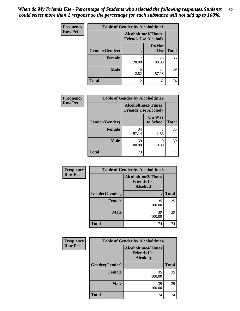| <b>Frequency</b> | <b>Table of Gender by Alcoholtime1</b> |                                                   |                      |              |
|------------------|----------------------------------------|---------------------------------------------------|----------------------|--------------|
| <b>Row Pct</b>   |                                        | Alcoholtime1(Times<br><b>Friends Use Alcohol)</b> |                      |              |
|                  | Gender(Gender)                         |                                                   | Do Not<br><b>Use</b> | <b>Total</b> |
|                  | <b>Female</b>                          | 20.00                                             | 28<br>80.00          | 35           |
|                  | <b>Male</b>                            | 5<br>12.82                                        | 34<br>87.18          | 39           |
|                  | <b>Total</b>                           | 12                                                | 62                   | 74           |

| Frequency      | <b>Table of Gender by Alcoholtime2</b> |                                                          |                            |              |
|----------------|----------------------------------------|----------------------------------------------------------|----------------------------|--------------|
| <b>Row Pct</b> |                                        | <b>Alcoholtime2(Times</b><br><b>Friends Use Alcohol)</b> |                            |              |
|                | Gender(Gender)                         |                                                          | <b>On Way</b><br>to School | <b>Total</b> |
|                | <b>Female</b>                          | 34<br>97.14                                              | 2.86                       | 35           |
|                | <b>Male</b>                            | 39<br>100.00                                             | $\theta$<br>0.00           | 39           |
|                | <b>Total</b>                           | 73                                                       |                            | 74           |

| Frequency      | <b>Table of Gender by Alcoholtime3</b>                      |              |              |  |  |
|----------------|-------------------------------------------------------------|--------------|--------------|--|--|
| <b>Row Pct</b> | <b>Alcoholtime3(Times</b><br><b>Friends Use</b><br>Alcohol) |              |              |  |  |
|                | Gender(Gender)                                              |              | <b>Total</b> |  |  |
|                | <b>Female</b>                                               | 35<br>100.00 | 35           |  |  |
|                | <b>Male</b>                                                 | 39<br>100.00 | 39           |  |  |
|                | <b>Total</b>                                                | 74           | 74           |  |  |

| Frequency      | <b>Table of Gender by Alcoholtime4</b>                      |              |              |  |
|----------------|-------------------------------------------------------------|--------------|--------------|--|
| <b>Row Pct</b> | <b>Alcoholtime4(Times</b><br><b>Friends Use</b><br>Alcohol) |              |              |  |
|                | Gender(Gender)                                              |              | <b>Total</b> |  |
|                | <b>Female</b>                                               | 35<br>100.00 | 35           |  |
|                | <b>Male</b>                                                 | 39<br>100.00 | 39           |  |
|                | <b>Total</b>                                                | 74           | 74           |  |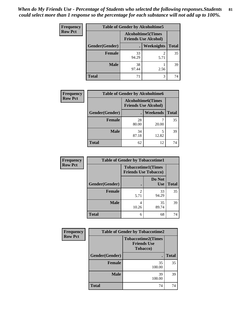| Frequency      | <b>Table of Gender by Alcoholtime5</b> |                                                           |                        |              |  |
|----------------|----------------------------------------|-----------------------------------------------------------|------------------------|--------------|--|
| <b>Row Pct</b> |                                        | <b>Alcoholtime5</b> (Times<br><b>Friends Use Alcohol)</b> |                        |              |  |
|                | Gender(Gender)                         |                                                           | Weeknights             | <b>Total</b> |  |
|                | <b>Female</b>                          | 33<br>94.29                                               | $\overline{2}$<br>5.71 | 35           |  |
|                | <b>Male</b>                            | 38<br>97.44                                               | 2.56                   | 39           |  |
|                | <b>Total</b>                           | 71                                                        | 3                      | 74           |  |

| <b>Frequency</b> | <b>Table of Gender by Alcoholtime6</b> |             |                                                          |              |
|------------------|----------------------------------------|-------------|----------------------------------------------------------|--------------|
| <b>Row Pct</b>   |                                        |             | <b>Alcoholtime6(Times</b><br><b>Friends Use Alcohol)</b> |              |
|                  | Gender(Gender)                         |             | Weekends                                                 | <b>Total</b> |
|                  | <b>Female</b>                          | 28<br>80.00 | 20.00                                                    | 35           |
|                  | <b>Male</b>                            | 34<br>87.18 | 5<br>12.82                                               | 39           |
|                  | <b>Total</b>                           | 62          | 12                                                       | 74           |

| Frequency      | <b>Table of Gender by Tobaccotime1</b> |                                                          |                      |              |
|----------------|----------------------------------------|----------------------------------------------------------|----------------------|--------------|
| <b>Row Pct</b> |                                        | <b>Tobaccotime1(Times</b><br><b>Friends Use Tobacco)</b> |                      |              |
|                | Gender(Gender)                         |                                                          | Do Not<br><b>Use</b> | <b>Total</b> |
|                | Female                                 | $\mathfrak{D}$<br>5.71                                   | 33<br>94.29          | 35           |
|                | <b>Male</b>                            | 4<br>10.26                                               | 35<br>89.74          | 39           |
|                | <b>Total</b>                           | 6                                                        | 68                   | 74           |

| Frequency      | <b>Table of Gender by Tobaccotime2</b> |                                                                     |              |  |
|----------------|----------------------------------------|---------------------------------------------------------------------|--------------|--|
| <b>Row Pct</b> |                                        | <b>Tobaccotime2(Times</b><br><b>Friends Use</b><br><b>Tobacco</b> ) |              |  |
|                | Gender(Gender)                         |                                                                     | <b>Total</b> |  |
|                | <b>Female</b>                          | 35<br>100.00                                                        | 35           |  |
|                | <b>Male</b>                            | 39<br>100.00                                                        | 39           |  |
|                | <b>Total</b>                           | 74                                                                  | 74           |  |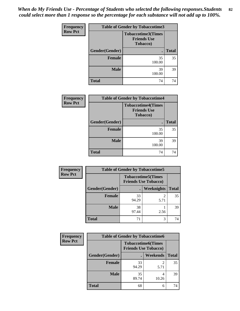*When do My Friends Use - Percentage of Students who selected the following responses.Students could select more than 1 response so the percentage for each substance will not add up to 100%.* **82**

| Frequency      | <b>Table of Gender by Tobaccotime3</b> |                                                             |              |  |
|----------------|----------------------------------------|-------------------------------------------------------------|--------------|--|
| <b>Row Pct</b> |                                        | <b>Tobaccotime3(Times</b><br><b>Friends Use</b><br>Tobacco) |              |  |
|                | Gender(Gender)                         |                                                             | <b>Total</b> |  |
|                | <b>Female</b>                          | 35<br>100.00                                                | 35           |  |
|                | <b>Male</b>                            | 39<br>100.00                                                | 39           |  |
|                | <b>Total</b>                           | 74                                                          | 74           |  |

| <b>Frequency</b> | <b>Table of Gender by Tobaccotime4</b> |                                                             |              |  |
|------------------|----------------------------------------|-------------------------------------------------------------|--------------|--|
| <b>Row Pct</b>   |                                        | <b>Tobaccotime4(Times</b><br><b>Friends Use</b><br>Tobacco) |              |  |
|                  | Gender(Gender)                         |                                                             | <b>Total</b> |  |
|                  | <b>Female</b>                          | 35<br>100.00                                                | 35           |  |
|                  | <b>Male</b>                            | 39<br>100.00                                                | 39           |  |
|                  | <b>Total</b>                           | 74                                                          | 74           |  |

| Frequency      | <b>Table of Gender by Tobaccotime5</b> |                                                          |                        |              |  |
|----------------|----------------------------------------|----------------------------------------------------------|------------------------|--------------|--|
| <b>Row Pct</b> |                                        | <b>Tobaccotime5(Times</b><br><b>Friends Use Tobacco)</b> |                        |              |  |
|                | Gender(Gender)                         |                                                          | <b>Weeknights</b>      | <b>Total</b> |  |
|                | Female                                 | 33<br>94.29                                              | $\mathfrak{D}$<br>5.71 | 35           |  |
|                | <b>Male</b>                            | 38<br>97.44                                              | 2.56                   | 39           |  |
|                | <b>Total</b>                           | 71                                                       | 3                      | 74           |  |

| <b>Frequency</b> | <b>Table of Gender by Tobaccotime6</b> |                             |                           |              |
|------------------|----------------------------------------|-----------------------------|---------------------------|--------------|
| <b>Row Pct</b>   |                                        | <b>Friends Use Tobacco)</b> | <b>Tobaccotime6(Times</b> |              |
|                  | Gender(Gender)                         |                             | Weekends                  | <b>Total</b> |
|                  | Female                                 | 33<br>94.29                 | 5.71                      | 35           |
|                  | <b>Male</b>                            | 35<br>89.74                 | 10.26                     | 39           |
|                  | <b>Total</b>                           | 68                          | 6                         | 74           |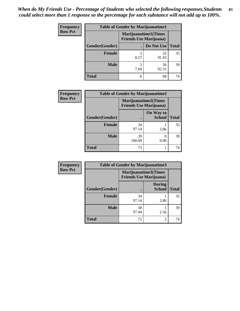| <b>Frequency</b> | <b>Table of Gender by Marijuanatime1</b> |                                                               |             |              |
|------------------|------------------------------------------|---------------------------------------------------------------|-------------|--------------|
| <b>Row Pct</b>   |                                          | <b>Marijuanatime1(Times</b><br><b>Friends Use Marijuana</b> ) |             |              |
|                  | Gender(Gender)                           |                                                               | Do Not Use  | <b>Total</b> |
|                  | <b>Female</b>                            | 8.57                                                          | 32<br>91.43 | 35           |
|                  | <b>Male</b>                              | 3<br>7.69                                                     | 36<br>92.31 | 39           |
|                  | <b>Total</b>                             | 6                                                             | 68          | 74           |

| <b>Frequency</b> | <b>Table of Gender by Marijuanatime2</b> |                                                               |                            |              |
|------------------|------------------------------------------|---------------------------------------------------------------|----------------------------|--------------|
| <b>Row Pct</b>   |                                          | <b>Marijuanatime2(Times</b><br><b>Friends Use Marijuana</b> ) |                            |              |
|                  | Gender(Gender)                           |                                                               | On Way to<br><b>School</b> | <b>Total</b> |
|                  | <b>Female</b>                            | 34<br>97.14                                                   | 2.86                       | 35           |
|                  | <b>Male</b>                              | 39<br>100.00                                                  | 0.00                       | 39           |
|                  | <b>Total</b>                             | 73                                                            |                            | 74           |

| <b>Frequency</b> | <b>Table of Gender by Marijuanatime3</b> |                                |                                |              |
|------------------|------------------------------------------|--------------------------------|--------------------------------|--------------|
| <b>Row Pct</b>   |                                          | <b>Friends Use Marijuana</b> ) | Marijuanatime3(Times           |              |
|                  | Gender(Gender)                           |                                | <b>During</b><br><b>School</b> | <b>Total</b> |
|                  | <b>Female</b>                            | 34<br>97.14                    | 2.86                           | 35           |
|                  | <b>Male</b>                              | 38<br>97.44                    | 2.56                           | 39           |
|                  | <b>Total</b>                             | 72                             | $\overline{c}$                 | 74           |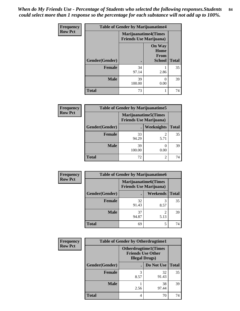*When do My Friends Use - Percentage of Students who selected the following responses.Students could select more than 1 response so the percentage for each substance will not add up to 100%.* **84**

| <b>Frequency</b> | <b>Table of Gender by Marijuanatime4</b> |                              |                                                |              |
|------------------|------------------------------------------|------------------------------|------------------------------------------------|--------------|
| <b>Row Pct</b>   |                                          | <b>Marijuanatime4</b> (Times | <b>Friends Use Marijuana</b> )                 |              |
|                  | Gender(Gender)                           | ٠                            | <b>On Way</b><br>Home<br>From<br><b>School</b> | <b>Total</b> |
|                  | <b>Female</b>                            | 34<br>97.14                  | 2.86                                           | 35           |
|                  | <b>Male</b>                              | 39<br>100.00                 | 0<br>0.00                                      | 39           |
|                  | <b>Total</b>                             | 73                           |                                                | 74           |

| <b>Frequency</b> | <b>Table of Gender by Marijuanatime5</b>                       |              |                        |              |
|------------------|----------------------------------------------------------------|--------------|------------------------|--------------|
| <b>Row Pct</b>   | <b>Marijuanatime5</b> (Times<br><b>Friends Use Marijuana</b> ) |              |                        |              |
|                  | Gender(Gender)                                                 |              | <b>Weeknights</b>      | <b>Total</b> |
|                  | <b>Female</b>                                                  | 33<br>94.29  | $\overline{2}$<br>5.71 | 35           |
|                  | <b>Male</b>                                                    | 39<br>100.00 | $\theta$<br>0.00       | 39           |
|                  | <b>Total</b>                                                   | 72           | $\overline{2}$         | 74           |

| <b>Frequency</b>                                                                | <b>Table of Gender by Marijuanatime6</b> |             |                        |              |
|---------------------------------------------------------------------------------|------------------------------------------|-------------|------------------------|--------------|
| <b>Row Pct</b><br><b>Marijuanatime6(Times</b><br><b>Friends Use Marijuana</b> ) |                                          |             |                        |              |
|                                                                                 | Gender(Gender)                           |             | <b>Weekends</b>        | <b>Total</b> |
|                                                                                 | <b>Female</b>                            | 32<br>91.43 | 3<br>8.57              | 35           |
|                                                                                 | <b>Male</b>                              | 37<br>94.87 | $\overline{2}$<br>5.13 | 39           |
|                                                                                 | <b>Total</b>                             | 69          | 5                      | 74           |

| <b>Frequency</b> | <b>Table of Gender by Otherdrugtime1</b> |                                                                                   |                    |    |
|------------------|------------------------------------------|-----------------------------------------------------------------------------------|--------------------|----|
| <b>Row Pct</b>   |                                          | <b>Otherdrugtime1</b> (Times<br><b>Friends Use Other</b><br><b>Illegal Drugs)</b> |                    |    |
|                  | Gender(Gender)                           |                                                                                   | Do Not Use   Total |    |
|                  | <b>Female</b>                            | 3<br>8.57                                                                         | 32<br>91.43        | 35 |
|                  | <b>Male</b>                              | 2.56                                                                              | 38<br>97.44        | 39 |
|                  | <b>Total</b>                             | 4                                                                                 | 70                 | 74 |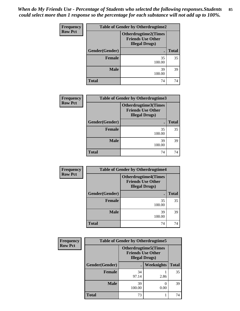| Frequency      | <b>Table of Gender by Otherdrugtime2</b> |                                                                                   |              |  |  |
|----------------|------------------------------------------|-----------------------------------------------------------------------------------|--------------|--|--|
| <b>Row Pct</b> |                                          | <b>Otherdrugtime2(Times</b><br><b>Friends Use Other</b><br><b>Illegal Drugs</b> ) |              |  |  |
|                | Gender(Gender)                           |                                                                                   | <b>Total</b> |  |  |
|                | <b>Female</b>                            | 35<br>100.00                                                                      | 35           |  |  |
|                | Male                                     | 39<br>100.00                                                                      | 39           |  |  |
|                | <b>Total</b>                             | 74                                                                                | 74           |  |  |

| <b>Frequency</b> | Table of Gender by Otherdrugtime3 |                                                                                    |              |  |
|------------------|-----------------------------------|------------------------------------------------------------------------------------|--------------|--|
| <b>Row Pct</b>   |                                   | <b>Otherdrugtime3</b> (Times<br><b>Friends Use Other</b><br><b>Illegal Drugs</b> ) |              |  |
|                  | Gender(Gender)                    |                                                                                    | <b>Total</b> |  |
|                  | <b>Female</b>                     | 35<br>100.00                                                                       | 35           |  |
|                  | <b>Male</b>                       | 39<br>100.00                                                                       | 39           |  |
|                  | <b>Total</b>                      | 74                                                                                 | 74           |  |

| Frequency      | <b>Table of Gender by Otherdrugtime4</b>                                          |                |              |  |  |
|----------------|-----------------------------------------------------------------------------------|----------------|--------------|--|--|
| <b>Row Pct</b> | <b>Otherdrugtime4(Times</b><br><b>Friends Use Other</b><br><b>Illegal Drugs</b> ) |                |              |  |  |
|                | Gender(Gender)                                                                    | $\blacksquare$ | <b>Total</b> |  |  |
|                | <b>Female</b>                                                                     | 35<br>100.00   | 35           |  |  |
|                | <b>Male</b>                                                                       | 39<br>100.00   | 39           |  |  |
|                | <b>Total</b>                                                                      | 74             | 74           |  |  |

| Frequency      | <b>Table of Gender by Otherdrugtime5</b> |                                                                                   |            |              |
|----------------|------------------------------------------|-----------------------------------------------------------------------------------|------------|--------------|
| <b>Row Pct</b> |                                          | <b>Otherdrugtime5(Times</b><br><b>Friends Use Other</b><br><b>Illegal Drugs</b> ) |            |              |
|                | Gender(Gender)                           |                                                                                   | Weeknights | <b>Total</b> |
|                | <b>Female</b>                            | 34<br>97.14                                                                       | 2.86       | 35           |
|                | <b>Male</b>                              | 39<br>100.00                                                                      | 0<br>0.00  | 39           |
|                | <b>Total</b>                             | 73                                                                                |            | 74           |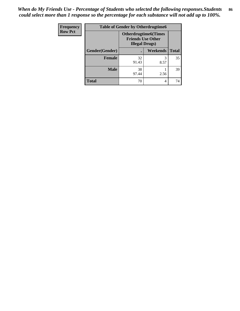*When do My Friends Use - Percentage of Students who selected the following responses.Students could select more than 1 response so the percentage for each substance will not add up to 100%.* **86**

| <b>Frequency</b> | <b>Table of Gender by Otherdrugtime6</b> |                                                                                   |                 |              |
|------------------|------------------------------------------|-----------------------------------------------------------------------------------|-----------------|--------------|
| <b>Row Pct</b>   |                                          | <b>Otherdrugtime6(Times</b><br><b>Friends Use Other</b><br><b>Illegal Drugs</b> ) |                 |              |
|                  | Gender(Gender)                           | $\bullet$                                                                         | <b>Weekends</b> | <b>Total</b> |
|                  | <b>Female</b>                            | 32<br>91.43                                                                       | 3<br>8.57       | 35           |
|                  | <b>Male</b>                              | 38<br>97.44                                                                       | 2.56            | 39           |
|                  | <b>Total</b>                             | 70                                                                                | 4               | 74           |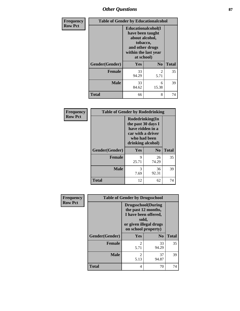# *Other Questions* **87**

| Frequency      | <b>Table of Gender by Educationalcohol</b> |                                                                                                                               |                |              |
|----------------|--------------------------------------------|-------------------------------------------------------------------------------------------------------------------------------|----------------|--------------|
| <b>Row Pct</b> |                                            | Educationalcohol(I<br>have been taught<br>about alcohol,<br>tobacco,<br>and other drugs<br>within the last year<br>at school) |                |              |
|                | Gender(Gender)                             | Yes                                                                                                                           | N <sub>0</sub> | <b>Total</b> |
|                | <b>Female</b>                              | 33<br>94.29                                                                                                                   | 2<br>5.71      | 35           |
|                | <b>Male</b>                                | 33<br>84.62                                                                                                                   | 6<br>15.38     | 39           |
|                | <b>Total</b>                               | 66                                                                                                                            | 8              | 74           |

| Frequency      | <b>Table of Gender by Rodedrinking</b> |                                                                                                                     |                |              |
|----------------|----------------------------------------|---------------------------------------------------------------------------------------------------------------------|----------------|--------------|
| <b>Row Pct</b> |                                        | Rodedrinking(In<br>the past 30 days I<br>have ridden in a<br>car with a driver<br>who had been<br>drinking alcohol) |                |              |
|                | Gender(Gender)                         | Yes                                                                                                                 | N <sub>0</sub> | <b>Total</b> |
|                | <b>Female</b>                          | 9<br>25.71                                                                                                          | 26<br>74.29    | 35           |
|                | <b>Male</b>                            | 3<br>7.69                                                                                                           | 36<br>92.31    | 39           |
|                | <b>Total</b>                           | 12                                                                                                                  | 62             | 74           |

| Frequency      | <b>Table of Gender by Drugsschool</b> |                                                                                                                                     |                |              |
|----------------|---------------------------------------|-------------------------------------------------------------------------------------------------------------------------------------|----------------|--------------|
| <b>Row Pct</b> |                                       | <b>Drugsschool</b> (During<br>the past 12 months,<br>I have been offered,<br>sold,<br>or given illegal drugs<br>on school property) |                |              |
|                | Gender(Gender)                        | <b>Yes</b>                                                                                                                          | N <sub>0</sub> | <b>Total</b> |
|                | <b>Female</b>                         | $\mathfrak{D}$<br>5.71                                                                                                              | 33<br>94.29    | 35           |
|                | <b>Male</b>                           | 2<br>5.13                                                                                                                           | 37<br>94.87    | 39           |
|                | <b>Total</b>                          | 4                                                                                                                                   | 70             | 74           |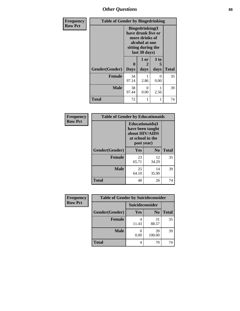# *Other Questions* **88**

| Frequency      | <b>Table of Gender by Bingedrinking</b> |                                                                                                                          |                  |                   |              |
|----------------|-----------------------------------------|--------------------------------------------------------------------------------------------------------------------------|------------------|-------------------|--------------|
| <b>Row Pct</b> |                                         | <b>Bingedrinking</b> (I<br>have drunk five or<br>more drinks of<br>alcohol at one<br>sitting during the<br>last 30 days) |                  |                   |              |
|                | Gender(Gender)                          | 0<br><b>Days</b>                                                                                                         | 1 or<br>days     | 3 to<br>5<br>days | <b>Total</b> |
|                | <b>Female</b>                           | 34<br>97.14                                                                                                              | 2.86             | 0<br>0.00         | 35           |
|                | <b>Male</b>                             | 38<br>97.44                                                                                                              | $\Omega$<br>0.00 | 2.56              | 39           |
|                | <b>Total</b>                            | 72                                                                                                                       |                  |                   | 74           |

| Frequency      | <b>Table of Gender by Educationaids</b> |                                                                                                 |                |              |
|----------------|-----------------------------------------|-------------------------------------------------------------------------------------------------|----------------|--------------|
| <b>Row Pct</b> |                                         | <b>Educationaids</b> (I<br>have been taught<br>about HIV/AIDS<br>at school in the<br>past year) |                |              |
|                | Gender(Gender)                          | <b>Yes</b>                                                                                      | N <sub>0</sub> | <b>Total</b> |
|                | <b>Female</b>                           | 23<br>65.71                                                                                     | 12<br>34.29    | 35           |
|                | <b>Male</b>                             | 25<br>64.10                                                                                     | 14<br>35.90    | 39           |
|                | <b>Total</b>                            | 48                                                                                              | 26             | 74           |

| <b>Frequency</b> | <b>Table of Gender by Suicideconsider</b> |                 |                |              |
|------------------|-------------------------------------------|-----------------|----------------|--------------|
| <b>Row Pct</b>   |                                           | Suicideconsider |                |              |
|                  | Gender(Gender)                            | Yes             | N <sub>0</sub> | <b>Total</b> |
|                  | <b>Female</b>                             | 11.43           | 31<br>88.57    | 35           |
|                  | <b>Male</b>                               | 0.00            | 39<br>100.00   | 39           |
|                  | <b>Total</b>                              |                 | 70             | 74           |